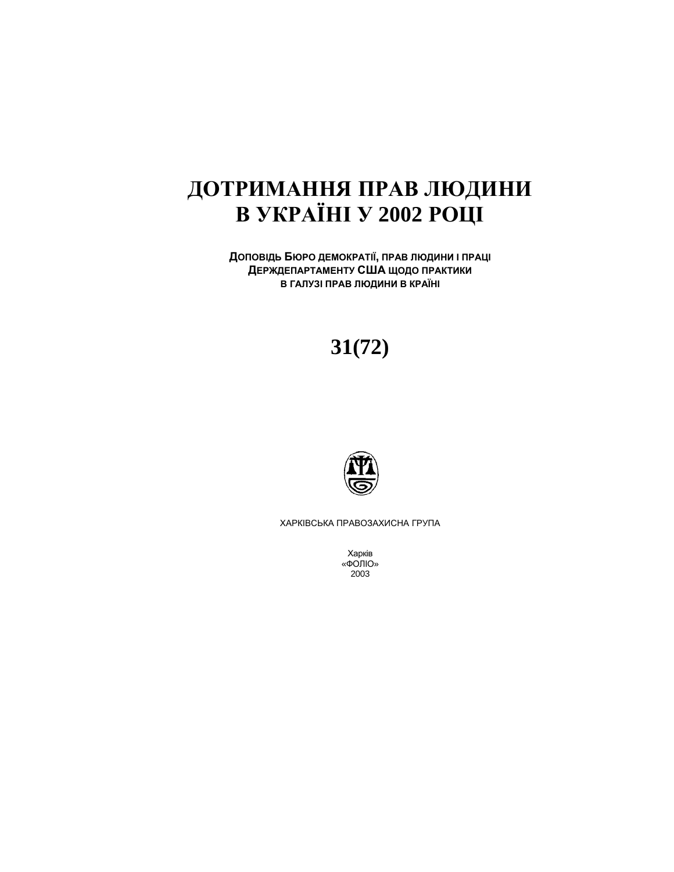# ДОТРИМАННЯ ПРАВ ЛЮДИНИ **ȼ ɍɄɊȺȲɇȱ ɍ 2002 ɊɈɐȱ**

ДОПОВІДЬ БЮРО ДЕМОКРАТІЇ, ПРАВ ЛЮДИНИ І ПРАЦІ **ДЕРЖДЕПАРТАМЕНТУ США ЩОДО ПРАКТИКИ** В ГАЛУЗІ ПРАВ ЛЮДИНИ В КРАЇНІ

# **31(72)**



ХАРКІВСЬКА ПРАВОЗАХИСНА ГРУПА

Харків «ФОЛЮ» 2003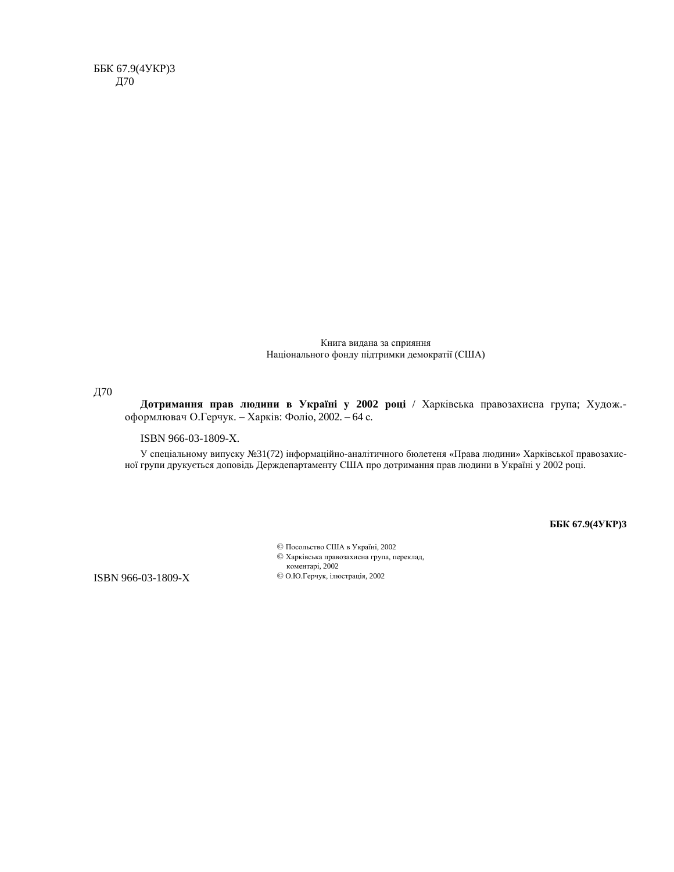ББК 67.9(4УКР)3 Д70

> Книга видана за сприяння Національного фонду підтримки демократії (США)

Д70

Дотримання прав людини в Україні у 2002 році / Харківська правозахисна група; Худож.оформлювач О.Герчук. – Харків: Фоліо, 2002. – 64 с.

ISBN 966-03-1809-X.

У спеціальному випуску №31(72) інформаційно-аналітичного бюлетеня «Права людини» Харківської правозахисної групи друкується доповідь Держдепартаменту США про дотримання прав людини в Україні у 2002 році.

**ȻȻɄ 67.9(4ɍɄɊ)3**

© Посольство США в Україні, 2002 © Харківська правозахисна група, переклад, коментарі, 2002 © О.Ю.Герчук, ілюстрація, 2002

ISBN 966-03-1809-X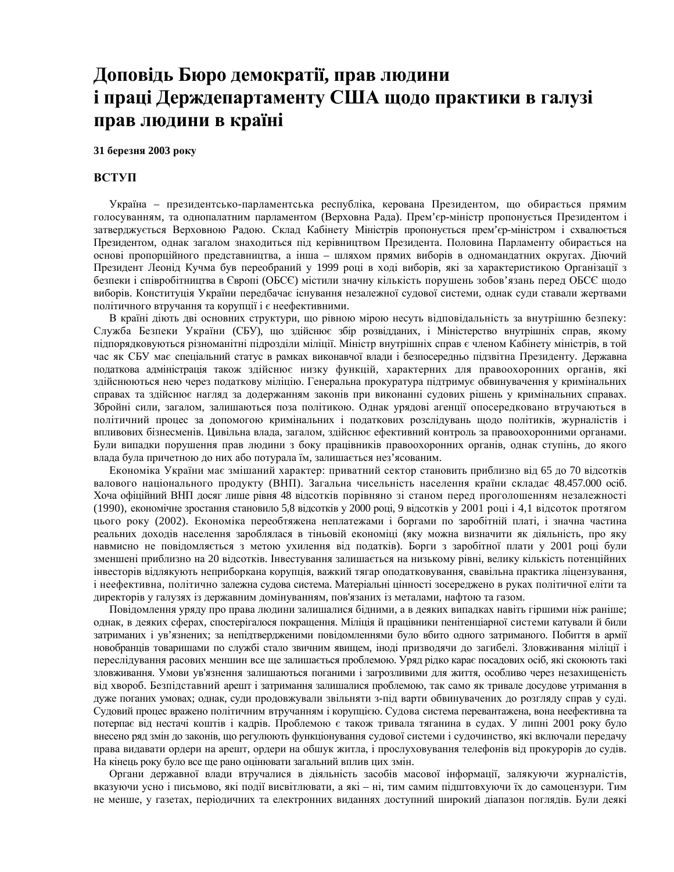## Доповідь Бюро демократії, прав людини **і праці Держдепартаменту США щодо практики в галузі** прав людини в країні

#### 31 березня 2003 року

#### **ВСТУП**

Україна – президентсько-парламентська республіка, керована Президентом, що обирається прямим голосуванням, та однопалатним парламентом (Верховна Рада). Прем'єр-міністр пропонується Президентом і затверджується Верховною Радою. Склад Кабінету Міністрів пропонується прем'єр-міністром і схвалюється Президентом, однак загалом знаходиться під керівництвом Президента. Половина Парламенту обирається на основі пропорційного представництва, а інша – шляхом прямих виборів в одномандатних округах. Діючий Президент Леонід Кучма був переобраний у 1999 році в ході виборів, які за характеристикою Організації з безпеки і співробітництва в Європі (ОБСЄ) містили значну кількість порушень зобов'язань перед ОБСЄ щодо виборів. Конституція України передбачає існування незалежної судової системи, однак суди ставали жертвами політичного втручання та корупції і є неефективними.

В країні діють дві основних структури, що рівною мірою несуть відповідальність за внутрішню безпеку: Служба Безпеки України (СБУ), що здійснює збір розвідданих, і Міністерство внутрішніх справ, якому підпорядковуються різноманітні підрозділи міліції. Міністр внутрішніх справ є членом Кабінету міністрів, в той час як СБУ має спеціальний статус в рамках виконавчої влади і безпосередньо підзвітна Президенту. Державна податкова адміністрація також здійснює низку функцій, характерних для правоохоронних органів, які здійснюються нею через податкову міліцію. Генеральна прокуратура підтримує обвинувачення у кримінальних справах та здійснює нагляд за додержанням законів при виконанні судових рішень у кримінальних справах. Збройні сили, загалом, залишаються поза політикою. Однак урядові агенції опосередковано втручаються в політичний процес за допомогою кримінальних і податкових розслідувань щодо політиків, журналістів і впливових бізнесменів. Цивільна влада, загалом, здійснює ефективний контроль за правоохоронними органами. Були випадки порушення прав людини з боку працівників правоохоронних органів, однак ступінь, до якого влада була причетною до них або потурала їм, залишається нез'ясованим.

Економіка України має змішаний характер: приватний сектор становить приблизно від 65 до 70 відсотків валового національного продукту (ВНП). Загальна чисельність населення країни складає 48.457.000 осіб. Хоча офіційний ВНП досяг лише рівня 48 відсотків порівняно зі станом перед проголошенням незалежності (1990), економічне зростання становило 5,8 відсотків у 2000 році, 9 відсотків у 2001 році і 4,1 відсоток протягом цього року (2002). Економіка переобтяжена неплатежами і боргами по заробітній платі, і значна частина реальних доходів населення зароблялася в тіньовій економіці (яку можна визначити як діяльність, про яку навмисно не повідомляється з метою ухилення від податків). Борги з заробітної плати у 2001 році були зменшені приблизно на 20 відсотків. Інвестування залишається на низькому рівні, велику кількість потенційних інвесторів відлякують неприборкана корупція, важкий тягар оподатковування, свавільна практика ліцензування, і неефективна, політично залежна судова система. Матеріальні цінності зосереджено в руках політичної еліти та директорів у галузях із державним домінуванням, пов'язаних із металами, нафтою та газом.

Повідомлення уряду про права людини залишалися бідними, а в деяких випадках навіть гіршими ніж раніше; однак, в деяких сферах, спостерігалося покращення. Міліція й працівники пенітенціарної системи катували й били затриманих і ув'язнених; за непідтвердженими повідомленнями було вбито одного затриманого. Побиття в армії новобранців товаришами по службі стало звичним явищем, іноді призводячи до загибелі. Зловживання міліції і переслідування расових меншин все ще залишається проблемою. Уряд рідко карає посадових осіб, які скоюють такі зловживання. Умови ув'язнення залишаються поганими і загрозливими для життя, особливо через незахищеність від хвороб. Безпідставний арешт і затримання залишалися проблемою, так само як тривале досудове утримання в дуже поганих умовах; однак, суди продовжували звільняти з-під варти обвинувачених до розгляду справ у суді. Судовий процес вражено політичним втручанням і корупцією. Судова система перевантажена, вона неефективна та потерпає від нестачі коштів і кадрів. Проблемою є також тривала тяганина в судах. У липні 2001 року було внесено ряд змін до законів, що регулюють функціонування судової системи і судочинство, які включали передачу права видавати ордери на арешт, ордери на обшук житла, і прослуховування телефонів від прокурорів до судів. На кінець року було все ще рано оцінювати загальний вплив цих змін.

Органи державної влади втручалися в діяльність засобів масової інформації, залякуючи журналістів, вказуючи усно і письмово, які події висвітлювати, а які – ні, тим самим підштовхуючи їх до самоцензури. Тим не менше, у газетах, періодичних та електронних виданнях доступний широкий діапазон поглядів. Були деякі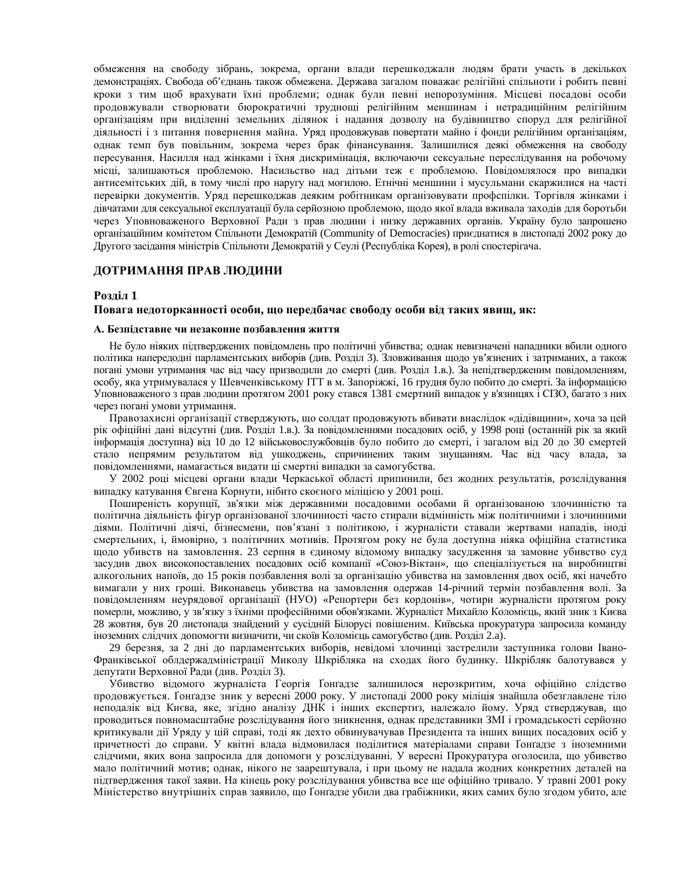обмеження на свободу зібрань, зокрема, органи влади перешкоджали людям брати участь в декількох демонстраціях. Свобода об'єднань також обмежена. Держава загалом поважає релігійні спільноти і робить певні кроки з тим щоб врахувати їхні проблеми; однак були певні непорозуміння. Місцеві посадові особи продовжували створювати бюрократичні труднощі релігійним меншинам і нетрадиційним релігійним організаціям при виділенні земельних ділянок і надання дозволу на будівництво споруд для релігійної діяльності і з питання повернення майна. Уряд продовжував повертати майно і фонди релігійним організаціям, однак темп був повільним, зокрема через брак фінансування. Залишилися деякі обмеження на свободу пересування. Насилля над жінками і їхня дискримінація, включаючи сексуальне переслідування на робочому місці, залишаються проблемою. Насильство над дітьми теж є проблемою. Повідомлялося про випадки антисемітських дій, в тому числі про наругу над могилою. Етнічні меншини і мусульмани скаржилися на часті перевірки документів. Уряд перешкоджав деяким робітникам організовувати профспілки. Торгівля жінками і дівчатами для сексуальної експлуатації була серйозною проблемою, щодо якої влада вживала заходів для боротьби через Уповноваженого Верховної Ради з прав людини і низку державних органів. Україну було запрошено організаційним комітетом Спільноти Демократій (Community of Democracies) приєднатися в листопаді 2002 року до Другого засідання міністрів Спільноти Демократій у Сеулі (Республіка Корея), в ролі спостерігача.

#### ДОТРИМАННЯ ПРАВ ЛЮДИНИ

#### Розділ 1

#### Повага недоторканності особи, що передбачає свободу особи від таких явищ, як:

#### А. Безпілставне чи незаконне позбавлення життя

Не було ніяких підтверджених повідомлень про політичні убивства; однак невизначені нападники вбили одного політика напередодні парламентських виборів (див. Розділ 3). Зловживання щодо ув'язнених і затриманих, а також погані умови утримання час від часу призводили до смерті (див. Розділ 1.в.). За непідтвердженим повідомленням, особу, яка утримувалася у Шевченківському ІТТ в м. Запоріжжі, 16 грудня було побито до смерті. За інформацією Уповноваженого з прав людини протягом 2001 року стався 1381 смертний випадок у в'язницях і СІЗО, багато з них через погані умови утримання.

Правозахисні організації стверджують, що солдат продовжують вбивати внаслідок «дідівщини», хоча за цей рік офіційні дані відсутні (див. Розділ 1.в.). За повідомленнями посадових осіб, у 1998 році (останній рік за який інформація доступна) від 10 до 12 військовослужбовців було побито до смерті, і загалом від 20 до 30 смертей стало непрямим результатом від ушкоджень, спричинених таким знущанням. Час від часу влада, за повідомленнями, намагається видати ці смертні випадки за самогубства.

У 2002 році місцеві органи влади Черкаської області припинили, без жодних результатів, розслідування випадку катування Євгена Корнути, нібито скоєного міліцією у 2001 році.

Поширеність корупції, зв'язки між державними посадовими особами й організованою злочинністю та політична діяльність фігур організованої злочинності часто стирали відмінність між політичними і злочинними діями. Політичні діячі, бізнесмени, пов'язані з політикою, і журналісти ставали жертвами нападів, іноді смертельних, і, ймовірно, з політичних мотивів. Протягом року не була доступна ніяка офіційна статистика щодо убивств на замовлення. 23 серпня в єдиному відомому випадку засудження за замовне убивство суд засудив двох високопоставлених посадових осіб компанії «Союз-Віктан», що спеціалізується на виробництві алкогольних напоїв, до 15 років позбавлення волі за організацію убивства на замовлення двох осіб, які начебто вимагали у них гроші. Виконавець убивства на замовлення одержав 14-річний термін позбавлення волі. За повідомленням неурядової організації (НУО) «Репортери без кордонів», чотири журналісти протягом року померли, можливо, у зв'язку з їхніми професійними обов'язками. Журналіст Михайло Коломієць, який зник з Києва 28 жовтня, був 20 листопада знайдений у сусідній Білорусі повішеним. Київська прокуратура запросила команду іноземних слідчих допомогти визначити, чи скоїв Коломієць самогубство (див. Розділ 2.а).

29 березня, за 2 дні до парламентських виборів, невідомі злочинці застрелили заступника голови Івано-Франківської облдержадміністрації Миколу Шкрібляка на сходах його будинку. Шкрібляк балотувався у депутати Верховної Ради (див. Розділ 3).

Убивство відомого журналіста Георгія Ґонґадзе залишилося нерозкритим, хоча офіційно слідство продовжується. Ґонґадзе зник у вересні 2000 року. У листопаді 2000 року міліція знайшла обезглавлене тіло неподалік від Києва, яке, згідно аналізу ДНК і інших експертиз, належало йому. Уряд стверджував, що проводиться повномасштабне розслідування його зникнення, однак представники ЗМІ і громадськості серйозно критикували дії Уряду у цій справі, тоді як дехто обвинувачував Президента та інших вищих посадових осіб у причетності до справи. У квітні влада відмовилася поділитися матеріалами справи Ґонґадзе з іноземними слідчими, яких вона запросила для допомоги у розслідуванні. У вересні Прокуратура оголосила, що убивство мало політичний мотив; однак, нікого не заарештувала, і при цьому не надала жодних конкретних деталей на підтвердження такої заяви. На кінець року розслідування убивства все ще офіційно тривало. У травні 2001 року Міністерство внутрішніх справ заявило, що Ґонґадзе убили два грабіжники, яких самих було згодом убито, але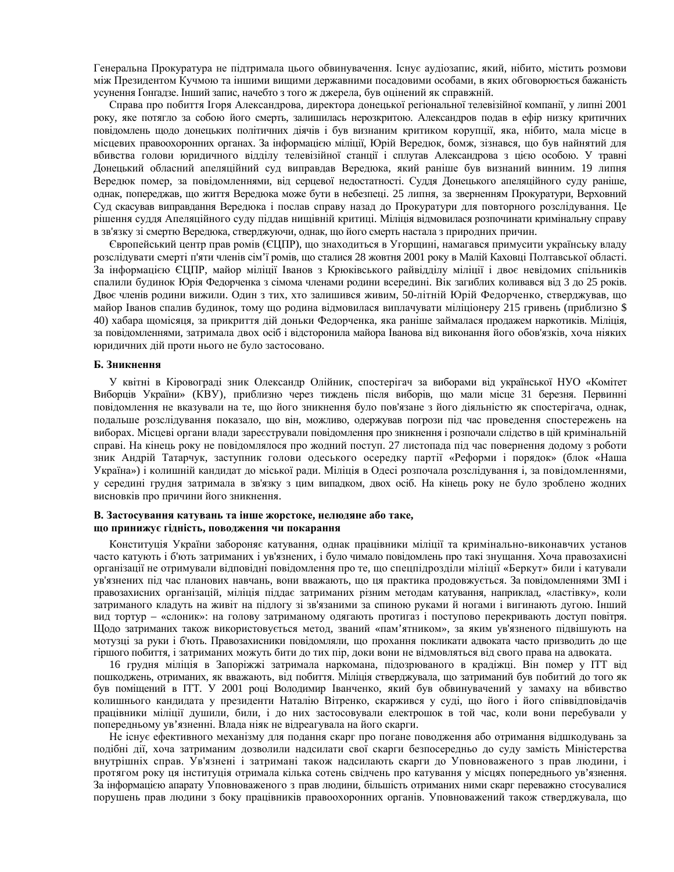Генеральна Прокуратура не підтримала цього обвинувачення. Існує аудіозапис, який, нібито, містить розмови між Президентом Кучмою та іншими вищими державними посадовими особами, в яких обговорюється бажаність үсунення Ґонґадзе. Інший запис, начебто з того ж джерела, був оцінений як справжній.

Справа про побиття Ігоря Александрова, директора донецької регіональної телевізійної компанії, у липні 2001 року, яке потягло за собою його смерть, залишилась нерозкритою. Александров подав в ефір низку критичних повідомлень щодо донецьких політичних діячів і був визнаним критиком корупції, яка, нібито, мала місце в місцевих правоохоронних органах. За інформацією міліції, Юрій Вередюк, бомж, зізнався, що був найнятий для вбивства голови юридичного відділу телевізійної станції і сплутав Александрова з цією особою. У травні Донецький обласний апеляційний суд виправдав Вередюка, який раніше був визнаний винним. 19 липня Вередюк помер, за повідомленнями, від серцевої недостатності. Суддя Донецького апеляційного суду раніше, однак, попереджав, що життя Вередюка може бути в небезпеці. 25 липня, за зверненням Прокуратури, Верховний Суд скасував виправдання Вередюка і послав справу назад до Прокуратури для повторного розслідування. Це рішення суддя Апеляційного суду піддав нищівній критиці. Міліція відмовилася розпочинати кримінальну справу в зв'язку зі смертю Вередюка, стверджуючи, однак, що його смерть настала з природних причин.

Свропейський центр прав ромів (ЄЦПР), що знаходиться в Угорщині, намагався примусити українську владу розслідувати смерті п'яти членів сім'ї ромів, що сталися 28 жовтня 2001 року в Малій Каховці Полтавської області. За інформацією ЄЦПР, майор міліції Іванов з Крюківського райвідділу міліції і двоє невідомих спільників спалили будинок Юрія Федорченка з сімома членами родини всередині. Вік загиблих коливався від 3 до 25 років. Двоє членів родини вижили. Один з тих, хто залишився живим, 50-літній Юрій Федорченко, стверджував, що майор Іванов спалив будинок, тому що родина відмовилася виплачувати міліціонеру 215 гривень (приблизно \$ 40) хабара щомісяця, за прикриття дій доньки Федорченка, яка раніше займалася продажем наркотиків. Міліція, за повідомленнями, затримала двох осіб і відсторонила майора Іванова від виконання його обов'язків, хоча ніяких юридичних дій проти нього не було застосовано.

#### **Зникнення**

У квітні в Кіровограді зник Олександр Олійник, спостерігач за виборами від української НУО «Комітет Виборців України» (КВУ), приблизно через тиждень після виборів, що мали місце 31 березня. Первинні повідомлення не вказували на те, що його зникнення було пов'язане з його діяльністю як спостерігача, однак, подальше розслідування показало, що він, можливо, одержував погрози під час проведення спостережень на виборах. Місцеві органи влади зареєстрували повідомлення про зникнення і розпочали слідство в цій кримінальній справі. На кінець року не повідомлялося про жодний поступ. 27 листопада під час повернення додому з роботи зник Андрій Татарчук, заступник голови одеського осередку партії «Реформи і порядок» (блок «Наша Україна») і колишній кандидат до міської ради. Міліція в Одесі розпочала розслідування і, за повідомленнями, у середині грудня затримала в зв'язку з цим випадком, двох осіб. На кінець року не було зроблено жодних висновків про причини його зникнення.

#### В. Застосування катувань та інше жорстоке, нелюдяне або таке, що принижує гідність, поводження чи покарання

Конституція України забороняє катування, однак працівники міліції та кримінально-виконавчих установ часто катують і б'ють затриманих і ув'язнених, і було чимало повідомлень про такі знущання. Хоча правозахисні організації не отримували відповідні повідомлення про те, що спецпідрозділи міліції «Беркут» били і катували ув'язнених під час планових навчань, вони вважають, що ця практика продовжується. За повідомленнями ЗМІ і правозахисних організацій, міліція піддає затриманих різним методам катування, наприклад, «ластівку», коли затриманого кладуть на живіт на підлогу зі зв'язаними за спиною руками й ногами і вигинають дугою. Інший вид тортур – «слоник»: на голову затриманому одягають протигаз і поступово перекривають доступ повітря. Щодо затриманих також використовується метод, званий «пам'ятником», за яким ув'язненого підвішують на мотузці за руки і б'ють. Правозахисники повідомляли, що прохання покликати адвоката часто призводить до ще гіршого побиття, і затриманих можуть бити до тих пір, доки вони не відмовляться від свого права на адвоката.

16 грудня міліція в Запоріжжі затримала наркомана, підозрюваного в крадіжці. Він помер у ІТТ від пошкоджень, отриманих, як вважають, від побиття. Міліція стверджувала, що затриманий був побитий до того як був поміщений в ІТТ. У 2001 році Володимир Іванченко, який був обвинувачений у замаху на вбивство колишнього кандидата у президенти Наталію Вітренко, скаржився у суді, що його і його співвідповідачів працівники міліції душили, били, і до них застосовували електрошок в той час, коли вони перебували у попередньому ув'язненні. Влада ніяк не відреагувала на його скарги.

Не існує ефективного механізму для подання скарг про погане поводження або отримання відшкодувань за подібні дії, хоча затриманим дозволили надсилати свої скарги безпосередньо до суду замість Міністерства внутрішніх справ. Ув'язнені і затримані також надсилають скарги до Уповноваженого з прав людини, і протягом року ця інституція отримала кілька сотень свідчень про катування у місцях попереднього ув'язнення. За інформацією апарату Уповноваженого з прав людини, більшість отриманих ними скарг переважно стосувалися порушень прав людини з боку працівників правоохоронних органів. Уповноважений також стверджувала, що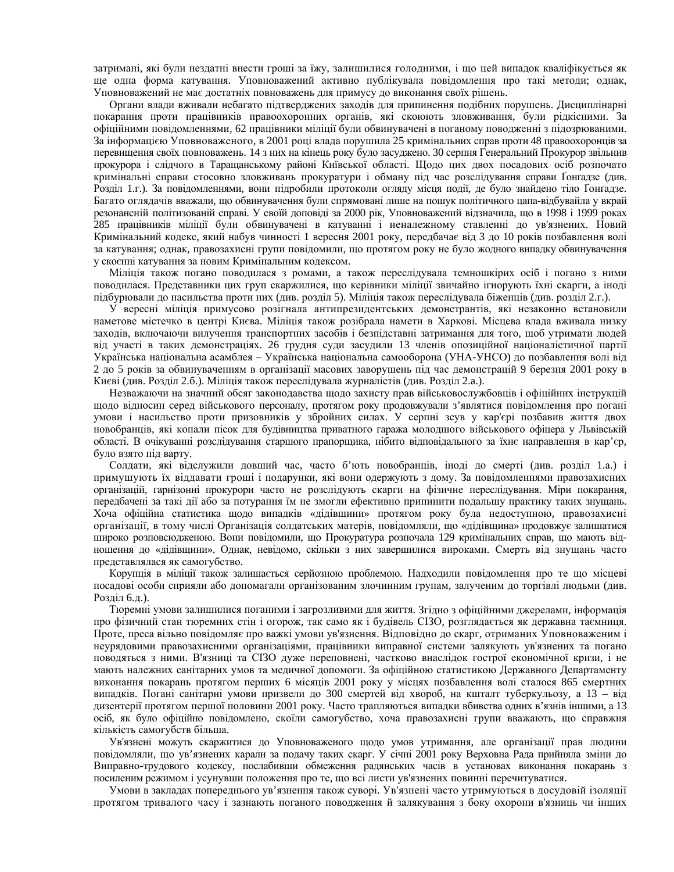затримані, які були нездатні внести гроші за їжу, залишилися голодними, і що цей випадок кваліфікується як ще одна форма катування. Уповноважений активно публікувала повідомлення про такі методи; однак, Уповноважений не має достатніх повноважень для примусу до виконання своїх рішень.

Органи влади вживали небагато підтверджених заходів для припинення подібних порушень. Дисциплінарні покарання проти працівників правоохоронних органів, які скоюють зловживання, були рідкісними. За офіційними повідомленнями, 62 працівники міліції були обвинувачені в поганому поводженні з підозрюваними. За інформацією Уповноваженого, в 2001 році влада порушила 25 кримінальних справ проти 48 правоохоронців за перевищення своїх повноважень. 14 з них на кінець року було засуджено. 30 серпня Генеральний Прокурор звільнив прокурора і слідчого в Таращанському районі Київської області. Щодо цих двох посадових осіб розпочато кримінальні справи стосовно зловживань прокуратури і обману під час розслідування справи Ґонґадзе (див. Розділ 1.г.). За повідомленнями, вони підробили протоколи огляду місця події, де було знайдено тіло Ґонґадзе. Багато оглядачів вважали, що обвинувачення були спрямовані лише на пошук політичного цапа-відбувайла у вкрай резонансній політизованій справі. У своїй доповіді за 2000 рік, Уповноважений відзначила, що в 1998 і 1999 роках 285 працівників міліції були обвинувачені в катуванні і неналежному ставленні до ув'язнених. Новий Кримінальний кодекс, який набув чинності 1 вересня 2001 року, передбачає від 3 до 10 років позбавлення волі за катування; однак, правозахисні групи повідомили, що протягом року не було жодного випадку обвинувачення у скоєнні катування за новим Кримінальним кодексом.

Міліція також погано поводилася з ромами, а також переслідувала темношкірих осіб і погано з ними поводилася. Представники цих груп скаржилися, що керівники міліції звичайно ігнорують їхні скарги, а іноді підбурювали до насильства проти них (див. розділ 5). Міліція також переслідувала біженців (див. розділ 2.г.).

У вересні міліція примусово розігнала антипрезидентських демонстрантів, які незаконно встановили наметове містечко в центрі Києва. Міліція також розібрала намети в Харкові. Місцева влада вживала низку заходів, включаючи вилучення транспортних засобів і безпідставні затримання для того, щоб утримати людей від участі в таких демонстраціях. 26 грудня суди засудили 13 членів опозиційної націоналістичної партії Українська національна асамблея – Українська національна самооборона (УНА-УНСО) до позбавлення волі від 2 до 5 років за обвинуваченням в організації масових заворушень під час демонстрацій 9 березня 2001 року в Києві (див. Розділ 2.6.). Міліція також переслідувала журналістів (див. Розділ 2.а.).

Незважаючи на значний обсяг законодавства щодо захисту прав військовослужбовців і офіційних інструкцій щодо відносин серед військового персоналу, протягом року продовжували з'являтися повідомлення про погані умови і насильство проти призовників у збройних силах. У серпні зсув у кар'єрі позбавив життя двох новобранців, які копали пісок для будівництва приватного гаража молодшого військового офіцера у Львівській області. В очікуванні розслідування старшого прапорщика, нібито відповідального за їхнє направлення в кар'єр, було взято під варту.

Солдати, які відслужили довший час, часто б'ють новобранців, іноді до смерті (див. розділ 1.а.) і примушують їх віддавати гроші і подарунки, які вони одержують з дому. За повідомленнями правозахисних організацій, гарнізонні прокурори часто не розслідують скарги на фізичне переслідування. Міри покарання, передбачені за такі дії або за потурання їм не змогли ефективно припинити подальшу практику таких знущань. Хоча офіційна статистика щодо випадків «дідівщини» протягом року була недоступною, правозахисні організації, в тому числі Організація солдатських матерів, повідомляли, що «дідівщина» продовжує залишатися широко розповсюдженою. Вони повідомили, що Прокуратура розпочала 129 кримінальних справ, що мають відношення до «дідівщини». Однак, невідомо, скільки з них завершилися вироками. Смерть від знущань часто представлялася як самогубство.

Корупція в міліції також залишається серйозною проблемою. Надходили повідомлення про те що місцеві посадові особи сприяли або допомагали організованим злочинним групам, залученим до торгівлі людьми (див. Розділ 6.д.).

Тюремні умови залишилися поганими і загрозливими для життя. Згідно з офіційними джерелами, інформація про фізичний стан тюремних стін і огорож, так само як і будівель СІЗО, розглядається як державна таємниця. Проте, преса вільно повідомляє про важкі умови ув'язнення. Відповідно до скарг, отриманих Уповноваженим і неурядовими правозахисними організаціями, працівники виправної системи залякують ув'язнених та погано поводяться з ними. В'язниці та СІЗО дуже переповнені, частково внаслідок гострої економічної кризи, і не мають належних санітарних умов та медичної допомоги. За офіційною статистикою Державного Департаменту виконання покарань протягом перших 6 місяців 2001 року у місцях позбавлення волі сталося 865 смертних випадків. Погані санітарні умови призвели до 300 смертей від хвороб, на кшталт туберкульозу, а 13 – від дизентерії протягом першої половини 2001 року. Часто трапляються випадки вбивства одних в'язнів іншими, а 13 осіб, як було офіційно повідомлено, скоїли самогубство, хоча правозахисні групи вважають, що справжня кількість самогубств більша.

Ув'язнені можуть скаржитися до Уповноваженого щодо умов утримання, але організації прав людини повідомляли, що ув'язнених карали за подачу таких скарг. У січні 2001 року Верховна Рада прийняла зміни до Виправно-трудового кодексу, послабивши обмеження радянських часів в установах виконання покарань з посиленим режимом і усунувши положення про те, що всі листи ув'язнених повинні перечитуватися.

Умови в закладах попереднього ув'язнення також суворі. Ув'язнені часто утримуються в досудовій ізоляції протягом тривалого часу і зазнають поганого поводження й залякування з боку охорони в'язниць чи інших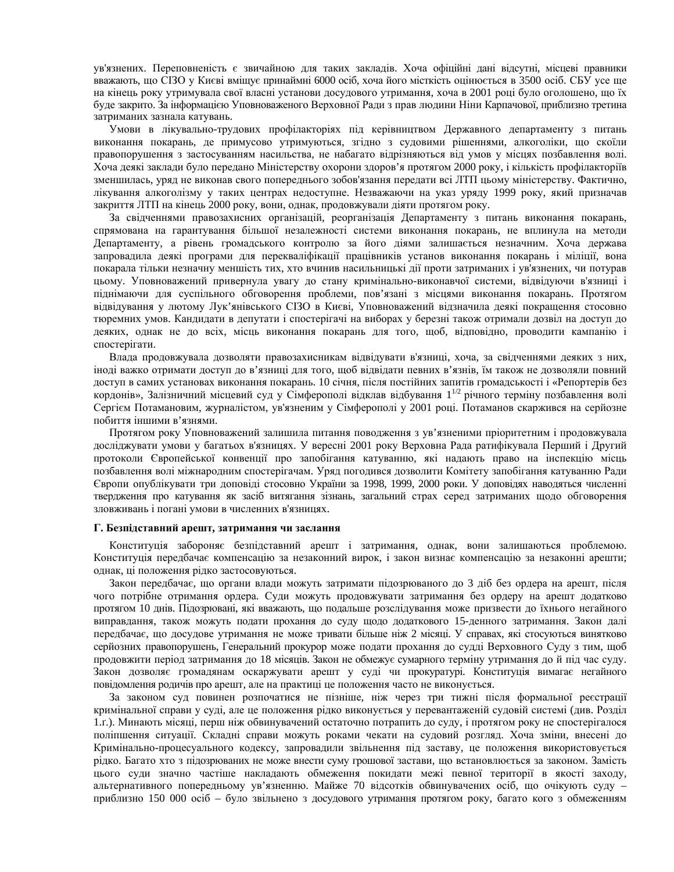ув'язнених. Переповненість є звичайною для таких закладів. Хоча офіційні дані відсутні, місцеві правники вважають, що СІЗО у Києві вміщує принаймні 6000 осіб, хоча його місткість оцінюється в 3500 осіб. СБУ усе ще на кінець року утримувала свої власні установи досудового утримання, хоча в 2001 році було оголошено, що їх буде закрито. За інформацією Уповноваженого Верховної Ради з прав людини Ніни Карпачової, приблизно третина затриманих зазнала катувань.

Умови в лікувально-трудових профілакторіях під керівництвом Державного департаменту з питань виконання покарань, де примусово утримуються, згідно з судовими рішеннями, алкоголіки, що скоїли правопорушення з застосуванням насильства, не набагато відрізняються від умов у місцях позбавлення волі. Хоча деякі заклади було передано Міністерству охорони здоров'я протягом 2000 року, і кількість профілакторіїв зменшилась, уряд не виконав свого попереднього зобов'язання передати всі ЛТП цьому міністерству. Фактично, лікування алкоголізму у таких центрах недоступне. Незважаючи на указ уряду 1999 року, який призначав закриття ЛТП на кінець 2000 року, вони, однак, продовжували діяти протягом року.

За свідченнями правозахисних організацій, реорганізація Департаменту з питань виконання покарань, спрямована на гарантування більшої незалежності системи виконання покарань, не вплинула на методи Департаменту, а рівень громадського контролю за його діями залишається незначним. Хоча держава запровадила деякі програми для перекваліфікації працівників установ виконання покарань і міліції, вона покарала тільки незначну меншість тих, хто вчинив насильницькі дії проти затриманих і ув'язнених, чи потурав цьому. Уповноважений привернула увагу до стану кримінально-виконавчої системи, відвідуючи в'язниці і піднімаючи для суспільного обговорення проблеми, пов'язані з місцями виконання покарань. Протягом відвідування у лютому Лук'янівського СІЗО в Києві, Уповноважений відзначила деякі покращення стосовно тюремних умов. Кандидати в депутати і спостерігачі на виборах у березні також отримали дозвіл на доступ до деяких, однак не до всіх, місць виконання покарань для того, щоб, відповідно, проводити кампанію і спостерігати.

Влада продовжувала дозволяти правозахисникам відвідувати в'язниці, хоча, за свідченнями деяких з них, іноді важко отримати доступ до в'язниці для того, щоб відвідати певних в'язнів, їм також не дозволяли повний доступ в самих установах виконання покарань. 10 січня, після постійних запитів громадськості і «Репортерів без кордонів», Залізничний місцевий суд у Сімферополі відклав відбування 1<sup>1/2</sup> річного терміну позбавлення волі Сергієм Потамановим, журналістом, ув'язненим у Сімферополі у 2001 році. Потаманов скаржився на серйозне побиття іншими в'язнями.

Протягом року Уповноважений залишила питання поводження з ув'язненими пріоритетним і продовжувала досліджувати умови у багатьох в'язницях. У вересні 2001 року Верховна Рада ратифікувала Перший і Другий протоколи Європейської конвенції про запобігання катуванню, які надають право на інспекцію місць позбавлення волі міжнародним спостерігачам. Уряд погодився дозволити Комітету запобігання катуванню Ради Європи опублікувати три доповіді стосовно України за 1998, 1999, 2000 роки. У доповідях наводяться численні твердження про катування як засіб витягання зізнань, загальний страх серед затриманих щодо обговорення зловживань і погані умови в численних в'язницях.

#### $\Gamma$ . Безпідставний арешт, затримання чи заслання

Конституція забороняє безпідставний арешт і затримання, однак, вони залишаються проблемою. Конституція передбачає компенсацію за незаконний вирок, і закон визнає компенсацію за незаконні арешти; однак, ці положення рідко застосовуються.

Закон передбачає, що органи влади можуть затримати підозрюваного до 3 діб без ордера на арешт, після чого потрібне отримання ордера. Суди можуть продовжувати затримання без ордеру на арешт додатково протягом 10 днів. Підозрювані, які вважають, що подальше розслідування може призвести до їхнього негайного виправдання, також можуть подати прохання до суду щодо додаткового 15-денного затримання. Закон далі передбачає, що досудове утримання не може тривати більше ніж 2 місяці. У справах, які стосуються винятково серйозних правопорушень, Генеральний прокурор може подати прохання до судді Верховного Суду з тим, щоб продовжити період затримання до 18 місяців. Закон не обмежує сумарного терміну утримання до й під час суду. Закон дозволяє громадянам оскаржувати арешт у суді чи прокуратурі. Конституція вимагає негайного повідомлення родичів про арешт, але на практиці це положення часто не виконується.

За законом суд повинен розпочатися не пізніше, ніж через три тижні після формальної реєстрації кримінальної справи у суді, але це положення рідко виконується у перевантаженій судовій системі (див. Розділ 1.г.). Минають місяці, перш ніж обвинувачений остаточно потрапить до суду, і протягом року не спостерігалося поліпшення ситуації. Складні справи можуть роками чекати на судовий розгляд. Хоча зміни, внесені до Кримінально-процесуального кодексу, запровадили звільнення під заставу, це положення використовується рідко. Багато хто з підозрюваних не може внести суму грошової застави, що встановлюється за законом. Замість цього суди значно частіше накладають обмеження покидати межі певної території в якості заходу, альтернативного попередньому ув'язненню. Майже 70 відсотків обвинувачених осіб, що очікують суду приблизно 150 000 осіб – було звільнено з досудового утримання протягом року, багато кого з обмеженням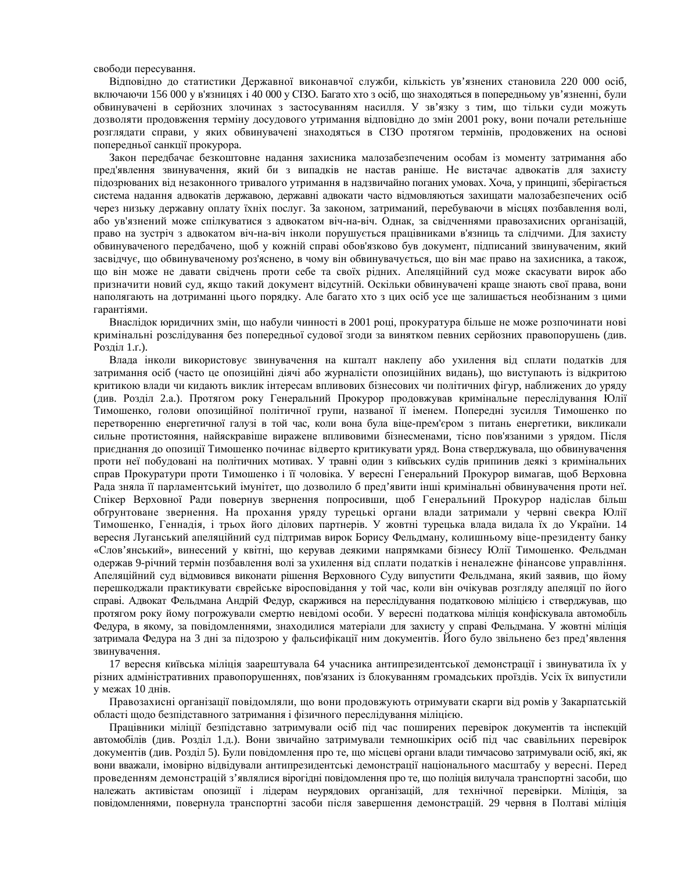свободи пересування.

Відповідно до статистики Державної виконавчої служби, кількість ув'язнених становила 220 000 осіб, включаючи 156 000 у в'язницях і 40 000 у СІЗО. Багато хто з осіб, що знаходяться в попередньому ув'язненні, були обвинувачені в серйозних злочинах з застосуванням насилля. У зв'язку з тим, що тільки суди можуть дозволяти продовження терміну досудового утримання відповідно до змін 2001 року, вони почали ретельніше розглядати справи, у яких обвинувачені знаходяться в СІЗО протягом термінів, продовжених на основі попередньої санкції прокурора.

Закон передбачає безкоштовне надання захисника малозабезпеченим особам із моменту затримання або пред'явлення звинувачення, який би з випадків не настав раніше. Не вистачає адвокатів для захисту підозрюваних від незаконного тривалого утримання в надзвичайно поганих умовах. Хоча, у принципі, зберігається система надання адвокатів державою, державні адвокати часто відмовляються захищати малозабезпечених осіб через низьку державну оплату їхніх послуг. За законом, затриманий, перебуваючи в місцях позбавлення волі, або ув'язнений може спілкуватися з алвокатом віч-на-віч. Олнак, за свілченнями правозахисних організацій, право на зустріч з адвокатом віч-на-віч інколи порушується працівниками в'язниць та слідчими. Для захисту обвинуваченого передбачено, щоб у кожній справі обов'язково був документ, підписаний звинуваченим, який засвідчує, що обвинуваченому роз'яснено, в чому він обвинувачується, що він має право на захисника, а також, що він може не давати свідчень проти себе та своїх рідних. Апеляційний суд може скасувати вирок або призначити новий суд, якщо такий документ відсутній. Оскільки обвинувачені краще знають свої права, вони наполягають на дотриманні цього порядку. Але багато хто з цих осіб усе ще залишається необізнаним з цими гарантіями.

Внаслідок юридичних змін, що набули чинності в 2001 році, прокуратура більше не може розпочинати нові кримінальні розслідування без попередньої судової згоди за винятком певних серйозних правопорушень (див.  $P$ озділ 1. $r$ .).

Влада інколи використовує звинувачення на кшталт наклепу або ухилення від сплати податків для затримання осіб (часто це опозиційні діячі або журналісти опозиційних видань), що виступають із відкритою критикою влади чи кидають виклик інтересам впливових бізнесових чи політичних фігур, наближених до уряду (див. Розділ 2.а.). Протягом року Генеральний Прокурор продовжував кримінальне переслідування Юлії Тимошенко, голови опозиційної політичної групи, названої її іменем. Попередні зусилля Тимошенко по перетворенню енергетичної галузі в той час, коли вона була віце-прем'єром з питань енергетики, викликали сильне протистояння, найяскравіше виражене впливовими бізнесменами, тісно пов'язаними з урядом. Після приєднання до опозиції Тимошенко починає відверто критикувати уряд. Вона стверджувала, що обвинувачення проти неї побудовані на політичних мотивах. У травні один з київських судів припинив деякі з кримінальних справ Прокуратури проти Тимошенко і її чоловіка. У вересні Генеральний Прокурор вимагав, щоб Верховна Рада зняла її парламентський імунітет, що дозволило б пред'явити інші кримінальні обвинувачення проти неї. Спікер Верховної Ради повернув звернення попросивши, щоб Генеральний Прокурор надіслав більш обтрунтоване звернення. На прохання уряду турецькі органи влади затримали у червні свекра Юлії Тимошенко, Геннадія, і трьох його ділових партнерів. У жовтні турецька влада видала їх до України. 14 вересня Луганський апеляційний суд підтримав вирок Борису Фельдману, колишньому віце-президенту банку «Слов'янський», винесений у квітні, що керував деякими напрямками бізнесу Юлії Тимошенко. Фельдман одержав 9-річний термін позбавлення волі за ухилення від сплати податків і неналежне фінансове управління. Апеляційний суд відмовився виконати рішення Верховного Суду випустити Фельдмана, який заявив, що йому перешкоджали практикувати єврейське віросповідання у той час, коли він очікував розгляду апеляції по його справі. Адвокат Фельдмана Андрій Федур, скаржився на переслідування податковою міліцією і стверджував, що протягом року йому погрожували смертю невідомі особи. У вересні податкова міліція конфіскувала автомобіль Федура, в якому, за повідомленнями, знаходилися матеріали для захисту у справі Фельдмана. У жовтні міліція затримала Федура на 3 дні за підозрою у фальсифікації ним документів. Його було звільнено без пред'явлення звинувачення.

17 вересня київська міліція заарештувала 64 учасника антипрезидентської демонстрації і звинуватила їх у різних адміністративних правопорушеннях, пов'язаних із блокуванням громадських проїздів. Усіх їх випустили у межах 10 днів.

Правозахисні організації повідомляли, що вони продовжують отримувати скарги від ромів у Закарпатській області щодо безпідставного затримання і фізичного переслідування міліцією.

Працівники міліції безпідставно затримували осіб під час поширених перевірок документів та інспекцій автомобілів (див. Розділ 1.д.). Вони звичайно затримували темношкірих осіб під час свавільних перевірок документів (див. Розділ 5). Були повідомлення про те, що місцеві органи влади тимчасово затримували осіб, які, як вони вважали, імовірно відвідували антипрезидентські демонстрації національного масштабу у вересні. Перед проведенням демонстрацій з'являлися вірогідні повідомлення про те, що поліція вилучала транспортні засоби, що належать активістам опозиції і лідерам неурядових організацій, для технічної перевірки. Міліція, за повідомленнями, повернула транспортні засоби після завершення демонстрацій. 29 червня в Полтаві міліція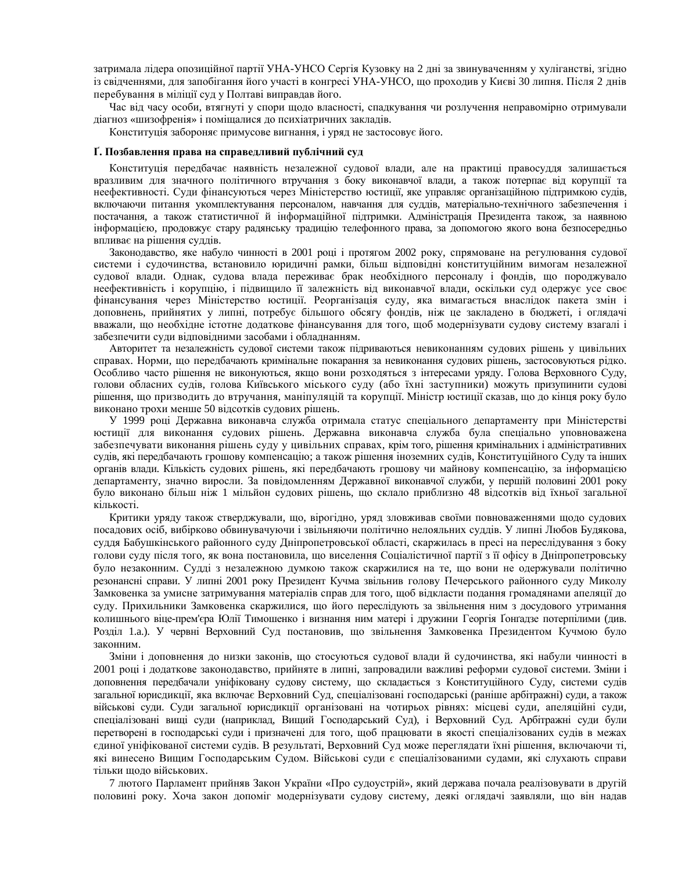затримала лідера опозиційної партії УНА-УНСО Сергія Кузовку на 2 дні за звинуваченням у хуліганстві, згідно із свідченнями, для запобігання його участі в конгресі УНА-УНСО, що проходив у Києві 30 липня. Після 2 днів перебування в міліції суд у Полтаві виправдав його.

Час від часу особи, втягнуті у спори щодо власності, спадкування чи розлучення неправомірно отримували діагноз «шизофренія» і поміщалися до психіатричних закладів.

Конституція забороняє примусове вигнання, і уряд не застосовує його.

#### Г. Позбавлення права на справедливий публічний суд

Конституція передбачає наявність незалежної судової влади, але на практиці правосуддя залишається вразливим для значного політичного втручання з боку виконавчої влади, а також потерпає від корупції та неефективності. Суди фінансуються через Міністерство юстиції, яке управляє організаційною підтримкою судів, включаючи питання укомплектування персоналом, навчання для суддів, матеріально-технічного забезпечення і постачання, а також статистичної й інформаційної підтримки. Адміністрація Президента також, за наявною інформацією, продовжує стару радянську традицію телефонного права, за допомогою якого вона безпосередньо впливає на рішення суддів.

Законодавство, яке набуло чинності в 2001 році і протягом 2002 року, спрямоване на регулювання судової системи і судочинства, встановило юридичні рамки, більш відповідні конституційним вимогам незалежної судової влади. Однак, судова влада переживає брак необхідного персоналу і фондів, що породжувало неефективність і корупцію, і підвищило її залежність від виконавчої влади, оскільки суд одержує усе своє фінансування через Міністерство юстиції. Реорганізація суду, яка вимагається внаслідок пакета змін і доповнень, прийнятих у липні, потребує більшого обсягу фондів, ніж це закладено в бюджеті, і оглядачі вважали, що необхідне істотне додаткове фінансування для того, щоб модернізувати судову систему взагалі і забезпечити суди відповідними засобами і обладнанням.

Авторитет та незалежність судової системи також підриваються невиконанням судових рішень у цивільних справах. Норми, що передбачають кримінальне покарання за невиконання судових рішень, застосовуються рідко. Особливо часто рішення не виконуються, якщо вони розходяться з інтересами уряду. Голова Верховного Суду, голови обласних судів, голова Київського міського суду (або їхні заступники) можуть призупинити судові рішення, що призводить до втручання, маніпуляцій та корупції. Міністр юстиції сказав, що до кінця року було виконано трохи менше 50 відсотків судових рішень.

У 1999 році Державна виконавча служба отримала статус спеціального департаменту при Міністерстві юстиції для виконання судових рішень. Державна виконавча служба була спеціально уповноважена забезпечувати виконання рішень суду у цивільних справах, крім того, рішення кримінальних і адміністративних судів, які передбачають грошову компенсацію; а також рішення іноземних судів, Конституційного Суду та інших органів влади. Кількість судових рішень, які передбачають грошову чи майнову компенсацію, за інформацією департаменту, значно виросли. За повідомленням Державної виконавчої служби, у першій половині 2001 року було виконано більш ніж 1 мільйон судових рішень, що склало приблизно 48 відсотків від їхньої загальної кількості.

Критики уряду також стверджували, що, вірогідно, уряд зловживав своїми повноваженнями щодо судових посадових осіб, вибірково обвинувачуючи і звільняючи політично нелояльних суддів. У липні Любов Будякова, суддя Бабушкінського районного суду Дніпропетровської області, скаржилась в пресі на переслідування з боку голови суду після того, як вона постановила, що виселення Соціалістичної партії з її офісу в Дніпропетровську було незаконним. Судді з незалежною думкою також скаржилися на те, що вони не одержували політично резонансні справи. У липні 2001 року Президент Кучма звільнив голову Печерського районного суду Миколу Замковенка за умисне затримування матеріалів справ для того, щоб відкласти подання громадянами апеляції до суду. Прихильники Замковенка скаржилися, що його переслідують за звільнення ним з досудового утримання колишнього віце-прем'єра Юлії Тимошенко і визнання ним матері і дружини Георгія Ґонґадзе потерпілими (див. Розділ 1.а.). У червні Верховний Суд постановив, що звільнення Замковенка Президентом Кучмою було законним.

Зміни і доповнення до низки законів, що стосуються судової влади й судочинства, які набули чинності в 2001 році і додаткове законодавство, прийняте в липні, запровадили важливі реформи судової системи. Зміни і доповнення передбачали уніфіковану судову систему, що складається з Конституційного Суду, системи судів загальної юрисдикції, яка включає Верховний Суд, спеціалізовані господарські (раніше арбітражні) суди, а також військові суди. Суди загальної юрисдикції організовані на чотирьох рівнях: місцеві суди, апеляційні суди, спеціалізовані вищі суди (наприклад, Вищий Господарський Суд), і Верховний Суд. Арбітражні суди були перетворені в господарські суди і призначені для того, щоб працювати в якості спеціалізованих судів в межах єдиної уніфікованої системи судів. В результаті, Верховний Суд може переглядати їхні рішення, включаючи ті, які винесено Вищим Господарським Судом. Військові суди є спеціалізованими судами, які слухають справи тільки щодо військових.

7 лютого Парламент прийняв Закон України «Про судоустрій», який держава почала реалізовувати в другій половині року. Хоча закон допоміг модернізувати судову систему, деякі оглядачі заявляли, що він надав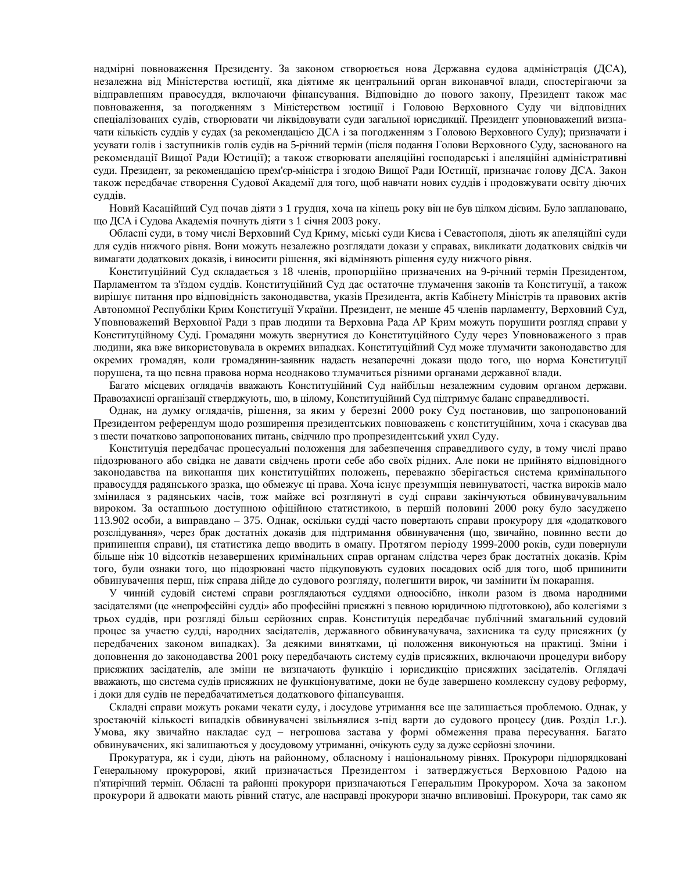надмірні повноваження Президенту. За законом створюється нова Державна судова адміністрація (ДСА), незалежна від Міністерства юстиції, яка діятиме як центральний орган виконавчої влади, спостерігаючи за відправленням правосуддя, включаючи фінансування. Відповідно до нового закону, Президент також має повноваження, за погодженням з Міністерством юстиції і Головою Верховного Суду чи відповідних спеціалізованих судів, створювати чи ліквідовувати суди загальної юрисдикції. Президент уповноважений визначати кількість суддів у судах (за рекомендацією ДСА і за погодженням з Головою Верховного Суду); призначати і үсувати голів і заступників голів судів на 5-річний термін (після подання Голови Верховного Суду, заснованого на рекомендації Вищої Ради Юстиції); а також створювати апеляційні господарські і апеляційні адміністративні суди. Президент, за рекомендацією прем'єр-міністра і згодою Вищої Ради Юстиції, призначає голову ДСА. Закон також передбачає створення Судової Академії для того, щоб навчати нових суддів і продовжувати освіту діючих суддів.

Новий Касаційний Суд почав діяти з 1 грудня, хоча на кінець року він не був цілком дієвим. Було заплановано, що ДСА і Судова Академія почнуть діяти з 1 січня 2003 року.

Обласні суди, в тому числі Верховний Суд Криму, міські суди Києва і Севастополя, діють як апеляційні суди для судів нижчого рівня. Вони можуть незалежно розглядати докази у справах, викликати додаткових свідків чи вимагати додаткових доказів, і виносити рішення, які відміняють рішення суду нижчого рівня.

Конституційний Суд складається з 18 членів, пропорційно призначених на 9-річний термін Президентом, Парламентом та з'їздом суддів. Конституційний Суд дає остаточне тлумачення законів та Конституції, а також вирішує питання про відповідність законодавства, указів Президента, актів Кабінету Міністрів та правових актів Автономної Республіки Крим Конституції України. Президент, не менше 45 членів парламенту, Верховний Суд, Уповноважений Верховної Ради з прав людини та Верховна Рада АР Крим можуть порушити розгляд справи у Конституційному Суді. Громадяни можуть звернутися до Конституційного Суду через Уповноваженого з прав людини, яка вже використовувала в окремих випадках. Конституційний Суд може тлумачити законодавство для окремих громадян, коли громадянин-заявник надасть незаперечні докази щодо того, що норма Конституції порушена, та що певна правова норма неоднаково тлумачиться різними органами державної влади.

Багато місцевих оглядачів вважають Конституційний Суд найбільш незалежним судовим органом держави. Правозахисні організації стверджують, що, в цілому, Конституційний Суд підтримує баланс справедливості.

Однак, на думку оглядачів, рішення, за яким у березні 2000 року Суд постановив, що запропонований Президентом референдум щодо розширення президентських повноважень є конституційним, хоча і скасував два з шести початково запропонованих питань, свідчило про пропрезидентський ухил Суду.

Конституція передбачає процесуальні положення для забезпечення справедливого суду, в тому числі право підозрюваного або свідка не давати свідчень проти себе або своїх рідних. Але поки не прийнято відповідного законодавства на виконання цих конституційних положень, переважно зберігається система кримінального правосуддя радянського зразка, що обмежує ці права. Хоча існує презумпція невинуватості, частка вироків мало змінилася з радянських часів, тож майже всі розглянуті в суді справи закінчуються обвинувачувальним вироком. За останньою доступною офіційною статистикою, в першій половині 2000 року було засуджено 113.902 особи, а виправдано – 375. Однак, оскільки судді часто повертають справи прокурору для «додаткового розслідування», через брак достатніх доказів для підтримання обвинувачення (що, звичайно, повинно вести до припинення справи), ця статистика дещо вводить в оману. Протягом періоду 1999-2000 років, суди повернули більше ніж 10 відсотків незавершених кримінальних справ органам слідства через брак достатніх доказів. Крім того, були ознаки того, що підозрювані часто підкуповують судових посадових осіб для того, щоб припинити обвинувачення перш, ніж справа дійде до судового розгляду, полегшити вирок, чи замінити їм покарання.

У чинній судовій системі справи розглядаються суддями одноосібно, інколи разом із двома народними засідателями (це «непрофесійні судді» або професійні присяжні з певною юридичною підготовкою), або колегіями з трьох суддів, при розгляді більш серйозних справ. Конституція передбачає публічний змагальний судовий процес за участю судді, народних засідателів, державного обвинувачувача, захисника та суду присяжних (у передбачених законом випадках). За деякими винятками, ці положення виконуються на практиці. Зміни і доповнення до законодавства 2001 року передбачають систему судів присяжних, включаючи процедури вибору присяжних засідателів, але зміни не визначають функцію і юрисдикцію присяжних засідателів. Оглядачі вважають, що система судів присяжних не функціонуватиме, доки не буде завершено комлексну судову реформу, і доки для судів не передбачатиметься додаткового фінансування.

Складні справи можуть роками чекати суду, і досудове утримання все ще залишається проблемою. Однак, у зростаючій кількості випадків обвинувачені звільнялися з-під варти до судового процесу (див. Розділ 1.г.). Умова, яку звичайно накладає суд - негрошова застава у формі обмеження права пересування. Багато обвинувачених, які залишаються у досудовому утриманні, очікують суду за дуже серйозні злочини.

Прокуратура, як і суди, діють на районному, обласному і національному рівнях. Прокурори підпорядковані Генеральному прокуророві, який призначається Президентом і затверджується Верховною Радою на п'ятирічний термін. Обласні та районні прокурори призначаються Генеральним Прокурором. Хоча за законом прокурори й адвокати мають рівний статус, але насправді прокурори значно впливовіші. Прокурори, так само як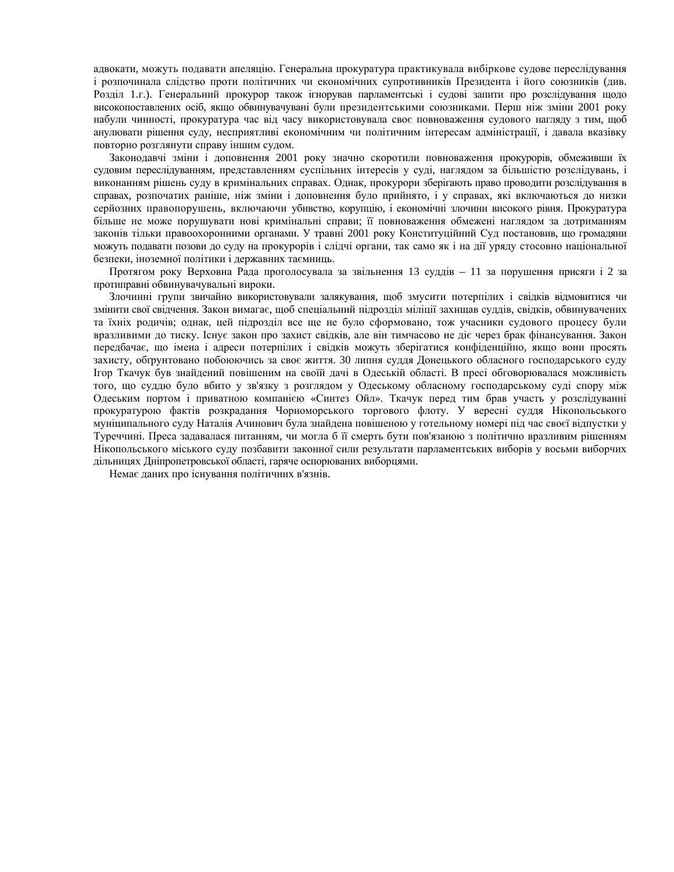адвокати, можуть подавати апеляцію. Генеральна прокуратура практикувала вибіркове судове переслідування і розпочинала слідство проти політичних чи економічних супротивників Президента і його союзників (див. Розділ 1.г.). Генеральний прокурор також ігнорував парламентські і судові запити про розслідування щодо високопоставлених осіб, якщо обвинувачувані були президентськими союзниками. Перш ніж зміни 2001 року набули чинності, прокуратура час від часу використовувала своє повноваження судового нагляду з тим, щоб анулювати рішення суду, несприятливі економічним чи політичним інтересам адміністрації, і давала вказівку повторно розглянути справу іншим судом.

Законодавчі зміни і доповнення 2001 року значно скоротили повноваження прокурорів, обмеживши їх судовим переслідуванням, представленням суспільних інтересів у суді, наглядом за більшістю розслідувань, і виконанням рішень суду в кримінальних справах. Однак, прокурори зберігають право проводити розслідування в справах, розпочатих раніше, ніж зміни і доповнення було прийнято, і у справах, які включаються до низки серйозних правопорушень, включаючи убивство, корупцію, і економічні злочини високого рівня. Прокуратура більше не може порушувати нові кримінальні справи: її повноваження обмежені наглялом за лотриманням законів тільки правоохоронними органами. У травні 2001 року Конституційний Суд постановив, що громадяни можуть подавати позови до суду на прокурорів і слідчі органи, так само як і на дії уряду стосовно національної безпеки, іноземної політики і державних таємниць.

Протягом року Верховна Рада проголосувала за звільнення 13 суддів - 11 за порушення присяги і 2 за протиправні обвинувачувальні вироки.

Злочинні групи звичайно використовували залякування, щоб змусити потерпілих і свідків відмовитися чи змінити свої свідчення. Закон вимагає, щоб спеціальний підрозділ міліції захищав суддів, свідків, обвинувачених та їхніх родичів; однак, цей підрозділ все ще не було сформовано, тож учасники судового процесу були вразливими до тиску. Існує закон про захист свідків, але він тимчасово не діє через брак фінансування. Закон передбачає, що імена і адреси потерпілих і свідків можуть зберігатися конфіденційно, якщо вони просять захисту, обґрунтовано побоюючись за своє життя. 30 липня суддя Донецького обласного господарського суду Iгор Ткачук був знайдений повішеним на своїй дачі в Одеській області. В пресі обговорювалася можливість того, що суддю було вбито у зв'язку з розглядом у Одеському обласному господарському суді спору між Одеським портом і приватною компанією «Синтез Ойл». Ткачук перед тим брав участь у розслідуванні прокуратурою фактів розкрадання Чорноморського торгового флоту. У вересні суддя Нікопольського муніципального суду Наталія Ачинович була знайдена повішеною у готельному номері під час своєї відпустки у Туреччині. Преса задавалася питанням, чи могла б її смерть бути пов'язаною з політично вразливим рішенням Нікопольського міського суду позбавити законної сили результати парламентських виборів у восьми виборчих дільницях Дніпропетровської області, гаряче оспорюваних виборцями.

Немає даних про існування політичних в'язнів.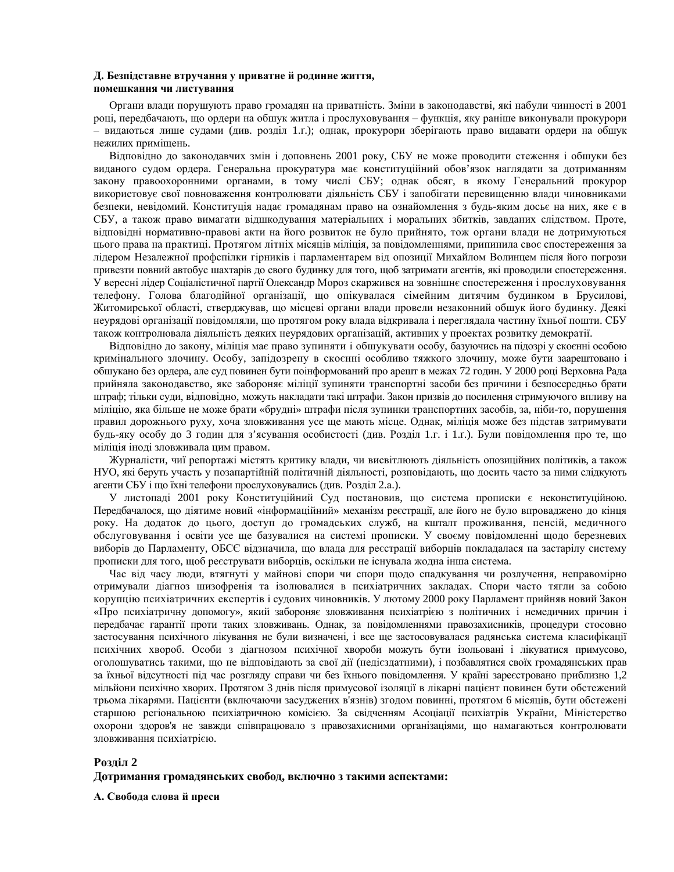#### Д. Безпідставне втручання у приватне й родинне життя, помешкання чи листування

Органи влади порушують право громадян на приватність. Зміни в законодавстві, які набули чинності в 2001 році, передбачають, що ордери на обшук житла і прослуховування – функція, яку раніше виконували прокурори – видаються лише судами (див. розділ 1.г.); однак, прокурори зберігають право видавати ордери на обшук нежилих приміщень.

Відповідно до законодавчих змін і доповнень 2001 року, СБУ не може проводити стеження і обшуки без виданого судом ордера. Генеральна прокуратура має конституційний обов'язок наглядати за дотриманням закону правоохоронними органами, в тому числі СБУ; однак обсяг, в якому Генеральний прокурор використовує свої повноваження контролювати діяльність СБУ і запобігати перевищенню влади чиновниками безпеки, невідомий. Конституція надає громадянам право на ознайомлення з будь-яким досьє на них, яке є в СБУ, а також право вимагати відшкодування матеріальних і моральних збитків, завданих слідством. Проте, відповідні нормативно-правові акти на його розвиток не було прийнято, тож органи влади не дотримуються цього права на практиці. Протягом літніх місяців міліція, за повідомленнями, припинила своє спостереження за лідером Незалежної профспілки гірників і парламентарем від опозиції Михайлом Волинцем після його погрози привезти повний автобус шахтарів до свого будинку для того, щоб затримати агентів, які проводили спостереження. У вересні лідер Соціалістичної партії Олександр Мороз скаржився на зовнішнє спостереження і прослуховування телефону. Голова благодійної організації, що опікувалася сімейним дитячим будинком в Брусилові, Житомирської області, стверджував, що місцеві органи влади провели незаконний обшук його будинку. Деякі неурядові організації повідомляли, що протягом року влада відкривала і переглядала частину їхньої пошти. СБУ також контролювала діяльність деяких неурядових організацій, активних у проектах розвитку демократії.

Відповідно до закону, міліція має право зупиняти і обшукувати особу, базуючись на підозрі у скоєнні особою кримінального злочину. Особу, запідозрену в скоєнні особливо тяжкого злочину, може бути заарештовано і обшукано без ордера, але суд повинен бути поінформований про арешт в межах 72 годин. У 2000 році Верховна Рада прийняла законодавство, яке забороняє міліції зупиняти транспортні засоби без причини і безпосередньо брати штраф; тільки суди, відповідно, можуть накладати такі штрафи. Закон призвів до посилення стримуючого впливу на міліцію, яка більше не може брати «брудні» штрафи після зупинки транспортних засобів, за, ніби-то, порушення правил дорожнього руху, хоча зловживання усе ще мають місце. Однак, міліція може без підстав затримувати будь-яку особу до 3 годин для з'ясування особистості (див. Розділ 1.г. і 1.г.). Були повідомлення про те, що міліція іноді зловживала цим правом.

Журналісти, чиї репортажі містять критику влади, чи висвітлюють діяльність опозиційних політиків, а також НУО, які беруть участь у позапартійній політичній діяльності, розповідають, що досить часто за ними слідкують агенти СБУ і що їхні телефони прослуховувались (див. Розділ 2.а.).

У листопаді 2001 року Конституційний Суд постановив, що система прописки є неконституційною. Передбачалося, що діятиме новий «інформаційний» механізм реєстрації, але його не було впроваджено до кінця року. На додаток до цього, доступ до громадських служб, на кшталт проживання, пенсій, медичного обслуговування і освіти усе ще базувалися на системі прописки. У своєму повідомленні щодо березневих виборів до Парламенту, ОБСЄ відзначила, що влада для реєстрації виборців покладалася на застарілу систему прописки для того, щоб реєструвати виборців, оскільки не існувала жодна інша система.

Час від часу люди, втягнуті у майнові спори чи спори щодо спадкування чи розлучення, неправомірно отримували діагноз шизофренія та ізолювалися в психіатричних закладах. Спори часто тягли за собою корупцію психіатричних експертів і судових чиновників. У лютому 2000 року Парламент прийняв новий Закон «Про психіатричну допомогу», який забороняє зловживання психіатрією з політичних і немедичних причин і передбачає гарантії проти таких зловживань. Однак, за повідомленнями правозахисників, процедури стосовно застосування психічного лікування не були визначені, і все ще застосовувалася радянська система класифікації психічних хвороб. Особи з діагнозом психічної хвороби можуть бути ізольовані і лікуватися примусово, оголошуватись такими, що не відповідають за свої дії (недієздатними), і позбавлятися своїх громадянських прав за їхньої відсутності під час розгляду справи чи без їхнього повідомлення. У країні зареєстровано приблизно 1,2 мільйони психічно хворих. Протягом 3 днів після примусової ізоляції в лікарні пацієнт повинен бути обстежений трьома лікарями. Пацієнти (включаючи засуджених в'язнів) згодом повинні, протягом 6 місяців, бути обстежені старшою регіональною психіатричною комісією. За свідченням Асоціації психіатрів України, Міністерство охорони здоров'я не завжди співпрацювало з правозахисними організаціями, що намагаються контролювати зловживання психіатрією.

## **Розліл 2**  $\Lambda$ отримання громадянських свобод, включно з такими аспектами:

 $A$ . Свобода слова й преси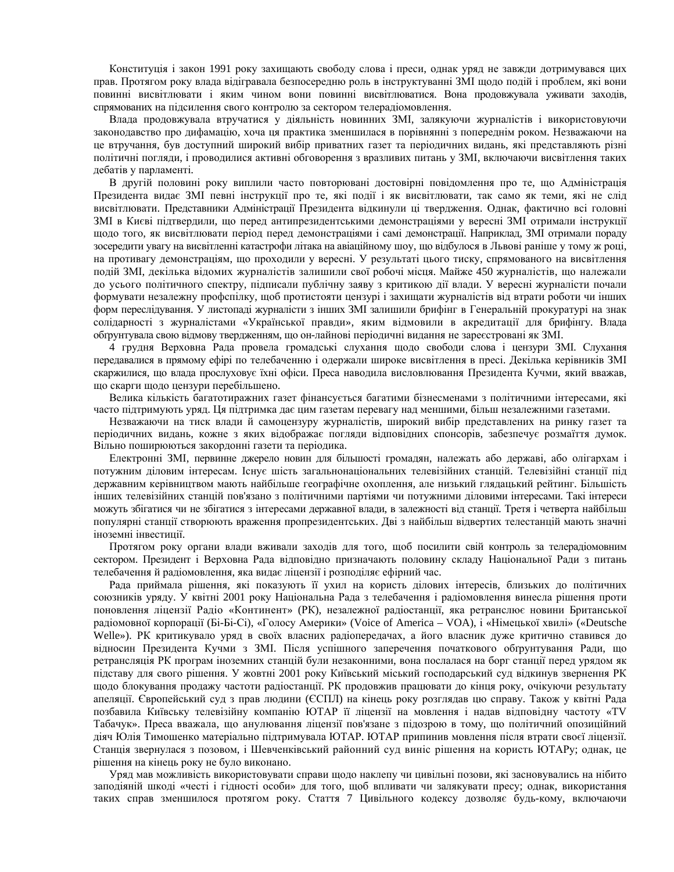Конституція і закон 1991 року захищають свободу слова і преси, однак уряд не завжди дотримувався цих прав. Протягом року влада відігравала безпосередню роль в інструктуванні ЗМІ щодо подій і проблем, які вони повинні висвітлювати і яким чином вони повинні висвітлюватися. Вона продовжувала уживати заходів, спрямованих на підсилення свого контролю за сектором телерадіомовлення.

Влада продовжувала втручатися у діяльність новинних ЗМІ, залякуючи журналістів і використовуючи законодавство про дифамацію, хоча ця практика зменшилася в порівнянні з попереднім роком. Незважаючи на це втручання, був доступний широкий вибір приватних газет та періодичних видань, які представляють різні політичні погляди, і проводилися активні обговорення з вразливих питань у ЗМІ, включаючи висвітлення таких дебатів у парламенті.

В другій половині року виплили часто повторювані достовірні повідомлення про те, що Адміністрація Президента видає ЗМІ певні інструкції про те, які події і як висвітлювати, так само як теми, які не слід висвітлювати. Представники Адміністрації Президента відкинули ці твердження. Однак, фактично всі головні ЗМІ в Києві підтвердили, що перед антипрезидентськими демонстраціями у вересні ЗМІ отримали інструкції щодо того, як висвітлювати період перед демонстраціями і самі демонстрації. Наприклад, ЗМІ отримали пораду зосередити увагу на висвітленні катастрофи літака на авіаційному шоу, що відбулося в Львові раніше у тому ж році, на противагу демонстраціям, що проходили у вересні. У результаті цього тиску, спрямованого на висвітлення подій ЗМІ, декілька відомих журналістів залишили свої робочі місця. Майже 450 журналістів, що належали до усього політичного спектру, підписали публічну заяву з критикою дії влади. У вересні журналісти почали формувати незалежну профспілку, щоб протистояти цензурі і захищати журналістів від втрати роботи чи інших форм переслідування. У листопаді журналісти з інших ЗМІ залишили брифінг в Генеральній прокуратурі на знак солідарності з журналістами «Української правди», яким відмовили в акредитації для брифінгу. Влада обтрунтувала свою відмову твердженням, що он-лайнові періодичні видання не зареєстровані як ЗМІ.

4 грудня Верховна Рада провела громадські слухання щодо свободи слова і цензури ЗМІ. Слухання передавалися в прямому ефірі по телебаченню і одержали широке висвітлення в пресі. Декілька керівників ЗМІ скаржилися, що влада прослуховує їхні офіси. Преса наводила висловлювання Президента Кучми, який вважав, що скарги щодо цензури перебільшено.

Велика кількість багатотиражних газет фінансується багатими бізнесменами з політичними інтересами, які часто підтримують уряд. Ця підтримка дає цим газетам перевагу над меншими, більш незалежними газетами.

Незважаючи на тиск влади й самоцензуру журналістів, широкий вибір представлених на ринку газет та періодичних видань, кожне з яких відображає погляди відповідних спонсорів, забезпечує розмаїття думок. Вільно поширюються закордонні газети та періодика.

Електронні ЗМІ, первинне джерело новин для більшості громадян, належать або державі, або олігархам і потужним діловим інтересам. Існує шість загальнонаціональних телевізійних станцій. Телевізійні станції під державним керівництвом мають найбільше географічне охоплення, але низький глядацький рейтинг. Більшість інших телевізійних станцій пов'язано з політичними партіями чи потужними діловими інтересами. Такі інтереси можуть збігатися чи не збігатися з інтересами державної влади, в залежності від станції. Третя і четверта найбільш популярні станції створюють враження пропрезидентських. Дві з найбільш відвертих телестанцій мають значні іноземні інвестиції.

Протягом року органи влади вживали заходів для того, щоб посилити свій контроль за телерадіомовним сектором. Президент і Верховна Рада відповідно призначають половину складу Національної Ради з питань телебачення й радіомовлення, яка видає ліцензії і розподіляє ефірний час.

Рада приймала рішення, які показують її ухил на користь ділових інтересів, близьких до політичних союзників уряду. У квітні 2001 року Національна Рада з телебачення і радіомовлення винесла рішення проти поновлення ліцензії Радіо «Континент» (РК), незалежної радіостанції, яка ретранслює новини Британської радіомовної корпорації (Бі-Бі-Сі), «Голосу Америки» (Voice of America – VOA), і «Німецької хвилі» («Deutsche Welle»). РК критикувало уряд в своїх власних радіопередачах, а його власник дуже критично ставився до відносин Президента Кучми з ЗМІ. Після успішного заперечення початкового обґрунтування Ради, що ретрансляція РК програм іноземних станцій були незаконними, вона послалася на борг станції перед урядом як підставу для свого рішення. У жовтні 2001 року Київський міський господарський суд відкинув звернення РК щодо блокування продажу частоти радіостанції. РК продовжив працювати до кінця року, очікуючи результату апеляції. Європейський суд з прав людини (ЄСПЛ) на кінець року розглядав цю справу. Також у квітні Рада позбавила Київську телевізійну компанію ЮТАР її ліцензії на мовлення і надав відповідну частоту «TV Табачук». Преса вважала, що анулювання ліцензії пов'язане з підозрою в тому, що політичний опозиційний діяч Юлія Тимошенко матеріально підтримувала ЮТАР. ЮТАР припинив мовлення після втрати своєї ліцензії. Станція звернулася з позовом, і Шевченківський районний суд виніс рішення на користь ЮТАРу; однак, це рішення на кінець року не було виконано.

Уряд мав можливість використовувати справи щодо наклепу чи цивільні позови, які засновувались на нібито заподіяній шкоді «честі і гідності особи» для того, щоб впливати чи залякувати пресу; однак, використання таких справ зменшилося протягом року. Стаття 7 Цивільного кодексу дозволяє будь-кому, включаючи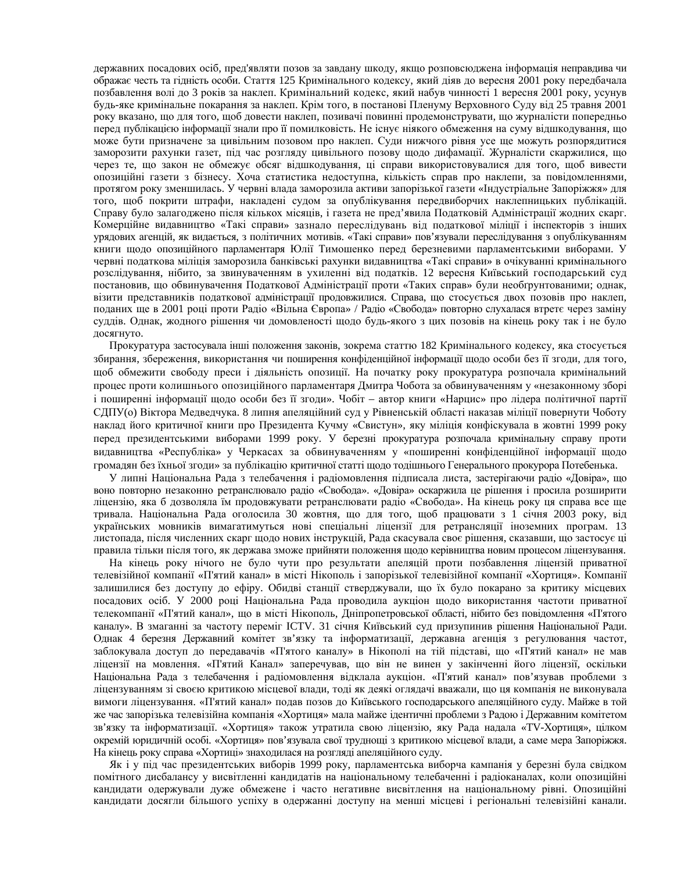державних посадових осіб, пред'являти позов за завдану шкоду, якщо розповсюджена інформація неправдива чи ображає честь та гідність особи. Стаття 125 Кримінального кодексу, який діяв до вересня 2001 року передбачала позбавлення волі до 3 років за наклеп. Кримінальний кодекс, який набув чинності 1 вересня 2001 року, усунув будь-яке кримінальне покарання за наклеп. Крім того, в постанові Пленуму Верховного Суду від 25 травня 2001 року вказано, що для того, щоб довести наклеп, позивачі повинні продемонструвати, що журналісти попередньо перед публікацією інформації знали про її помилковість. Не існує ніякого обмеження на суму відшкодування, що може бути призначене за цивільним позовом про наклеп. Суди нижчого рівня усе ще можуть розпорядитися заморозити рахунки газет, під час розгляду цивільного позову щодо дифамації. Журналісти скаржилися, що через те, що закон не обмежує обсяг відшкодування, ці справи використовувалися для того, щоб вивести опозиційні газети з бізнесу. Хоча статистика недоступна, кількість справ про наклепи, за повідомленнями, протягом року зменшилась. У червні влада заморозила активи запорізької газети «Індустріальне Запоріжжя» для того, щоб покрити штрафи, накладені судом за опублікування передвиборчих наклепницьких публікацій. Справу було залагоджено після кількох місяців, і газета не пред'явила Податковій Адміністрації жодних скарг. Комерційне видавництво «Такі справи» зазнало переслідувань від податкової міліції і інспекторів з інших урядових агенцій, як видається, з політичних мотивів. «Такі справи» пов'язували переслідування з опублікуванням книги щодо опозиційного парламентаря Юлії Тимошенко перед березневими парламентськими виборами. У червні податкова міліція заморозила банківські рахунки видавництва «Такі справи» в очікуванні кримінального розслідування, нібито, за звинуваченням в ухиленні від податків. 12 вересня Київський господарський суд постановив, що обвинувачення Податкової Адміністрації проти «Таких справ» були необґрунтованими; однак, візити представників податкової адміністрації продовжилися. Справа, що стосується двох позовів про наклеп, поданих ще в 2001 році проти Радіо «Вільна Європа» / Радіо «Свобода» повторно слухалася втретє через заміну суддів. Однак, жодного рішення чи домовленості щодо будь-якого з цих позовів на кінець року так і не було досягнуто.

Прокуратура застосувала інші положення законів, зокрема статтю 182 Кримінального кодексу, яка стосується збирання, збереження, використання чи поширення конфіденційної інформації щодо особи без її згоди, для того, щоб обмежити свободу преси і діяльність опозиції. На початку року прокуратура розпочала кримінальний процес проти колишнього опозиційного парламентаря Дмитра Чобота за обвинуваченням у «незаконному зборі і поширенні інформації щодо особи без її згоди». Чобіт – автор книги «Нарцис» про лідера політичної партії СДПУ(о) Віктора Медведчука. 8 липня апеляційний суд у Рівненській області наказав міліції повернути Чоботу наклад його критичної книги про Президента Кучму «Свистун», яку міліція конфіскувала в жовтні 1999 року перед президентськими виборами 1999 року. У березні прокуратура розпочала кримінальну справу проти видавництва «Республіка» у Черкасах за обвинуваченням у «поширенні конфіденційної інформації щодо громадян без їхньої згоди» за публікацію критичної статті щодо тодішнього Генерального прокурора Потебенька.

У липні Національна Рада з телебачення і радіомовлення підписала листа, застерігаючи радіо «Довіра», що воно повторно незаконно ретранслювало радіо «Свобода». «Довіра» оскаржила це рішення і просила розширити ліцензію, яка б дозволяла їм продовжувати ретранслювати радіо «Свобода». На кінець року ця справа все ще тривала. Національна Рада оголосила 30 жовтня, що для того, щоб працювати з 1 січня 2003 року, від українських мовників вимагатимуться нові спеціальні ліцензії для ретрансляції іноземних програм. 13 листопада, після численних скарг щодо нових інструкцій, Рада скасувала своє рішення, сказавши, що застосує ці правила тільки після того, як держава зможе прийняти положення щодо керівництва новим процесом ліцензування.

На кінець року нічого не було чути про результати апеляцій проти позбавлення ліцензій приватної телевізійної компанії «П'ятий канал» в місті Нікополь і запорізької телевізійної компанії «Хортиця». Компанії залишилися без доступу до ефіру. Обидві станції стверджували, що їх було покарано за критику місцевих посадових осіб. У 2000 році Національна Рада проводила аукціон щодо використання частоти приватної телекомпанії «П'ятий канал», що в місті Нікополь, Дніпропетровської області, нібито без повідомлення «П'ятого каналу». В змаганні за частоту переміг ІСТV. 31 січня Київський суд призупинив рішення Національної Ради. Однак 4 березня Державний комітет зв'язку та інформатизації, державна агенція з регулювання частот, заблокувала доступ до передавачів «П'ятого каналу» в Нікополі на тій підставі, що «П'ятий канал» не мав ліцензії на мовлення. «П'ятий Канал» заперечував, що він не винен у закінченні його ліцензії, оскільки Національна Рада з телебачення і радіомовлення відклала аукціон. «П'ятий канал» пов'язував проблеми з ліцензуванням зі своєю критикою місцевої влади, тоді як деякі оглядачі вважали, що ця компанія не виконувала вимоги ліцензування. «П'ятий канал» подав позов до Київського господарського апеляційного суду. Майже в той же час запорізька телевізійна компанія «Хортиця» мала майже ідентичні проблеми з Радою і Державним комітетом зв'язку та інформатизації. «Хортиця» також утратила свою ліцензію, яку Рада надала «ТV-Хортиця», цілком окремій юридичній особі. «Хортиця» пов'язувала свої труднощі з критикою місцевої влади, а саме мера Запоріжжя. На кінець року справа «Хортиці» знахолилася на розглялі апеляційного сулу.

Як і у під час президентських виборів 1999 року, парламентська виборча кампанія у березні була свідком помітного дисбалансу у висвітленні кандидатів на національному телебаченні і радіоканалах, коли опозиційні кандидати одержували дуже обмежене і часто негативне висвітлення на національному рівні. Опозиційні кандидати досягли більшого успіху в одержанні доступу на менші місцеві і регіональні телевізійні канали.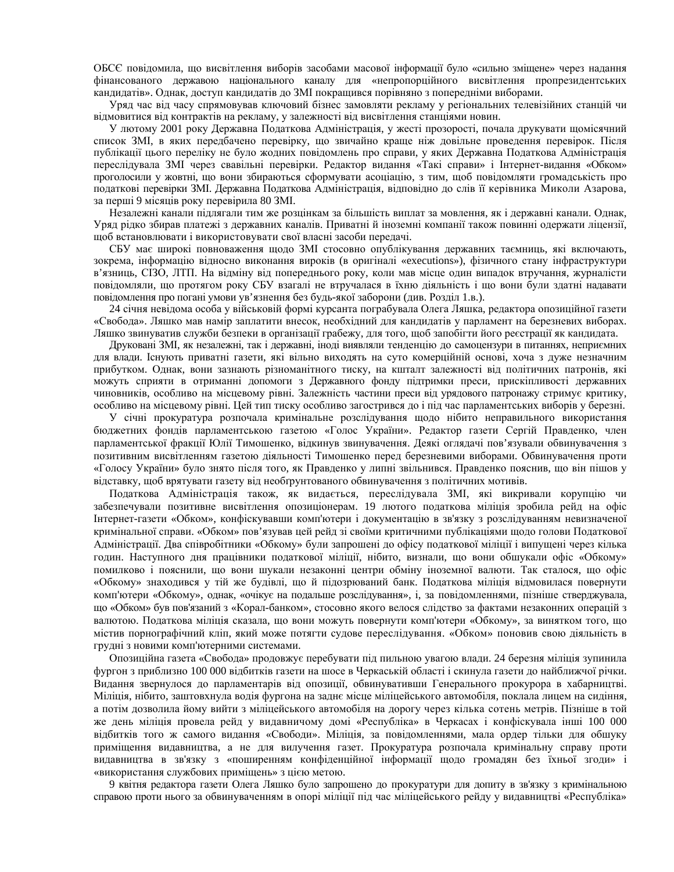ОБСЄ повідомила, що висвітлення виборів засобами масової інформації було «сильно зміщене» через надання фінансованого державою національного каналу для «непропорційного висвітлення пропрезидентських кандидатів». Однак, доступ кандидатів до ЗМІ покращився порівняно з попередніми виборами.

Уряд час від часу спрямовував ключовий бізнес замовляти рекламу у регіональних телевізійних станцій чи відмовитися від контрактів на рекламу, у залежності від висвітлення станціями новин.

У лютому 2001 року Державна Податкова Адміністрація, у жесті прозорості, почала друкувати щомісячний список ЗМІ, в яких передбачено перевірку, що звичайно краще ніж довільне проведення перевірок. Після публікації цього переліку не було жодних повідомлень про справи, у яких Державна Податкова Адміністрація переслідувала ЗМІ через свавільні перевірки. Редактор видання «Такі справи» і Інтернет-видання «Обком» проголосили у жовтні, що вони збираються сформувати асоціацію, з тим, щоб повідомляти громадськість про податкові перевірки ЗМІ. Державна Податкова Адміністрація, відповідно до слів її керівника Миколи Азарова, за перші 9 місяців року перевірила 80 ЗМІ.

Незалежні канали підлягали тим же розцінкам за більшість виплат за мовлення, як і державні канали. Однак, Уряд рідко збирав платежі з державних каналів. Приватні й іноземні компанії також повинні одержати ліцензії, щоб встановлювати і використовувати свої власні засоби передачі.

СБУ має широкі повноваження щодо ЗМІ стосовно опублікування державних таємниць, які включають, зокрема, інформацію відносно виконання вироків (в оригіналі «executions»), фізичного стану інфраструктури в'язниць, СІЗО, ЛТП. На відміну від попереднього року, коли мав місце один випадок втручання, журналісти повідомляли, що протягом року СБУ взагалі не втручалася в їхню діяльність і що вони були здатні надавати повідомлення про погані умови ув'язнення без будь-якої заборони (див. Розділ 1.в.).

24 січня невідома особа у військовій формі курсанта пограбувала Олега Ляшка, редактора опозиційної газети «Свобода». Ляшко мав намір заплатити внесок, необхідний для кандидатів у парламент на березневих виборах. Ляшко звинуватив служби безпеки в організації грабежу, для того, щоб запобігти його реєстрації як кандидата.

Друковані ЗМІ, як незалежні, так і державні, іноді виявляли тенденцію до самоцензури в питаннях, неприємних для влади. Існують приватні газети, які вільно виходять на суто комерційній основі, хоча з дуже незначним прибутком. Однак, вони зазнають різноманітного тиску, на кшталт залежності від політичних патронів, які можуть сприяти в отриманні допомоги з Державного фонду підтримки преси, прискіпливості державних чиновників, особливо на місцевому рівні. Залежність частини преси від урядового патронажу стримує критику, особливо на місцевому рівні. Цей тип тиску особливо загострився до і під час парламентських виборів у березні.

У січні прокуратура розпочала кримінальне розслідування щодо нібито неправильного використання бюджетних фондів парламентською газетою «Голос України». Редактор газети Сергій Правденко, член парламентської фракції Юлії Тимошенко, відкинув звинувачення. Деякі оглядачі пов'язували обвинувачення з позитивним висвітленням газетою діяльності Тимошенко перед березневими виборами. Обвинувачення проти «Голосу України» було знято після того, як Правденко у липні звільнився. Правденко пояснив, що він пішов у відставку, щоб врятувати газету від необґрунтованого обвинувачення з політичних мотивів.

Податкова Адміністрація також, як видається, переслідувала ЗМІ, які викривали корупцію чи забезпечували позитивне висвітлення опозиціонерам. 19 лютого податкова міліція зробила рейд на офіс Інтернет-газети «Обком», конфіскувавши комп'ютери і документацію в зв'язку з розслідуванням невизначеної кримінальної справи. «Обком» пов'язував цей рейд зі своїми критичними публікаціями щодо голови Податкової Адміністрації. Два співробітники «Обкому» були запрошені до офісу податкової міліції і випущені через кілька годин. Наступного дня працівники податкової міліції, нібито, визнали, що вони обшукали офіс «Обкому» помилково і пояснили, що вони шукали незаконні центри обміну іноземної валюти. Так сталося, що офіс «Обкому» знаходився у тій же будівлі, що й підозрюваний банк. Податкова міліція відмовилася повернути комп'ютери «Обкому», однак, «очікує на подальше розслідування», і, за повідомленнями, пізніше стверджувала, що «Обком» був пов'язаний з «Корал-банком», стосовно якого велося слідство за фактами незаконних операцій з валютою. Податкова міліція сказала, що вони можуть повернути комп'ютери «Обкому», за винятком того, що містив порнографічний кліп, який може потягти судове переслідування. «Обком» поновив свою діяльність в грудні з новими комп'ютерними системами.

Опозиційна газета «Свобода» продовжує перебувати під пильною увагою влади. 24 березня міліція зупинила фургон з приблизно 100 000 відбитків газети на шосе в Черкаській області і скинула газети до найближчої річки. Видання звернулося до парламентарів від опозиції, обвинувативши Генерального прокурора в хабарництві. Міліція, нібито, заштовхнула водія фургона на заднє місце міліцейського автомобіля, поклала лицем на сидіння, а потім дозволила йому вийти з міліцейського автомобіля на дорогу через кілька сотень метрів. Пізніше в той же день міліція провела рейд у видавничому домі «Республіка» в Черкасах і конфіскувала інші 100 000 відбитків того ж самого видання «Свободи». Міліція, за повідомленнями, мала ордер тільки для обшуку приміщення видавництва, а не для вилучення газет. Прокуратура розпочала кримінальну справу проти видавництва в зв'язку з «поширенням конфіденційної інформації щодо громадян без їхньої згоди» і «використання службових приміщень» з цією метою.

9 квітня редактора газети Олега Ляшко було запрошено до прокуратури для допиту в зв'язку з кримінальною справою проти нього за обвинуваченням в опорі міліції під час міліцейського рейду у видавництві «Республіка»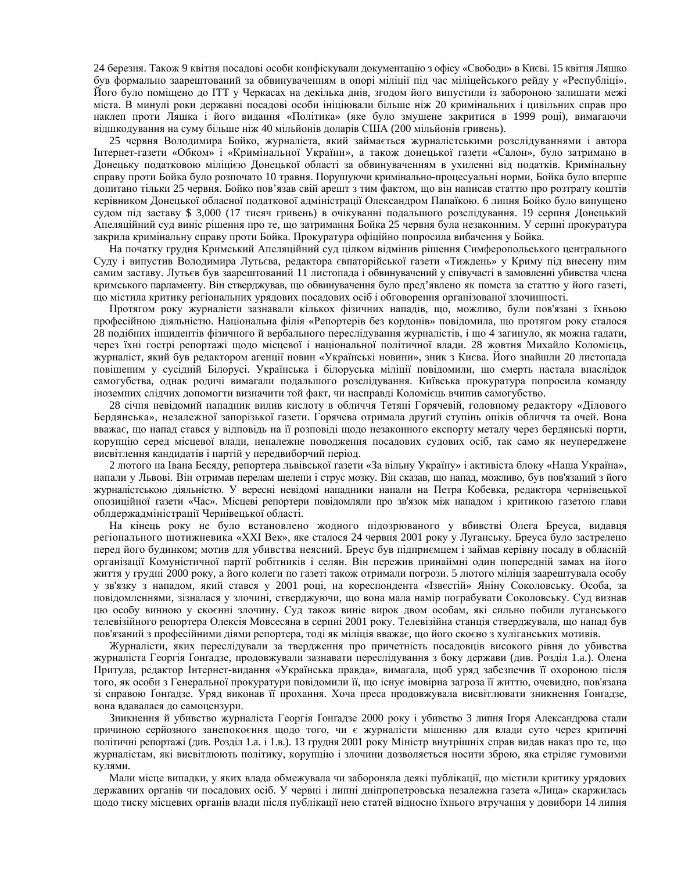24 березня. Також 9 квітня посадові особи конфіскували документацію з офісу «Свободи» в Києві. 15 квітня Ляшко був формально заарештований за обвинуваченням в опорі міліції під час міліцейського рейду у «Республіці». Його було поміщено до ІТТ у Черкасах на декілька днів, згодом його випустили із забороною залишати межі міста. В минулі роки державні посадові особи ініціювали більше ніж 20 кримінальних і цивільних справ про наклеп проти Ляшка і його видання «Політика» (яке було змушене закритися в 1999 році), вимагаючи відшкодування на суму більше ніж 40 мільйонів доларів США (200 мільйонів гривень).

25 червня Володимира Бойко, журналіста, який займається журналістськими розслідуваннями і автора Інтернет-газети «Обком» і «Кримінальної України», а також донецької газети «Салон», було затримано в Донецьку податковою міліцією Донецької області за обвинуваченням в ухиленні від податків. Кримінальну справу проти Бойка було розпочато 10 травня. Порушуючи кримінально-процесуальні норми, Бойка було вперше допитано тільки 25 червня. Бойко пов'язав свій арешт з тим фактом, що він написав статтю про розтрату коштів керівником Донецької обласної податкової адміністрації Олександром Папаїкою. 6 липня Бойко було випущено судом під заставу \$ 3,000 (17 тисяч гривень) в очікуванні подальшого розслідування. 19 серпня Донецький Апеляційний суд виніс рішення про те, що затримання Бойка 25 червня була незаконним. У серпні прокуратура закрила кримінальну справу проти Бойка. Прокуратура офіційно попросила вибачення у Бойка.

На початку грудня Кримський Апеляційний суд цілком відмінив рішення Симферопольського центрального Суду і випустив Володимира Лутьєва, редактора євпаторійської газети «Тиждень» у Криму під внесену ним самим заставу. Лутьєв був заарештований 11 листопада і обвинувачений у співучасті в замовленні убивства члена кримського парламенту. Він стверджував, що обвинувачення було пред'явлено як помста за статтю у його газеті, що містила критику регіональних урядових посадових осіб і обговорення організованої злочинності.

Протягом року журналісти зазнавали кількох фізичних нападів, що, можливо, були пов'язані з їхньою професійною діяльністю. Національна філія «Репортерів без кордонів» повідомила, що протягом року сталося 28 подібних інцидентів фізичного й вербального переслідування журналістів, і що 4 загинуло, як можна гадати, через їхні гострі репортажі щодо місцевої і національної політичної влади. 28 жовтня Михайло Коломієць, журналіст, який був редактором агенції новин «Українські новини», зник з Києва. Його знайшли 20 листопада повішеним у сусідній Білорусі. Українська і білоруська міліції повідомили, що смерть настала внаслідок самогубства, однак родичі вимагали подальшого розслідування. Київська прокуратура попросила команду іноземних слідчих допомогти визначити той факт, чи насправді Коломієць вчинив самогубство.

28 січня невідомий нападник вилив кислоту в обличчя Тетяні Горячевій, головному редактору «Ділового Бердянська», незалежної запорізької газети. Горячева отримала другий ступінь опіків обличчя та очей. Вона вважає, що напад стався у відповідь на її розповіді щодо незаконного експорту металу через бердянські порти, корупцію серед місцевої влади, неналежне поводження посадових судових осіб, так само як неупереджене висвітлення кандидатів і партій у передвиборчий період.

2 лютого на Івана Бесяду, репортера львівської газети «За вільну Україну» і активіста блоку «Наша Україна», напали у Львові. Він отримав перелам щелепи і струс мозку. Він сказав, що напад, можливо, був пов'язаний з його журналістською діяльністю. У вересні невідомі нападники напали на Петра Кобевка, редактора чернівецької опозиційної газети «Час». Місцеві репортери повідомляли про зв'язок між нападом і критикою газетою глави облдержадміністрації Чернівецької області.

На кінець року не було встановлено жодного підозрюваного у вбивстві Олега Бреуса, видавця регіонального щотижневика «XXI Век», яке сталося 24 червня 2001 року у Луганську. Бреуса було застрелено перед його будинком; мотив для убивства неясний. Бреус був підприємцем і займав керівну посаду в обласній організації Комуністичної партії робітників і селян. Він пережив принаймні один попередній замах на його життя у грудні 2000 року, а його колеги по газеті також отримали погрози. 5 лютого міліція заарештувала особу у зв'язку з нападом, який стався у 2001 році, на кореспондента «Ізвєстій» Яніну Соколовську. Особа, за повідомленнями, зізналася у злочині, стверджуючи, що вона мала намір пограбувати Соколовську. Суд визнав цю особу винною у скоєнні злочину. Суд також виніс вирок двом особам, які сильно побили луганського телевізійного репортера Олексія Мовсесяна в серпні 2001 року. Телевізійна станція стверджувала, що напад був пов'язаний з професійними діями репортера, тоді як міліція вважає, що його скоєно з хуліганських мотивів.

Журналісти, яких переслідували за твердження про причетність посадовців високого рівня до убивства журналіста Георгія Ґонґадзе, продовжували зазнавати переслідування з боку держави (див. Розділ 1.а.). Олена Притула, редактор Інтернет-видання «Українська правда», вимагала, щоб уряд забезпечив її охороною після того, як особи з Генеральної прокуратури повідомили її, що існує імовірна загроза її життю, очевидно, пов'язана зі справою Ґонґадзе. Уряд виконав її прохання. Хоча преса продовжувала висвітлювати зникнення Ґонґадзе, вона вдавалася до самоцензури.

Зникнення й убивство журналіста Георгія Ґонґадзе 2000 року і убивство 3 липня Ігоря Александрова стали причиною серйозного занепокоєння щодо того, чи є журналісти мішенню для влади суто через критичні політичні репортажі (див. Розділ 1.а. і 1.в.). 13 грудня 2001 року Міністр внутрішніх справ видав наказ про те, що журналістам, які висвітлюють політику, корупцію і злочини дозволяється носити зброю, яка стріляє гумовими кулями.

Мали місце випадки, у яких влада обмежувала чи забороняла деякі публікації, що містили критику урядових державних органів чи посадових осіб. У червні і липні дніпропетровська незалежна газета «Лица» скаржилась щодо тиску місцевих органів влади після публікації нею статей відносно їхнього втручання у довибори 14 липня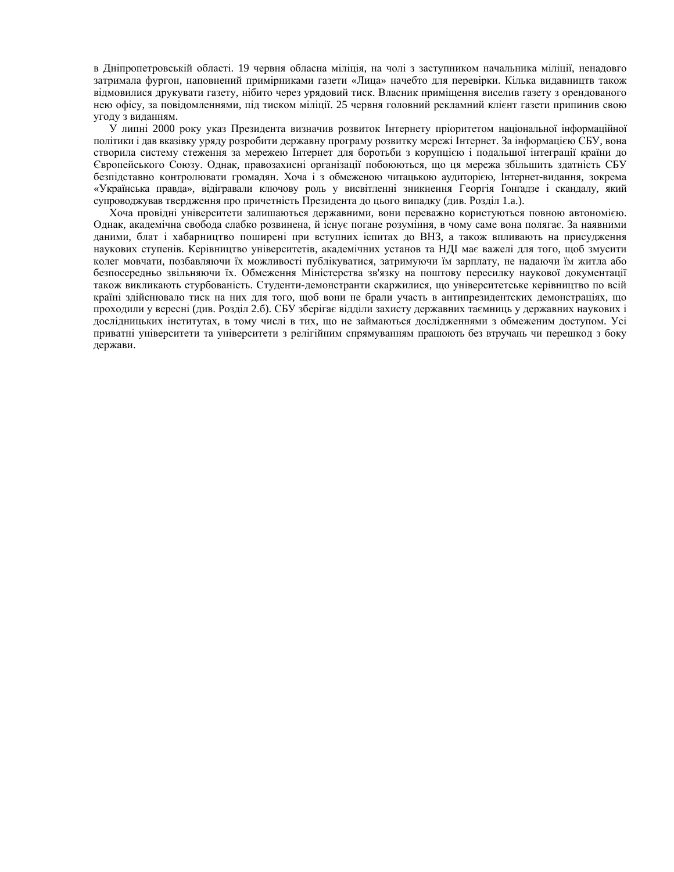в Дніпропетровській області. 19 червня обласна міліція, на чолі з заступником начальника міліції, ненадовго затримала фургон, наповнений примірниками газети «Лица» начебто для перевірки. Кілька видавництв також відмовилися друкувати газету, нібито через урядовий тиск. Власник приміщення виселив газету з орендованого нею офісу, за повідомленнями, під тиском міліції. 25 червня головний рекламний клієнт газети припинив свою угоду з виданням.

У липні 2000 року указ Президента визначив розвиток Інтернету пріоритетом національної інформаційної політики і дав вказівку уряду розробити державну програму розвитку мережі Інтернет. За інформацією СБУ, вона створила систему стеження за мережею Інтернет для боротьби з корупцією і подальшої інтеграції країни до Свропейського Союзу. Однак, правозахисні організації побоюються, що ця мережа збільшить здатність СБУ безпідставно контролювати громадян. Хоча і з обмеженою читацькою аудиторією, Інтернет-видання, зокрема «Українська правда», відігравали ключову роль у висвітленні зникнення Георгія Ґонґадзе і скандалу, який супроводжував твердження про причетність Президента до цього випадку (див. Розділ 1.а.).

Хоча провідні університети залишаються державними, вони переважно користуються повною автономією. Однак, академічна свобода слабко розвинена, й існує погане розуміння, в чому саме вона полягає. За наявними даними, блат і хабарництво поширені при вступних іспитах до ВНЗ, а також впливають на присудження наукових ступенів. Керівництво університетів, академічних установ та НДІ має важелі для того, щоб змусити колег мовчати, позбавляючи їх можливості публікуватися, затримуючи їм зарплату, не надаючи їм житла або безпосередньо звільняючи їх. Обмеження Міністерства зв'язку на поштову пересилку наукової документації також викликають стурбованість. Студенти-демонстранти скаржилися, що університетське керівництво по всій країні здійснювало тиск на них для того, щоб вони не брали участь в антипрезидентских демонстраціях, що проходили у вересні (див. Розділ 2.6). СБУ зберігає відділи захисту державних таємниць у державних наукових і дослідницьких інститутах, в тому числі в тих, що не займаються дослідженнями з обмеженим доступом. Усі приватні університети та університети з релігійним спрямуванням працюють без втручань чи перешкод з боку держави.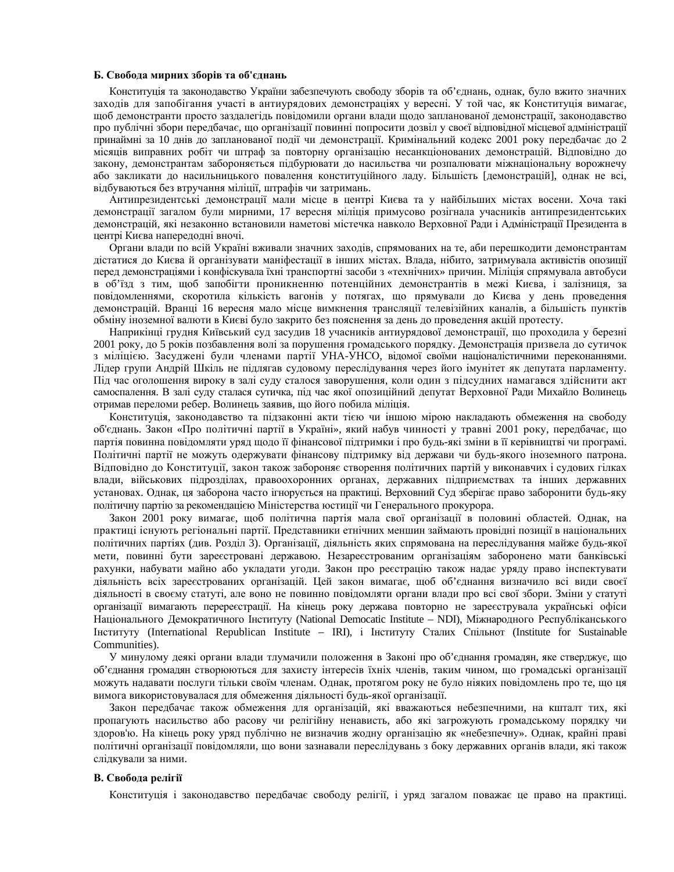#### **Б.** Свобода мирних зборів та об'єднань

Конституція та законодавство України забезпечують свободу зборів та об'єднань, однак, було вжито значних заходів для запобігання участі в антиурядових демонстраціях у вересні. У той час, як Конституція вимагає, щоб демонстранти просто заздалегідь повідомили органи влади щодо запланованої демонстрації, законодавство про публічні збори передбачає, що організації повинні попросити дозвіл у своєї відповідної місцевої адміністрації принаймні за 10 днів до запланованої події чи демонстрації. Кримінальний кодекс 2001 року передбачає до 2 місяців виправних робіт чи штраф за повторну організацію несанкціонованих демонстрацій. Відповідно до закону, демонстрантам забороняється підбурювати до насильства чи розпалювати міжнаціональну ворожнечу або закликати до насильницького повалення конституційного ладу. Більшість [демонстрацій], однак не всі, відбуваються без втручання міліції, штрафів чи затримань.

Антипрезидентські демонстрації мали місце в центрі Києва та у найбільших містах восени. Хоча такі демонстрації загалом були мирними, 17 вересня міліція примусово розігнала учасників антипрезидентських демонстрацій, які незаконно встановили наметові містечка навколо Верховної Ради і Адміністрації Президента в центрі Києва напередодні вночі.

Органи влади по всій Україні вживали значних заходів, спрямованих на те, аби перешкодити демонстрантам дістатися до Києва й організувати маніфестації в інших містах. Влада, нібито, затримувала активістів опозиції перед демонстраціями і конфіскувала їхні транспортні засоби з «технічних» причин. Міліція спрямувала автобуси в об'їзд з тим, щоб запобігти проникненню потенційних демонстрантів в межі Києва, і залізниця, за повідомленнями, скоротила кількість вагонів у потягах, що прямували до Києва у день проведення демонстрацій. Вранці 16 вересня мало місце вимкнення трансляції телевізійних каналів, а більшість пунктів обміну іноземної валюти в Києві було закрито без пояснення за день до проведення акцій протесту.

Наприкінці грудня Київський суд засудив 18 учасників антиурядової демонстрації, що проходила у березні 2001 року, до 5 років позбавлення волі за порушення громадського порядку. Демонстрація призвела до сутичок з міліцією. Засуджені були членами партії УНА-УНСО, відомої своїми націоналістичними переконаннями. Лідер групи Андрій Шкіль не підлягав судовому переслідування через його імунітет як депутата парламенту. Під час оголошення вироку в залі суду сталося заворушення, коли один з підсудних намагався здійснити акт самоспалення. В залі суду сталася сутичка, під час якої опозиційний депутат Верховної Ради Михайло Волинець отримав переломи ребер. Волинець заявив, що його побила міліція.

Конституція, законодавство та підзаконні акти тією чи іншою мірою накладають обмеження на свободу об'єднань. Закон «Про політичні партії в Україні», який набув чинності у травні 2001 року, передбачає, що партія повинна повідомляти уряд щодо її фінансової підтримки і про будь-які зміни в її керівництві чи програмі. Політичні партії не можуть одержувати фінансову підтримку від держави чи будь-якого іноземного патрона. Відповідно до Конституції, закон також забороняє створення політичних партій у виконавчих і судових гілках влади, військових підрозділах, правоохоронних органах, державних підприємствах та інших державних үстановах. Однак, ця заборона часто ігнорується на практиці. Верховний Суд зберігає право заборонити будь-яку політичну партію за рекомендацією Міністерства юстиції чи Генерального прокурора.

Закон 2001 року вимагає, щоб політична партія мала свої організації в половині областей. Однак, на практиці існують регіональні партії. Представники етнічних меншин займають провідні позиції в національних політичних партіях (див. Розділ 3). Організації, діяльність яких спрямована на переслідування майже будь-якої мети, повинні бути зареєстровані державою. Незареєстрованим організаціям заборонено мати банківські рахунки, набувати майно або укладати угоди. Закон про реєстрацію також надає уряду право інспектувати діяльність всіх зареєстрованих організацій. Цей закон вимагає, щоб об'єднання визначило всі види своєї діяльності в своєму статуті, але воно не повинно повідомляти органи влади про всі свої збори. Зміни у статуті організації вимагають перереєстрації. На кінець року держава повторно не зареєструвала українські офіси Національного Демократичного Інституту (National Democatic Institute – NDI), Міжнародного Республіканського ȱɧɫɬɢɬɭɬɭ (International Republican Institute – IRI), ɿ ȱɧɫɬɢɬɭɬɭ ɋɬɚɥɢɯ ɋɩɿɥɶɧɨɬ (Institute for Sustainable Communities).

У минулому деякі органи влади тлумачили положення в Законі про об'єднання громадян, яке стверджує, що об'єднання громадян створюються для захисту інтересів їхніх членів, таким чином, що громадські організації можуть надавати послуги тільки своїм членам. Однак, протягом року не було ніяких повідомлень про те, що ця вимога використовувалася для обмеження діяльності будь-якої організації.

Закон передбачає також обмеження для організацій, які вважаються небезпечними, на кшталт тих, які пропагують насильство або расову чи релігійну ненависть, або які загрожують громадському порядку чи здоров'ю. На кінець року уряд публічно не визначив жодну організацію як «небезпечну». Однак, крайні праві політичні організації повідомляли, що вони зазнавали переслідувань з боку державних органів влади, які також слілкували за ними.

#### **В.** Свобода релігії

Конституція і законодавство передбачає свободу релігії, і уряд загалом поважає це право на практиці.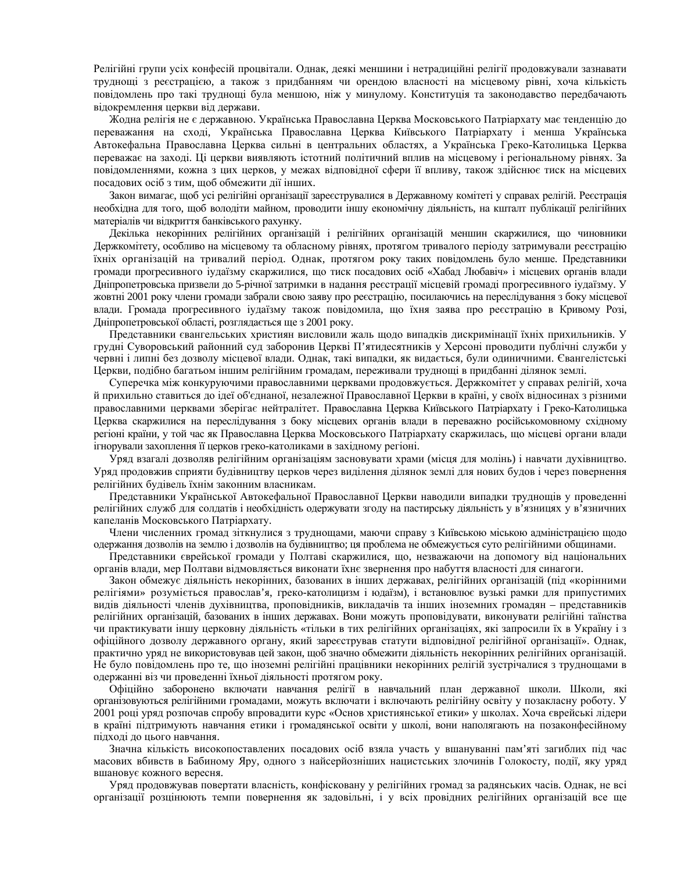Релігійні групи усіх конфесій процвітали. Однак, деякі меншини і нетрадиційні релігії продовжували зазнавати труднощі з реєстрацією, а також з придбанням чи орендою власності на місцевому рівні, хоча кількість повідомлень про такі труднощі була меншою, ніж у минулому. Конституція та законодавство передбачають відокремлення церкви від держави.

Жодна релігія не є державною. Українська Православна Церква Московського Патріархату має тенденцію до переважання на сході, Українська Православна Церква Київського Патріархату і менша Українська Автокефальна Православна Церква сильні в центральних областях, а Українська Греко-Католицька Церква переважає на заході. Ці церкви виявляють істотний політичний вплив на місцевому і регіональному рівнях. За повідомленнями, кожна з цих церков, у межах відповідної сфери її впливу, також здійснює тиск на місцевих посадових осіб з тим, щоб обмежити дії інших.

Закон вимагає, щоб усі релігійні організації зареєструвалися в Державному комітеті у справах релігій. Реєстрація необхідна для того, щоб володіти майном, проводити іншу економічну діяльність, на кшталт публікації релігійних матеріалів чи відкриття банківського рахунку.

Декілька некорінних релігійних організацій і релігійних організацій меншин скаржилися, що чиновники Держкомітету, особливо на місцевому та обласному рівнях, протягом тривалого періоду затримували реєстрацію їхніх організацій на тривалий період. Однак, протягом року таких повідомлень було менше. Представники громади прогресивного іудаїзму скаржилися, що тиск посадових осіб «Хабад Любавіч» і місцевих органів влади Дніпропетровська призвели до 5-річної затримки в надання реєстрації місцевій громаді прогресивного іудаїзму. У жовтні 2001 року члени громади забрали свою заяву про реєстрацію, посилаючись на переслідування з боку місцевої влади. Громада прогресивного іудаїзму також повідомила, що їхня заява про реєстрацію в Кривому Розі, Дніпропетровської області, розглядається ще з 2001 року.

Представники євангельських християн висловили жаль щодо випадків дискримінації їхніх прихильників. У грудні Суворовський районний суд заборонив Церкві П'ятидесятників у Херсоні проводити публічні служби у червні і липні без дозволу місцевої влади. Однак, такі випадки, як видається, були одиничними. Євангелістські Церкви, подібно багатьом іншим релігійним громадам, переживали труднощі в придбанні ділянок землі.

Суперечка між конкуруючими православними церквами продовжується. Держкомітет у справах релігій, хоча й прихильно ставиться до ідеї об'єднаної, незалежної Православної Церкви в країні, у своїх відносинах з різними православними церквами зберігає нейтралітет. Православна Церква Київського Патріархату і Греко-Католицька Церква скаржилися на переслідування з боку місцевих органів влади в переважно російськомовному східному регіоні країни, у той час як Православна Церква Московського Патріархату скаржилась, що місцеві органи влади ігнорували захоплення її церков греко-католиками в західному регіоні.

Уряд взагалі дозволяв релігійним організаціям засновувати храми (місця для молінь) і навчати духівництво. Уряд продовжив сприяти будівництву церков через виділення ділянок землі для нових будов і через повернення релігійних будівель їхнім законним власникам.

Представники Української Автокефальної Православної Церкви наводили випадки труднощів у проведенні релігійних служб для солдатів і необхідність одержувати згоду на пастирську діяльність у в'язницях у в'язничних капеланів Московського Патріархату.

Члени численних громад зіткнулися з труднощами, маючи справу з Київською міською адміністрацією щодо одержання дозволів на землю і дозволів на будівництво; ця проблема не обмежується суто релігійними общинами.

Представники єврейської громади у Полтаві скаржилися, що, незважаючи на допомогу від національних органів влади, мер Полтави відмовляється виконати їхнє звернення про набуття власності для синагоги.

Закон обмежує діяльність некорінних, базованих в інших державах, релігійних організацій (під «корінними релігіями» розуміється православ'я, греко-католицизм і юдаїзм), і встановлює вузькі рамки для припустимих видів діяльності членів духівництва, проповідників, викладачів та інших іноземних громадян – представників релігійних організацій, базованих в інших державах. Вони можуть проповідувати, виконувати релігійні таїнства чи практикувати іншу церковну діяльність «тільки в тих релігійних організаціях, які запросили їх в Україну і з офіційного дозволу державного органу, який зареєстрував статути відповідної релігійної організації». Однак, практично уряд не використовував цей закон, щоб значно обмежити діяльність некорінних релігійних організацій. Не було повідомлень про те, що іноземні релігійні працівники некорінних релігій зустрічалися з труднощами в одержанні віз чи проведенні їхньої діяльності протягом року.

Офіційно заборонено включати навчання релігії в навчальний план державної школи. Школи, які організовуються релігійними громадами, можуть включати і включають релігійну освіту у позакласну роботу. У 2001 році уряд розпочав спробу впровадити курс «Основ християнської етики» у школах. Хоча єврейські лідери в країні підтримують навчання етики і громадянської освіти у школі, вони наполягають на позаконфесійному підході до цього навчання.

Значна кількість високопоставлених посадових осіб взяла участь у вшануванні пам'яті загиблих під час масових вбивств в Бабиному Яру, одного з найсерйозніших нацистських злочинів Голокосту, події, яку уряд вшановує кожного вересня.

Уряд продовжував повертати власність, конфісковану у релігійних громад за радянських часів. Однак, не всі організації розцінюють темпи повернення як задовільні, і у всіх провідних релігійних організацій все ще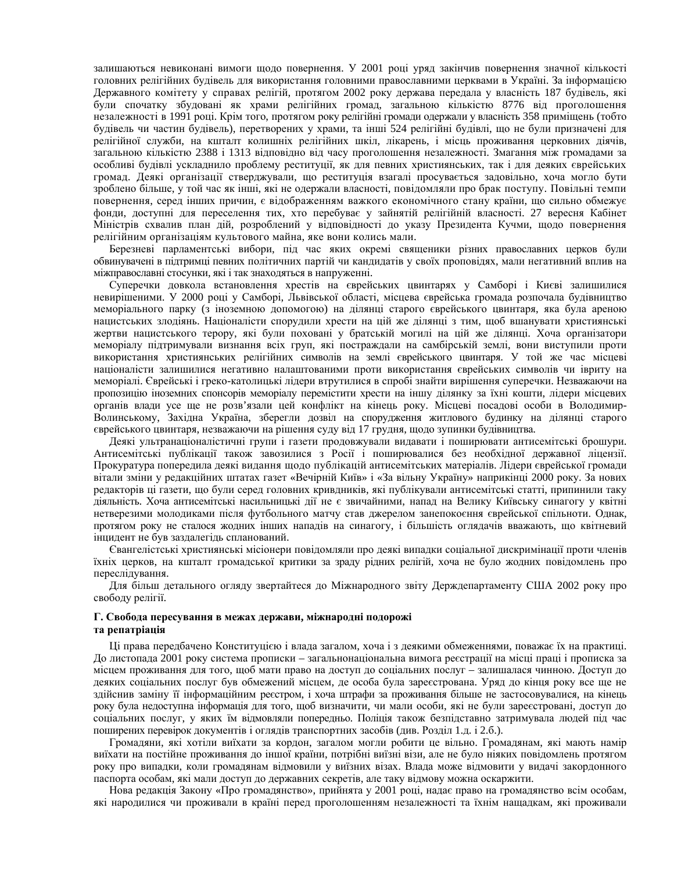залишаються невиконані вимоги щодо повернення. У 2001 році уряд закінчив повернення значної кількості головних релігійних будівель для використання головними православними церквами в Україні. За інформацією Державного комітету у справах релігій, протягом 2002 року держава передала у власність 187 будівель, які були спочатку збудовані як храми релігійних громад, загальною кількістю 8776 від проголошення незалежності в 1991 році. Крім того, протягом року релігійні громади одержали у власність 358 приміщень (тобто будівель чи частин будівель), перетворених у храми, та інші 524 релігійні будівлі, що не були призначені для релігійної служби, на кшталт колишніх релігійних шкіл, лікарень, і місць проживання церковних діячів, загальною кількістю 2388 і 1313 відповідно від часу проголошення незалежності. Змагання між громадами за особливі будівлі ускладнило проблему реституції, як для певних християнських, так і для деяких єврейських громад. Деякі організації стверджували, що реституція взагалі просувається задовільно, хоча могло бути зроблено більше, у той час як інші, які не одержали власності, повідомляли про брак поступу. Повільні темпи повернення, серед інших причин, є відображенням важкого економічного стану країни, що сильно обмежує фонди, доступні для переселення тих, хто перебуває у зайнятій релігійній власності. 27 вересня Кабінет Міністрів схвалив план дій, розроблений у відповідності до указу Президента Кучми, щодо повернення релігійним організаціям культового майна, яке вони колись мали.

Березневі парламентські вибори, під час яких окремі священики різних православних церков були обвинувачені в підтримці певних політичних партій чи кандидатів у своїх проповідях, мали негативний вплив на міжправославні стосунки, які і так знаходяться в напруженні.

Суперечки довкола встановлення хрестів на єврейських цвинтарях у Самборі і Києві залишилися невирішеними. У 2000 році у Самборі, Львівської області, місцева єврейська громада розпочала будівництво меморіального парку (з іноземною допомогою) на ділянці старого єврейського цвинтаря, яка була ареною нацистських злодіянь. Націоналісти спорудили хрести на цій же ділянці з тим, щоб вшанувати християнські жертви нацистського терору, які були поховані у братській могилі на цій же ділянці. Хоча організатори меморіалу підтримували визнання всіх груп, які постраждали на самбірській землі, вони виступили проти використання християнських релігійних символів на землі єврейського цвинтаря. У той же час місцеві націоналісти залишилися негативно налаштованими проти використання єврейських символів чи івриту на меморіалі. Єврейські і греко-католицькі лідери втрутилися в спробі знайти вирішення суперечки. Незважаючи на пропозицію іноземних спонсорів меморіалу перемістити хрести на іншу ділянку за їхні кошти, лідери місцевих органів влади усе ще не розв'язали цей конфлікт на кінець року. Місцеві посадові особи в Володимир-Волинському, Західна Україна, зберегли дозвіл на спорудження житлового будинку на ділянці старого єврейського цвинтаря, незважаючи на рішення суду від 17 грудня, щодо зупинки будівництва.

Деякі ультранаціоналістичні групи і газети продовжували видавати і поширювати антисемітські брошури. Антисемітські публікації також завозилися з Росії і поширювалися без необхідної державної ліцензії. Прокуратура попередила деякі видання щодо публікацій антисемітських матеріалів. Лідери єврейської громади вітали зміни у редакційних штатах газет «Вечірній Київ» і «За вільну Україну» наприкінці 2000 року. За нових редакторів ці газети, що були серед головних кривдників, які публікували антисемітські статті, припинили таку діяльність. Хоча антисемітські насильницькі дії не є звичайними, напад на Велику Київську синагогу у квітні нетверезими молодиками після футбольного матчу став джерелом занепокоєння єврейської спільноти. Однак, протягом року не сталося жодних інших нападів на синагогу, і більшість оглядачів вважають, що квітневий інцидент не був заздалегідь спланований.

Свангелістські християнські місіонери повідомляли про деякі випадки соціальної дискримінації проти членів їхніх церков, на кшталт громадської критики за зраду рідних релігій, хоча не було жодних повідомлень про переслідування.

Для більш детального огляду звертайтеся до Міжнародного звіту Держдепартаменту США 2002 року про свободу релігії.

#### Г. Свобода пересування в межах держави, міжнародні подорожі та репатріація

Ці права передбачено Конституцією і влада загалом, хоча і з деякими обмеженнями, поважає їх на практиці. До листопада 2001 року система прописки – загальнонаціональна вимога реєстрації на місці праці і прописка за місцем проживання для того, щоб мати право на доступ до соціальних послуг – залишалася чинною. Доступ до деяких соціальних послуг був обмежений місцем, де особа була зареєстрована. Уряд до кінця року все ще не здійснив заміну її інформаційним реєстром, і хоча штрафи за проживання більше не застосовувалися, на кінець року була недоступна інформація для того, щоб визначити, чи мали особи, які не були зареєстровані, доступ до соціальних послуг, у яких їм відмовляли попередньо. Поліція також безпідставно затримувала людей під час поширених перевірок документів і оглядів транспортних засобів (див. Розділ 1.д. і 2.б.).

Громадяни, які хотіли виїхати за кордон, загалом могли робити це вільно. Громадянам, які мають намір виїхати на постійне проживання до іншої країни, потрібні виїзні візи, але не було ніяких повідомлень протягом року про випадки, коли громадянам відмовили у виїзних візах. Влада може відмовити у видачі закордонного паспорта особам, які мали доступ до державних секретів, але таку відмову можна оскаржити.

Нова редакція Закону «Про громадянство», прийнята у 2001 році, надає право на громадянство всім особам, які народилися чи проживали в країні перед проголошенням незалежності та їхнім нащадкам, які проживали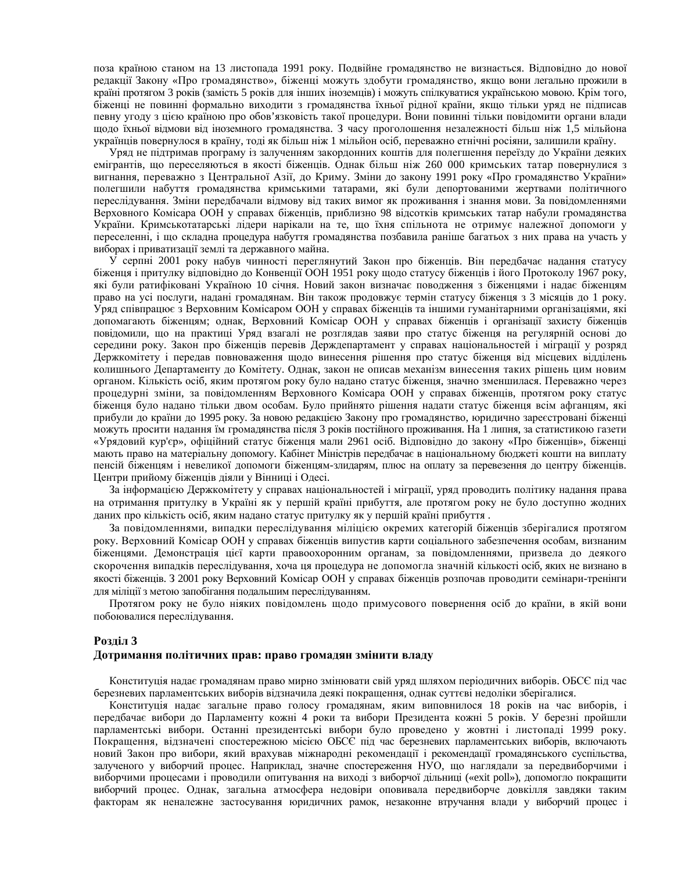поза країною станом на 13 листопада 1991 року. Подвійне громадянство не визнається. Відповідно до нової редакції Закону «Про громадянство», біженці можуть здобути громадянство, якщо вони легально прожили в країні протягом 3 років (замість 5 років для інших іноземців) і можуть спілкуватися українською мовою. Крім того, біженці не повинні формально виходити з громадянства їхньої рідної країни, якщо тільки уряд не підписав певну угоду з цією країною про обов'язковість такої процедури. Вони повинні тільки повідомити органи влади щодо їхньої відмови від іноземного громадянства. З часу проголошення незалежності більш ніж 1,5 мільйона українців повернулося в країну, тоді як більш ніж 1 мільйон осіб, переважно етнічні росіяни, залишили країну.

Уряд не підтримав програму із залученням закордонних коштів для полегшення переїзду до України деяких емігрантів, що переселяються в якості біженців. Однак більш ніж 260 000 кримських татар повернулися з вигнання, переважно з Центральної Азії, до Криму. Зміни до закону 1991 року «Про громадянство України» полегшили набуття громадянства кримськими татарами, які були депортованими жертвами політичного переслідування. Зміни передбачали відмову від таких вимог як проживання і знання мови. За повідомленнями Верховного Комісара ООН у справах біженців, приблизно 98 відсотків кримських татар набули громадянства України. Кримськотатарські лідери нарікали на те, що їхня спільнота не отримує належної допомоги у переселенні, і що складна процедура набуття громадянства позбавила раніше багатьох з них права на участь у виборах і приватизації землі та державного майна.

У серпні 2001 року набув чинності переглянутий Закон про біженців. Він передбачає надання статусу біженця і притулку відповідно до Конвенції ООН 1951 року щодо статусу біженців і його Протоколу 1967 року, які були ратифіковані Україною 10 січня. Новий закон визначає поводження з біженцями і надає біженцям право на усі послуги, надані громадянам. Він також продовжує термін статусу біженця з 3 місяців до 1 року. Уряд співпрацює з Верховним Комісаром ООН у справах біженців та іншими гуманітарними організаціями, які допомагають біженцям; однак, Верховний Комісар ООН у справах біженців і організації захисту біженців повідомили, що на практиці Уряд взагалі не розглядав заяви про статус біженця на регулярній основі до середини року. Закон про біженців перевів Держдепартамент у справах національностей і міграції у розряд Держкомітету і передав повноваження щодо винесення рішення про статус біженця від місцевих відділень колишнього Департаменту до Комітету. Однак, закон не описав механізм винесення таких рішень цим новим органом. Кількість осіб, яким протягом року було надано статус біженця, значно зменшилася. Переважно через процедурні зміни, за повідомленням Верховного Комісара ООН у справах біженців, протягом року статус біженця було надано тільки двом особам. Було прийнято рішення надати статус біженця всім афганцям, які прибули до країни до 1995 року. За новою редакцією Закону про громадянство, юридично зареєстровані біженці можуть просити надання їм громадянства після 3 років постійного проживання. На 1 липня, за статистикою газети «Урядовий кур'єр», офіційний статус біженця мали 2961 осіб. Відповідно до закону «Про біженців», біженці мають право на матеріальну допомогу. Кабінет Міністрів передбачає в національному бюджеті кошти на виплату пенсій біженцям і невеликої допомоги біженцям-злидарям, плюс на оплату за перевезення до центру біженців. Центри прийому біженців діяли у Вінниці і Одесі.

За інформацією Держкомітету у справах національностей і міграції, уряд проводить політику надання права на отримання притулку в Україні як у першій країні прибуття, але протягом року не було доступно жодних даних про кількість осіб, яким надано статус притулку як у першій країні прибуття.

За повідомленнями, випадки переслідування міліцією окремих категорій біженців зберігалися протягом року. Верховний Комісар ООН у справах біженців випустив карти соціального забезпечення особам, визнаним біженцями. Демонстрація цієї карти правоохоронним органам, за повідомленнями, призвела до деякого скорочення випадків переслідування, хоча ця процедура не допомогла значній кількості осіб, яких не визнано в якості біженців. З 2001 року Верховний Комісар ООН у справах біженців розпочав проводити семінари-тренінги для міліції з метою запобігання подальшим переслідуванням.

Протягом року не було ніяких повідомлень щодо примусового повернення осіб до країни, в якій вони побоювалися переслідування.

#### Розділ 3

#### Дотримання політичних прав: право громадян змінити владу

Конституція надає громадянам право мирно змінювати свій уряд шляхом періодичних виборів. ОБСЄ під час березневих парламентських виборів відзначила деякі покращення, однак суттєві недоліки зберігалися.

Конституція надає загальне право голосу громадянам, яким виповнилося 18 років на час виборів, і передбачає вибори до Парламенту кожні 4 роки та вибори Президента кожні 5 років. У березні пройшли парламентські вибори. Останні президентські вибори було проведено у жовтні і листопаді 1999 року. Покращення, відзначені спостережною місією ОБСЄ під час березневих парламентських виборів, включають новий Закон про вибори, який врахував міжнародні рекомендації і рекомендації громадянського суспільства, залученого у виборчий процес. Наприклад, значне спостереження НУО, що наглядали за передвиборчими і виборчими процесами і проводили опитування на виході з виборчої дільниці («exit poll»), допомогло покращити виборчий процес. Однак, загальна атмосфера недовіри оповивала передвиборче довкілля завдяки таким факторам як неналежне застосування юридичних рамок, незаконне втручання влади у виборчий процес і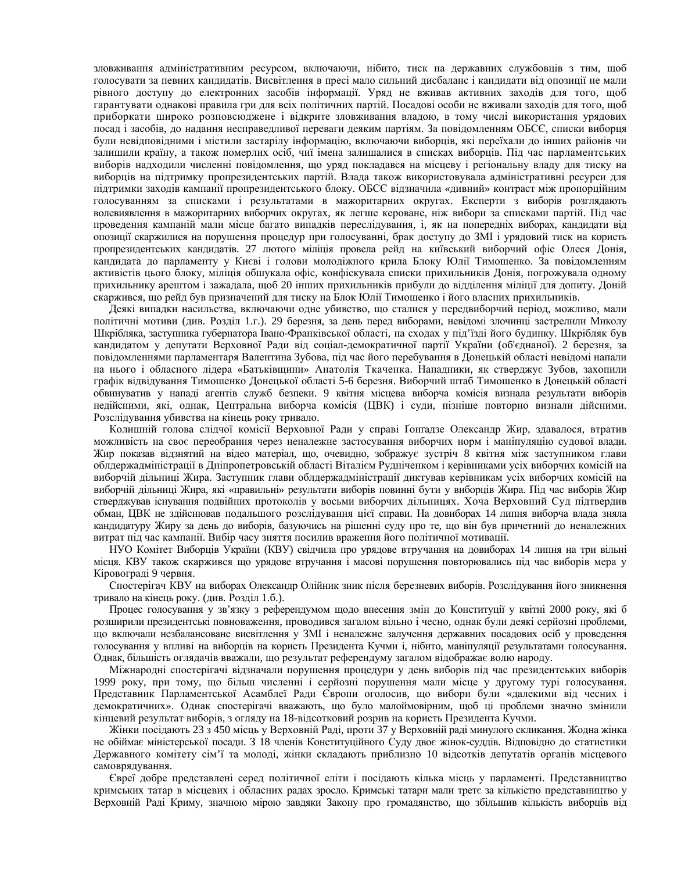зловживання адміністративним ресурсом, включаючи, нібито, тиск на державних службовців з тим, щоб голосувати за певних кандидатів. Висвітлення в пресі мало сильний дисбаланс і кандидати від опозиції не мали рівного доступу до електронних засобів інформації. Уряд не вживав активних заходів для того, щоб гарантувати однакові правила гри для всіх політичних партій. Посадові особи не вживали заходів для того, щоб приборкати широко розповсюджене і відкрите зловживання владою, в тому числі використання урядових посад і засобів, до надання несправедливої переваги деяким партіям. За повідомленням ОБСЄ, списки виборця були невідповідними і містили застарілу інформацію, включаючи виборців, які переїхали до інших районів чи залишили країну, а також померлих осіб, чиї імена залишалися в списках виборців. Під час парламентських виборів надходили численні повідомлення, що уряд покладався на місцеву і регіональну владу для тиску на виборців на підтримку пропрезидентських партій. Влада також використовувала адміністративні ресурси для підтримки заходів кампанії пропрезидентського блоку. ОБСЄ відзначила «дивний» контраст між пропорційним голосуванням за списками і результатами в мажоритарних округах. Експерти з виборів розглядають волевиявлення в мажоритарних виборчих округах, як легше кероване, ніж вибори за списками партій. Під час проведення кампаній мали місце багато випадків переслідування, і, як на попередніх виборах, кандидати від опозиції скаржилися на порушення процедур при голосуванні, брак доступу до ЗМІ і урядовий тиск на користь пропрезидентських кандидатів. 27 лютого міліція провела рейд на київський виборчий офіс Олеся Донія, кандидата до парламенту у Києві і голови молодіжного крила Блоку Юлії Тимошенко. За повідомленням активістів цього блоку, міліція обшукала офіс, конфіскувала списки прихильників Донія, погрожувала одному прихильнику арештом і зажадала, щоб 20 інших прихильників прибули до відділення міліції для допиту. Доній скаржився, що рейд був призначений для тиску на Блок Юлії Тимошенко і його власних прихильників.

Деякі випадки насильства, включаючи одне убивство, що сталися у передвиборчий період, можливо, мали політичні мотиви (див. Розділ 1.г.). 29 березня, за день перед виборами, невідомі злочинці застрелили Миколу Шкрібляка, заступника губернатора Івано-Франківської області, на сходах у під'їзді його будинку. Шкрібляк був кандидатом у депутати Верховної Ради від соціал-демократичної партії України (об'єднаної). 2 березня, за повідомленнями парламентаря Валентина Зубова, під час його перебування в Донецькій області невідомі напали на нього і обласного лідера «Батьківщини» Анатолія Ткаченка. Нападники, як стверджує Зубов, захопили графік відвідування Тимошенко Донецької області 5-6 березня. Виборчий штаб Тимошенко в Донецькій області обвинуватив у нападі агентів служб безпеки. 9 квітня місцева виборча комісія визнала результати виборів недійсними, які, однак, Центральна виборча комісія (ЦВК) і суди, пізніше повторно визнали дійсними. Розслідування убивства на кінець року тривало.

Колишній голова слідчої комісії Верховної Ради у справі Ґонґадзе Олександр Жир, здавалося, втратив можливість на своє переобрання через неналежне застосування виборчих норм і маніпуляцію судової влади. Жир показав відзнятий на відео матеріал, що, очевидно, зображує зустріч 8 квітня між заступником глави облдержадміністрації в Дніпропетровській області Віталієм Рудніченком і керівниками усіх виборчих комісій на виборчій дільниці Жира. Заступник глави облдержадміністрації диктував керівникам усіх виборчих комісій на виборчій дільниці Жира, які «правильні» результати виборів повинні бути у виборців Жира. Під час виборів Жир стверджував існування подвійних протоколів у восьми виборчих дільницях. Хоча Верховний Суд підтвердив обман, ЦВК не здійснював подальшого розслідування цієї справи. На довиборах 14 липня виборча влада зняла кандидатуру Жиру за день до виборів, базуючись на рішенні суду про те, що він був причетний до неналежних витрат під час кампанії. Вибір часу зняття посилив враження його політичної мотивації.

НУО Комітет Виборців України (КВУ) свідчила про урядове втручання на довиборах 14 липня на три вільні місця. КВУ також скаржився що урядове втручання і масові порушення повторювались під час виборів мера у Кіровограді 9 червня.

Спостерігач КВУ на виборах Олександр Олійник зник після березневих виборів. Розслідування його зникнення тривало на кінець року. (див. Розділ 1.б.).

Процес голосування у зв'язку з референдумом щодо внесення змін до Конституції у квітні 2000 року, які б розширили президентські повноваження, проводився загалом вільно і чесно, однак були деякі серйозні проблеми, що включали незбалансоване висвітлення у ЗМІ і неналежне залучення державних посадових осіб у проведення голосування у впливі на виборців на користь Президента Кучми і, нібито, маніпуляції результатами голосування. Однак, більшість оглядачів вважали, що результат референдуму загалом відображає волю народу.

Міжнародні спостерігачі відзначали порушення процедури у день виборів під час президентських виборів 1999 року, при тому, що більш численні і серйозні порушення мали місце у другому турі голосування. Представник Парламентської Асамблеї Ради Європи оголосив, що вибори були «далекими від чесних і демократичних». Однак спостерігачі вважають, що було малоймовірним, щоб ці проблеми значно змінили кінцевий результат виборів, з огляду на 18-відсотковий розрив на користь Президента Кучми.

Жінки посідають 23 з 450 місць у Верховній Раді, проти 37 у Верховній раді минулого скликання. Жодна жінка не обіймає міністерської посади. З 18 членів Конституційного Суду двоє жінок-суддів. Відповідно до статистики Державного комітету сім'ї та молоді, жінки складають приблизно 10 відсотків депутатів органів місцевого самоврядування.

Свреї добре представлені серед політичної еліти і посідають кілька місць у парламенті. Представництво кримських татар в місцевих і обласних радах зросло. Кримські татари мали третє за кількістю представництво у Верховній Раді Криму, значною мірою завдяки Закону про громадянство, що збільшив кількість виборців від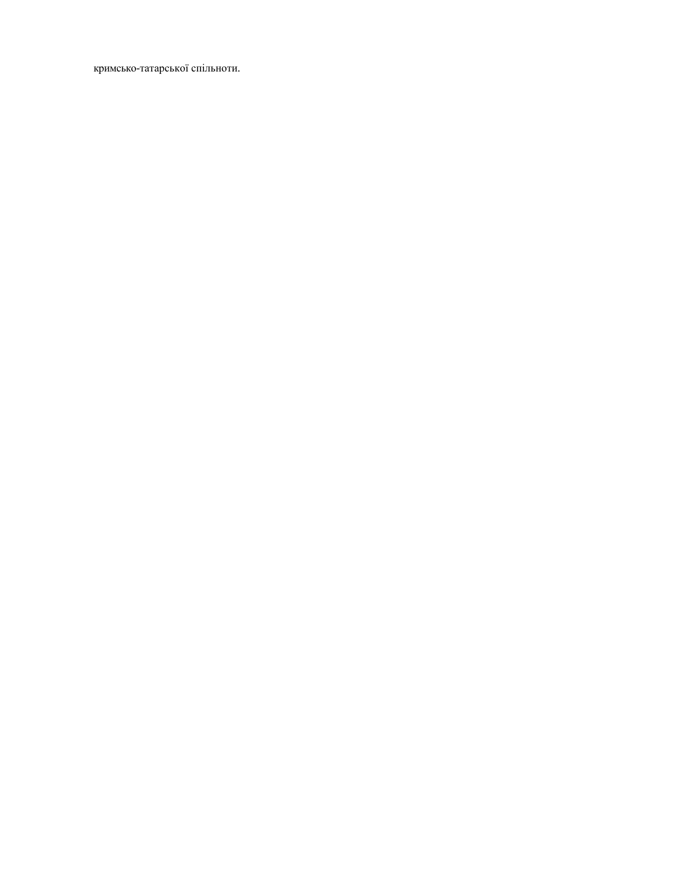кримсько-татарської спільноти.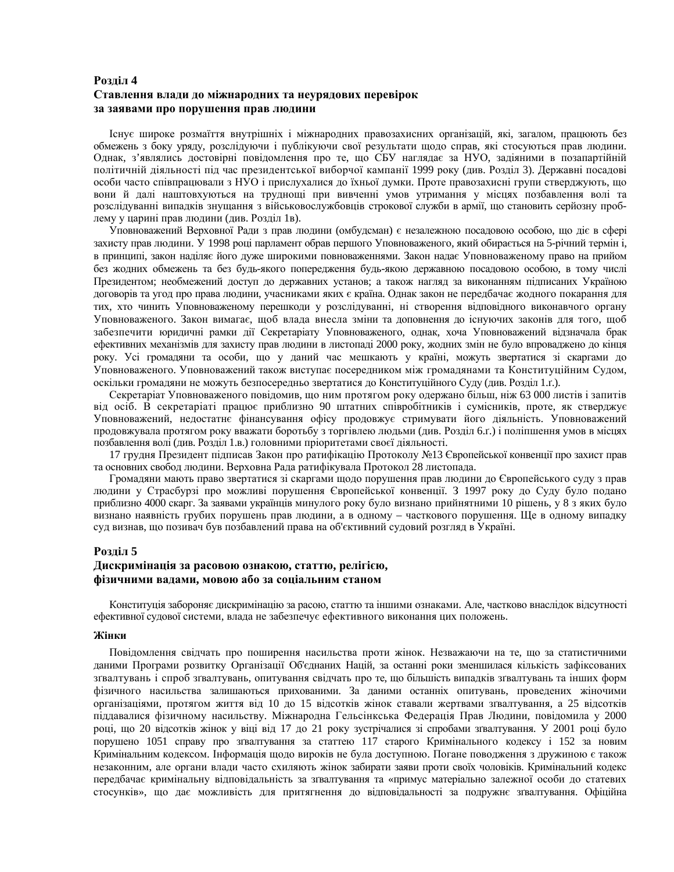## Розділ 4 Ставлення влади до міжнародних та неурядових перевірок за заявами про порушення прав людини

Існує широке розмаїття внутрішніх і міжнародних правозахисних організацій, які, загалом, працюють без обмежень з боку уряду, розслідуючи і публікуючи свої результати щодо справ, які стосуються прав людини. Однак, з'являлись достовірні повідомлення про те, що СБУ наглядає за НУО, задіяними в позапартійній політичній діяльності під час президентської виборчої кампанії 1999 року (див. Розділ 3). Державні посадові особи часто співпрацювали з НУО і прислухалися до їхньої думки. Проте правозахисні групи стверджують, що вони й далі наштовхуються на труднощі при вивченні умов утримання у місцях позбавлення волі та розслідуванні випадків знущання з військовослужбовців строкової служби в армії, що становить серйозну проблему у царині прав людини (див. Розділ 1в).

Уповноважений Верховної Ради з прав людини (омбудсман) є незалежною посадовою особою, що діє в сфері захисту прав людини. У 1998 році парламент обрав першого Уповноваженого, який обирається на 5-річний термін і, в принципі, закон наділяє його дуже широкими повноваженнями. Закон надає Уповноваженому право на прийом без жодних обмежень та без будь-якого попередження будь-якою державною посадовою особою, в тому числі Президентом; необмежений доступ до державних установ; а також нагляд за виконанням підписаних Україною договорів та угод про права людини, учасниками яких є країна. Однак закон не передбачає жодного покарання для тих, хто чинить Уповноваженому перешкоди у розслідуванні, ні створення відповідного виконавчого органу Уповноваженого. Закон вимагає, щоб влада внесла зміни та доповнення до існуючих законів для того, щоб забезпечити юридичні рамки дії Секретаріату Уповноваженого, однак, хоча Уповноважений відзначала брак ефективних механізмів для захисту прав людини в листопаді 2000 року, жодних змін не було впроваджено до кінця року. Усі громадяни та особи, що у даний час мешкають у країні, можуть звертатися зі скаргами до Уповноваженого. Уповноважений також виступає посередником між громадянами та Конституційним Судом, оскільки громадяни не можуть безпосередньо звертатися до Конституційного Суду (див. Розділ 1.г.).

Секретаріат Уповноваженого повідомив, що ним протягом року одержано більш, ніж 63 000 листів і запитів від осіб. В секретаріаті працює приблизно 90 штатних співробітників і сумісників, проте, як стверджує Уповноважений, недостатнє фінансування офісу продовжує стримувати його діяльність. Уповноважений продовжувала протягом року вважати боротьбу з торгівлею людьми (див. Розділ 6.г.) і поліпшення умов в місцях позбавлення волі (див. Розділ 1.в.) головними пріоритетами своєї діяльності.

17 грудня Президент підписав Закон про ратифікацію Протоколу №13 Європейської конвенції про захист прав та основних свобод людини. Верховна Рада ратифікувала Протокол 28 листопада.

Громадяни мають право звертатися зі скаргами щодо порушення прав людини до Європейського суду з прав людини у Страсбурзі про можливі порушення Європейської конвенції. З 1997 року до Суду було подано приблизно 4000 скарг. За заявами українців минулого року було визнано прийнятними 10 рішень, у 8 з яких було визнано наявність грубих порушень прав людини, а в одному – часткового порушення. Ще в одному випадку суд визнав, що позивач був позбавлений права на об'єктивний судовий розгляд в Україні.

#### Розділ 5

#### **Ⱦɢɫɤɪɢɦɿɧɚɰɿɹ ɡɚ ɪɚɫɨɜɨɸ ɨɡɧɚɤɨɸ, ɫɬɚɬɬɸ, ɪɟɥɿɝɿɽɸ,** фізичними вадами, мовою або за соціальним станом

Конституція забороняє дискримінацію за расою, статтю та іншими ознаками. Але, частково внаслідок відсутності ефективної судової системи, влада не забезпечує ефективного виконання цих положень.

#### Жінки

Повідомлення свідчать про поширення насильства проти жінок. Незважаючи на те, що за статистичними даними Програми розвитку Організації Об'єднаних Націй, за останні роки зменшилася кількість зафіксованих зґвалтувань і спроб зґвалтувань, опитування свідчать про те, що більшість випадків зґвалтувань та інших форм фізичного насильства залишаються прихованими. За даними останніх опитувань, проведених жіночими організаціями, протягом життя від 10 до 15 відсотків жінок ставали жертвами зґвалтування, а 25 відсотків піддавалися фізичному насильству. Міжнародна Гельсінкська Федерація Прав Людини, повідомила у 2000 році, що 20 відсотків жінок у віці від 17 до 21 року зустрічалися зі спробами згвалтування. У 2001 році було порушено 1051 справу про згвалтування за статтею 117 старого Кримінального кодексу і 152 за новим Кримінальним кодексом. Інформація щодо вироків не була доступною. Погане поводження з дружиною є також незаконним, але органи влади часто схиляють жінок забирати заяви проти своїх чоловіків. Кримінальний кодекс передбачає кримінальну відповідальність за зґвалтування та «примус матеріально залежної особи до статевих стосунків», що дає можливість для притягнення до відповідальності за подружнє зґвалтування. Офіційна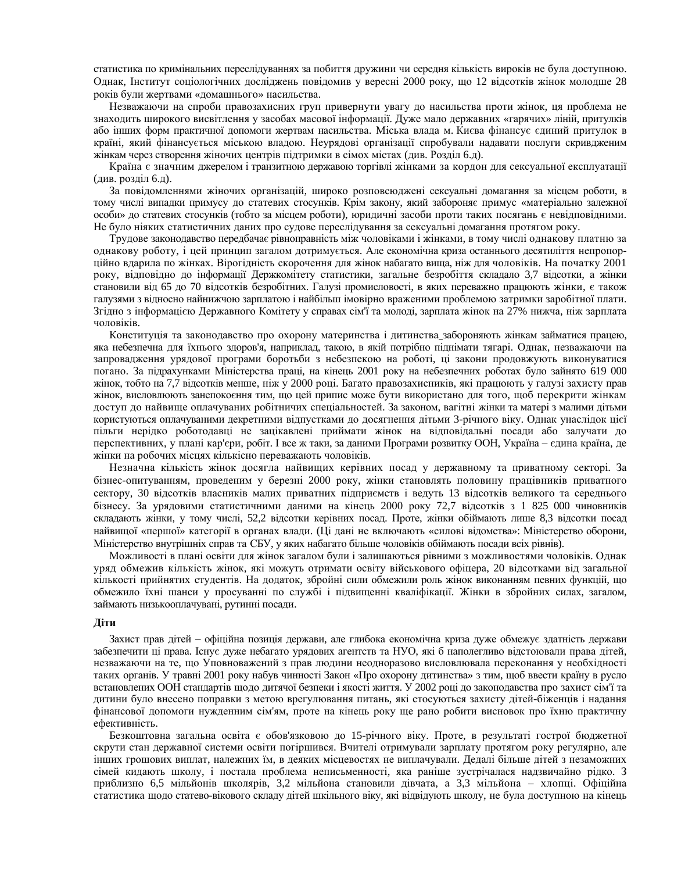статистика по кримінальних переслідуваннях за побиття дружини чи середня кількість вироків не була доступною. Однак, Інститут соціологічних досліджень повідомив у вересні 2000 року, що 12 відсотків жінок молодше 28 років були жертвами «домашнього» насильства.

Незважаючи на спроби правозахисних груп привернути увагу до насильства проти жінок, ця проблема не знаходить широкого висвітлення у засобах масової інформації. Дуже мало державних «гарячих» ліній, притулків або інших форм практичної допомоги жертвам насильства. Міська влада м. Києва фінансує єдиний притулок в країні, який фінансується міською владою. Неурядові організації спробували надавати послуги скривдженим жінкам через створення жіночих центрів підтримки в сімох містах (див. Розділ 6.д).

Країна є значним джерелом і транзитною державою торгівлі жінками за кордон для сексуальної експлуатації  $(µ$ ив. розділ 6.д).

За повідомленнями жіночих організацій, широко розповсюджені сексуальні домагання за місцем роботи, в тому числі випадки примусу до статевих стосунків. Крім закону, який забороняє примус «матеріально залежної особи» до статевих стосунків (тобто за місцем роботи), юридичні засоби проти таких посягань є невідповідними. Не було ніяких статистичних даних про судове переслідування за сексуальні домагання протягом року.

Трудове законодавство передбачає рівноправність між чоловіками і жінками, в тому числі однакову платню за однакову роботу, і цей принцип загалом дотримується. Але економічна криза останнього десятиліття непропорційно вдарила по жінках. Вірогідність скорочення для жінок набагато вища, ніж для чоловіків. На початку 2001 року, відповідно до інформації Держкомітету статистики, загальне безробіття складало 3,7 відсотки, а жінки становили від 65 до 70 відсотків безробітних. Галузі промисловості, в яких переважно працюють жінки, є також галузями з відносно найнижчою зарплатою і найбільш імовірно враженими проблемою затримки заробітної плати. Згідно з інформацією Державного Комітету у справах сім'ї та молоді, зарплата жінок на 27% нижча, ніж зарплата чоловіків.

Конституція та законодавство про охорону материнства і дитинства забороняють жінкам займатися працею, яка небезпечна для їхнього здоров'я, наприклад, такою, в якій потрібно піднімати тягарі. Однак, незважаючи на запровадження урядової програми боротьби з небезпекою на роботі, ці закони продовжують виконуватися погано. За підрахунками Міністерства праці, на кінець 2001 року на небезпечних роботах було зайнято 619 000 жінок, тобто на 7,7 відсотків менше, ніж у 2000 році. Багато правозахисників, які працюють у галузі захисту прав жінок, висловлюють занепокоєння тим, що цей припис може бути використано для того, щоб перекрити жінкам доступ до найвище оплачуваних робітничих спеціальностей. За законом, вагітні жінки та матері з малими дітьми користуються оплачуваними декретними відпустками до досягнення дітьми 3-річного віку. Однак унаслідок цієї пільги нерідко роботодавці не зацікавлені приймати жінок на відповідальні посади або залучати до перспективних, у плані кар'єри, робіт. І все ж таки, за даними Програми розвитку ООН, Україна – єдина країна, де жінки на робочих місцях кількісно переважають чоловіків.

Незначна кількість жінок досягла найвищих керівних посад у державному та приватному секторі. За бізнес-опитуванням, проведеним у березні 2000 року, жінки становлять половину працівників приватного сектору, 30 відсотків власників малих приватних підприємств і ведуть 13 відсотків великого та середнього бізнесу. За урядовими статистичними даними на кінець 2000 року 72,7 відсотків з 1 825 000 чиновників складають жінки, у тому числі, 52,2 відсотки керівних посад. Проте, жінки обіймають лише 8,3 відсотки посад найвищої «першої» категорії в органах влади. (Ці дані не включають «силові відомства»: Міністерство оборони, Міністерство внутрішніх справ та СБУ, у яких набагато більше чоловіків обіймають посади всіх рівнів).

Можливості в плані освіти для жінок загалом були і залишаються рівними з можливостями чоловіків. Однак уряд обмежив кількість жінок, які можуть отримати освіту військового офіцера, 20 відсотками від загальної кількості прийнятих студентів. На додаток, збройні сили обмежили роль жінок виконанням певних функцій, що обмежило їхні шанси у просуванні по службі і підвищенні кваліфікації. Жінки в збройних силах, загалом, займають низькооплачувані, рутинні посади.

#### $\pi$ **И**

Захист прав дітей – офіційна позиція держави, але глибока економічна криза дуже обмежує здатність держави забезпечити ці права. Існує дуже небагато урядових агентств та НУО, які б наполегливо відстоювали права дітей, незважаючи на те, що Уповноважений з прав людини неодноразово висловлювала переконання у необхідності таких органів. У травні 2001 року набув чинності Закон «Про охорону дитинства» з тим, щоб ввести країну в русло встановлених ООН стандартів щодо дитячої безпеки і якості життя. У 2002 році до законодавства про захист сім'ї та дитини було внесено поправки з метою врегулювання питань, які стосуються захисту дітей-біженців і надання фінансової допомоги нужденним сім'ям, проте на кінець року ще рано робити висновок про їхню практичну ефективність.

Безкоштовна загальна освіта є обов'язковою до 15-річного віку. Проте, в результаті гострої бюджетної скрути стан державної системи освіти погіршився. Вчителі отримували зарплату протягом року регулярно, але інших грошових виплат, належних їм, в деяких місцевостях не виплачували. Дедалі більше дітей з незаможних сімей кидають школу, і постала проблема неписьменності, яка раніше зустрічалася надзвичайно рідко. З приблизно 6,5 мільйонів школярів, 3,2 мільйона становили дівчата, а 3,3 мільйона – хлопці. Офіційна статистика щодо статево-вікового складу дітей шкільного віку, які відвідують школу, не була доступною на кінець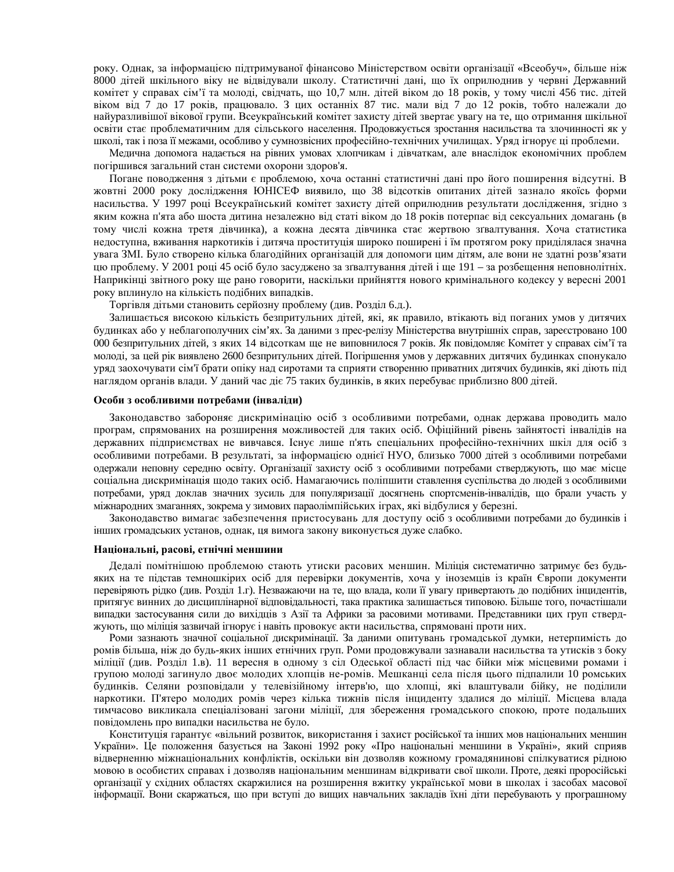року. Однак, за інформацією підтримуваної фінансово Міністерством освіти організації «Всеобуч», більше ніж 8000 дітей шкільного віку не відвідували школу. Статистичні дані, що їх оприлюднив у червні Державний комітет у справах сім'ї та молоді, свідчать, що 10,7 млн. дітей віком до 18 років, у тому числі 456 тис. дітей віком від 7 до 17 років, працювало. З цих останніх 87 тис. мали від 7 до 12 років, тобто належали до найуразливішої вікової групи. Всеукраїнський комітет захисту дітей звертає увагу на те, що отримання шкільної освіти стає проблематичним для сільського населення. Продовжується зростання насильства та злочинності як у школі, так і поза її межами, особливо у сумнозвісних професійно-технічних училищах. Уряд ігнорує ці проблеми.

Медична допомога надається на рівних умовах хлопчикам і дівчаткам, але внаслідок економічних проблем погіршився загальний стан системи охорони здоров'я.

Погане поводження з дітьми є проблемою, хоча останні статистичні дані про його поширення відсутні. В жовтні 2000 року дослідження ЮНІСЕФ виявило, що 38 відсотків опитаних дітей зазнало якоїсь форми насильства. У 1997 році Всеукраїнський комітет захисту дітей оприлюднив результати дослідження, згідно з яким кожна п'ята або шоста дитина незалежно від статі віком до 18 років потерпає від сексуальних домагань (в тому числі кожна третя дівчинка), а кожна десята дівчинка стає жертвою згвалтування. Хоча статистика недоступна, вживання наркотиків і дитяча проституція широко поширені і їм протягом року приділялася значна увага ЗМІ. Було створено кілька благодійних організацій для допомоги цим дітям, але вони не здатні розв'язати цю проблему. У 2001 році 45 осіб було засуджено за згвалтування дітей і ще 191 – за розбещення неповнолітніх. Наприкінці звітного року ще рано говорити, наскільки прийняття нового кримінального кодексу у вересні 2001 року вплинуло на кількість подібних випадків.

Торгівля дітьми становить серйозну проблему (див. Розділ 6.д.).

Залишається високою кількість безпритульних дітей, які, як правило, втікають від поганих умов у дитячих будинках або у неблагополучних сім'ях. За даними з прес-релізу Міністерства внутрішніх справ, зареєстровано 100 000 безпритульних дітей, з яких 14 відсоткам ще не виповнилося 7 років. Як повідомляє Комітет у справах сім'ї та молоді, за цей рік виявлено 2600 безпритульних дітей. Погіршення умов у державних дитячих будинках спонукало уряд заохочувати сім'ї брати опіку над сиротами та сприяти створенню приватних дитячих будинків, які діють під наглядом органів влади. У даний час діє 75 таких будинків, в яких перебуває приблизно 800 дітей.

#### Особи з особливими потребами (інваліди)

Законодавство забороняє дискримінацію осіб з особливими потребами, однак держава проводить мало програм, спрямованих на розширення можливостей для таких осіб. Офіційний рівень зайнятості інвалідів на державних підприємствах не вивчався. Існує лише п'ять спеціальних професійно-технічних шкіл для осіб з особливими потребами. В результаті, за інформацією однієї НУО, близько 7000 дітей з особливими потребами одержали неповну середню освіту. Організації захисту осіб з особливими потребами стверджують, що має місце соціальна дискримінація щодо таких осіб. Намагаючись поліпшити ставлення суспільства до людей з особливими потребами, уряд доклав значних зусиль для популяризації досягнень спортсменів-інвалідів, що брали участь у міжнародних змаганнях, зокрема у зимових параолімпійських іграх, які відбулися у березні.

Законодавство вимагає забезпечення пристосувань для доступу осіб з особливими потребами до будинків і інших громадських установ, однак, ця вимога закону виконується дуже слабко.

#### Національні, расові, етнічні меншини

Дедалі помітнішою проблемою стають утиски расових меншин. Міліція систематично затримує без будьяких на те підстав темношкірих осіб для перевірки документів, хоча у іноземців із країн Європи документи перевіряють рідко (див. Розділ 1.г). Незважаючи на те, що влада, коли її увагу привертають до подібних інцидентів, притягує винних до дисциплінарної відповідальності, така практика залишається типовою. Більше того, почастішали випадки застосування сили до вихідців з Азії та Африки за расовими мотивами. Представники цих груп стверджують, що міліція зазвичай ігнорує і навіть провокує акти насильства, спрямовані проти них.

Роми зазнають значної соціальної дискримінації. За даними опитувань громадської думки, нетерпимість до ромів більша, ніж до будь-яких інших етнічних груп. Роми продовжували зазнавали насильства та утисків з боку міліції (див. Розділ 1.в). 11 вересня в одному з сіл Одеської області під час бійки між місцевими ромами і групою молоді загинуло двоє молодих хлопців не-ромів. Мешканці села після цього підпалили 10 ромських будинків. Селяни розповідали у телевізійному інтерв'ю, що хлопці, які влаштували бійку, не поділили наркотики. П'ятеро молодих ромів через кілька тижнів після інциденту здалися до міліції. Місцева влада тимчасово викликала спеціалізовані загони міліції, для збереження громадського спокою, проте подальших повідомлень про випадки насильства не було.

Конституція гарантує «вільний розвиток, використання і захист російської та інших мов національних меншин України». Це положення базується на Законі 1992 року «Про національні меншини в Україні», який сприяв відверненню міжнаціональних конфліктів, оскільки він дозволяв кожному громадянинові спілкуватися рідною мовою в особистих справах і дозволяв національним меншинам відкривати свої школи. Проте, деякі проросійські організації у східних областях скаржилися на розширення вжитку української мови в школах і засобах масової інформації. Вони скаржаться, що при вступі до вищих навчальних закладів їхні діти перебувають у програшному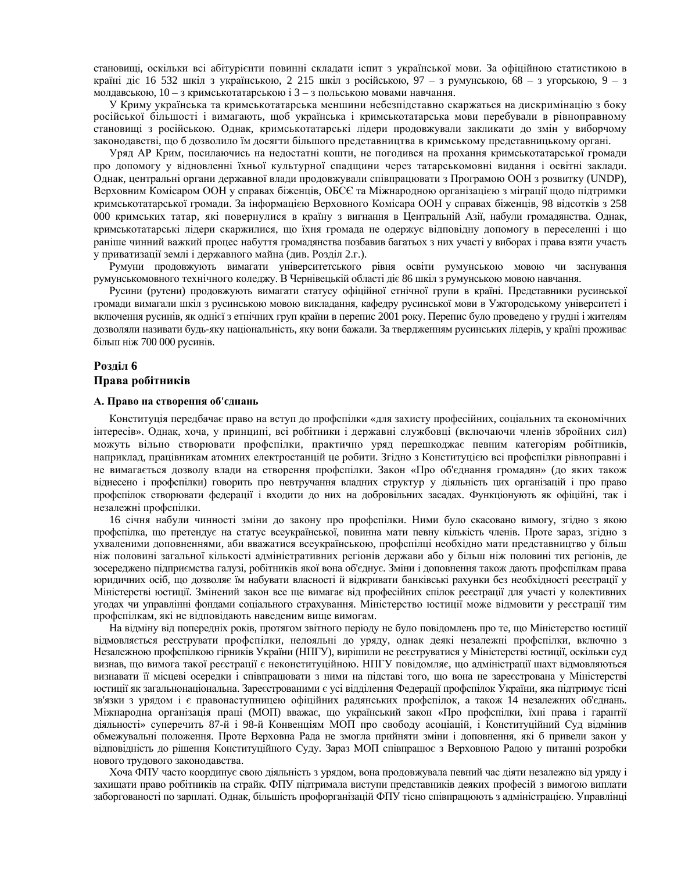становищі, оскільки всі абітурієнти повинні складати іспит з української мови. За офіційною статистикою в країні діє 16 532 шкіл з українською, 2 215 шкіл з російською, 97 – з румунською, 68 – з угорською, 9 – з молдавською,  $10 - 3$  кримськотатарською  $i$  3 – 3 польською мовами навчання.

У Криму українська та кримськотатарська меншини небезпідставно скаржаться на дискримінацію з боку російської більшості і вимагають, щоб українська і кримськотатарська мови перебували в рівноправному становищі з російською. Однак, кримськотатарські лідери продовжували закликати до змін у виборчому законодавстві, що б дозволило їм досягти більшого представництва в кримському представницькому органі.

Уряд АР Крим, посилаючись на недостатні кошти, не погодився на прохання кримськотатарської громади про допомогу у відновленні їхньої культурної спадщини через татарськомовні видання і освітні заклади. Однак, центральні органи державної влади продовжували співпрацювати з Програмою ООН з розвитку (UNDP), Верховним Комісаром ООН у справах біженців, ОБСЄ та Міжнародною організацією з міграції щодо підтримки кримськотатарської громади. За інформацією Верховного Комісара ООН у справах біженців, 98 відсотків з 258 000 кримських татар, які повернулися в країну з вигнання в Центральній Азії, набули громадянства. Однак, кримськотатарські лідери скаржилися, що їхня громада не одержує відповідну допомогу в переселенні і що раніше чинний важкий процес набуття громадянства позбавив багатьох з них участі у виборах і права взяти участь у приватизації землі і державного майна (див. Розділ 2.г.).

Румуни продовжують вимагати університетського рівня освіти румунською мовою чи заснування румунськомовного технічного коледжу. В Чернівецькій області діє 86 шкіл з румунською мовою навчання.

Русини (рутени) продовжують вимагати статусу офіційної етнічної групи в країні. Представники русинської громади вимагали шкіл з русинською мовою викладання, кафедру русинської мови в Ужгородському університеті і включення русинів, як однієї з етнічних груп країни в перепис 2001 року. Перепис було проведено у грудні і жителям дозволяли називати будь-яку національність, яку вони бажали. За твердженням русинських лідерів, у країні проживає більш ніж 700 000 русинів.

#### Розліл 6

#### Права робітників

#### $A$ . Право на створення об'єднань

Конституція передбачає право на вступ до профспілки «для захисту професійних, соціальних та економічних інтересів». Однак, хоча, у принципі, всі робітники і державні службовці (включаючи членів збройних сил) можуть вільно створювати профспілки, практично уряд перешкоджає певним категоріям робітників, наприклад, працівникам атомних електростанцій це робити. Згідно з Конституцією всі профспілки рівноправні і не вимагається дозволу влади на створення профспілки. Закон «Про об'єднання громадян» (до яких також віднесено і профспілки) говорить про невтручання владних структур у діяльність цих організацій і про право профспілок створювати федерації і входити до них на добровільних засадах. Функціонують як офіційні, так і незалежні профспілки.

16 січня набули чинності зміни до закону про профспілки. Ними було скасовано вимогу, згідно з якою профспілка, що претендує на статус всеукраїнської, повинна мати певну кількість членів. Проте зараз, згідно з ухваленими доповненнями, аби вважатися всеукраїнською, профспілці необхідно мати представництво у більш ніж половині загальної кількості адміністративних регіонів держави або у більш ніж половині тих регіонів, де зосереджено підприємства галузі, робітників якої вона об'єднує. Зміни і доповнення також дають профспілкам права юридичних осіб, що дозволяє їм набувати власності й відкривати банківські рахунки без необхідності реєстрації у Міністерстві юстиції. Змінений закон все ще вимагає від професійних спілок реєстрації для участі у колективних угодах чи управлінні фондами соціального страхування. Міністерство юстиції може відмовити у реєстрації тим профспілкам, які не відповідають наведеним вище вимогам.

На відміну від попередніх років, протягом звітного періоду не було повідомлень про те, що Міністерство юстиції відмовляється реєструвати профспілки, нелояльні до уряду, однак деякі незалежні профспілки, включно з Незалежною профспілкою гірників України (НПГУ), вирішили не реєструватися у Міністерстві юстиції, оскільки суд визнав, що вимога такої реєстрації є неконституційною. НПГУ повідомляє, що адміністрації шахт відмовляються визнавати її місцеві осередки і співпрацювати з ними на підставі того, що вона не зареєстрована у Міністерстві юстиції як загальнонаціональна. Зареєстрованими є усі відділення Федерації профспілок України, яка підтримує тісні зв'язки з урядом і є правонаступницею офіційних радянських профспілок, а також 14 незалежних об'єднань. Міжнародна організація праці (МОП) вважає, що український закон «Про профспілки, їхні права і гарантії діяльності» суперечить 87-й і 98-й Конвенціям МОП про свободу асоціацій, і Конституційний Суд відмінив обмежувальні положення. Проте Верховна Рада не змогла прийняти зміни і доповнення, які б привели закон у відповідність до рішення Конституційного Суду. Зараз МОП співпрацює з Верховною Радою у питанні розробки нового трудового законодавства.

Хоча ФПУ часто координує свою діяльність з урядом, вона продовжувала певний час діяти незалежно від уряду і захищати право робітників на страйк. ФПУ підтримала виступи представників деяких професій з вимогою виплати заборгованості по зарплаті. Однак, більшість профорганізацій ФПУ тісно співпрацюють з адміністрацією. Управлінці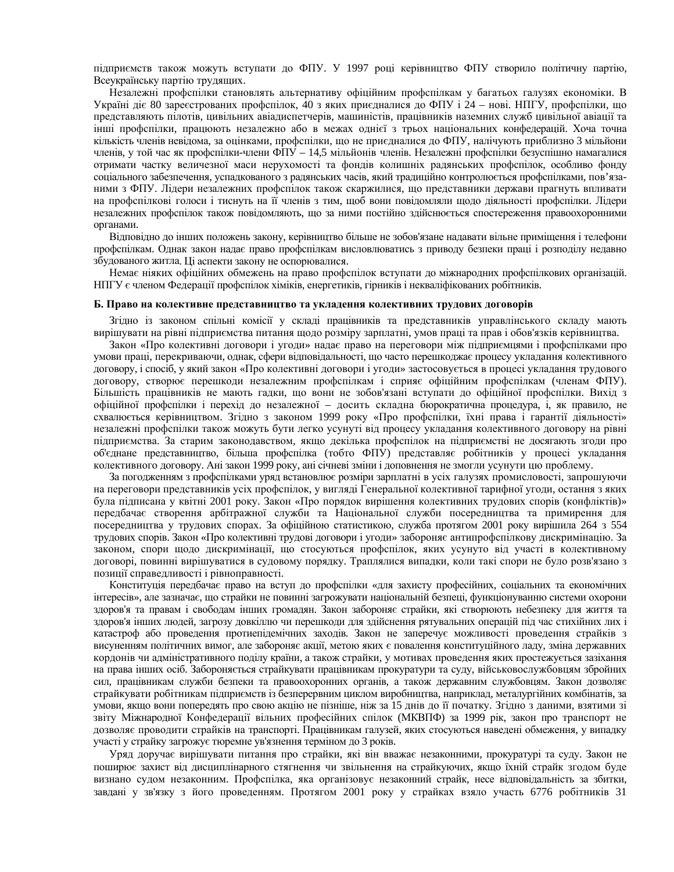підприємств також можуть вступати до ФПУ. У 1997 році керівництво ФПУ створило політичну партію, Все українсь купартію трудящих.

Незалежні профспілки становлять альтернативу офіційним профспілкам у багатьох галузях економіки. В Україні діє 80 зареєстрованих профспілок, 40 з яких приєдналися до ФПУ і 24 – нові. НПГУ, профспілки, що представляють пілотів, цивільних авіадиспетчерів, машиністів, працівників наземних служб цивільної авіації та інші профспілки, працюють незалежно або в межах однієї з трьох національних конфедерацій. Хоча точна кількість членів невідома, за оцінками, профспілки, що не приєдналися до ФПУ, налічують приблизно 3 мільйони членів, у той час як профспілки-члени ФПУ – 14,5 мільйонів членів. Незалежні профспілки безуспішно намагалися отримати частку величезної маси нерухомості та фондів колишніх радянських профспілок, особливо фонду соціального забезпечення, успадкованого з радянських часів, який традиційно контролюється профспілками, пов'язаними з ФПУ. Лідери незалежних профспілок також скаржилися, що представники держави прагнуть впливати на профспілкові голоси і тиснуть на її членів з тим, щоб вони повідомляли щодо діяльності профспілки. Лідери незалежних профспілок також повідомляють, що за ними постійно здійснюється спостереження правоохоронними органами.

Відповідно до інших положень закону, керівництво більше не зобов'язане надавати вільне приміщення і телефони профспілкам. Однак закон надає право профспілкам висловлюватись з приводу безпеки праці і розподілу недавно збудованого житла. Ці аспекти закону не оспорювалися.

Немає ніяких офіційних обмежень на право профспілок вступати до міжнародних профспілкових організацій. НПГУ є членом Федерації профспілок хіміків, енергетиків, гірників і некваліфікованих робітників.

#### Б. Право на колективне представництво та укладення колективних трудових договорів

Згідно із законом спільні комісії у складі працівників та представників управлінського складу мають вирішувати на рівні підприємства питання щодо розміру зарплатні, умов праці та прав і обов'язків керівництва.

Закон «Про колективні договори і угоди» надає право на переговори між підприємцями і профспілками про умови праці, перекриваючи, однак, сфери відповідальності, що часто перешкоджає процесу укладання колективного договору, і спосіб, у який закон «Про колективні договори і угоди» застосовується в процесі укладання трудового договору, створює перешкоди незалежним профспілкам і сприяє офіційним профспілкам (членам ФПУ). Більшість працівників не мають гадки, що вони не зобов'язані вступати до офіційної профспілки. Вихід з офіційної профспілки і перехід до незалежної – досить складна бюрократична процедура, і, як правило, не схвалюється керівництвом. Згідно з законом 1999 року «Про профспілки, їхні права і гарантії діяльності» незалежні профспілки також можуть бути легко усунуті від процесу укладання колективного договору на рівні підприємства. За старим законодавством, якщо декілька профспілок на підприємстві не досягають згоди про об'єднане представництво, більша профспілка (тобто ФПУ) представляє робітників у процесі укладання колективного договору. Ані закон 1999 року, ані січневі зміни і доповнення не змогли усунути цю проблему.

За погодженням з профспілками уряд встановлює розміри зарплатні в усіх галузях промисловості, запрошуючи на переговори представників усіх профспілок, у вигляді Генеральної колективної тарифної угоди, остання з яких була підписана у квітні 2001 року. Закон «Про порядок вирішення колективних трудових спорів (конфліктів)» передбачає створення арбітражної служби та Національної служби посередництва та примирення для посередництва у трудових спорах. За офіційною статистикою, служба протягом 2001 року вирішила 264 з 554 трудових спорів. Закон «Про колективні трудові договори і угоди» забороняє антипрофспілкову дискримінацію. За законом, спори щодо дискримінації, що стосуються профспілок, яких усунуто від участі в колективному договорі, повинні вирішуватися в судовому порядку. Траплялися випадки, коли такі спори не було розв'язано з позиції справедливості і рівноправності.

Конституція передбачає право на вступ до профспілки «для захисту професійних, соціальних та економічних інтересів», але зазначає, що страйки не повинні загрожувати національній безпеці, функціонуванню системи охорони здоров'я та правам і свободам інших громадян. Закон забороняє страйки, які створюють небезпеку для життя та здоров'я інших людей, загрозу довкіллю чи перешкоди для здійснення рятувальних операцій під час стихійних лих і катастроф або проведення протиепідемічних заходів. Закон не заперечує можливості проведення страйків з висуненням політичних вимог, але забороняє акції, метою яких є повалення конституційного ладу, зміна державних кордонів чи адміністративного поділу країни, а також страйки, у мотивах проведення яких простежується зазіхання на права інших осіб. Забороняється страйкувати працівникам прокуратури та суду, військовослужбовцям збройних сил, працівникам служби безпеки та правоохоронних органів, а також державним службовцям. Закон дозволяє страйкувати робітникам підприємств із безперервним циклом виробництва, наприклад, металургійних комбінатів, за умови, якщо вони попередять про свою акцію не пізніше, ніж за 15 днів до її початку. Згідно з даними, взятими зі звіту Міжнародної Конфедерації вільних професійних спілок (МКВПФ) за 1999 рік, закон про транспорт не дозволяє проводити страйків на транспорті. Працівникам галузей, яких стосуються наведені обмеження, у випадку участі у страйку загрожує тюремне ув'язнення терміном до 3 років.

Уряд доручає вирішувати питання про страйки, які він вважає незаконними, прокуратурі та суду. Закон не поширює захист від дисциплінарного стягнення чи звільнення на страйкуючих, якщо їхній страйк згодом буде визнано судом незаконним. Профспілка, яка організовує незаконний страйк, несе відповідальність за збитки, завдані у зв'язку з його проведенням. Протягом 2001 року у страйках взяло участь 6776 робітників 31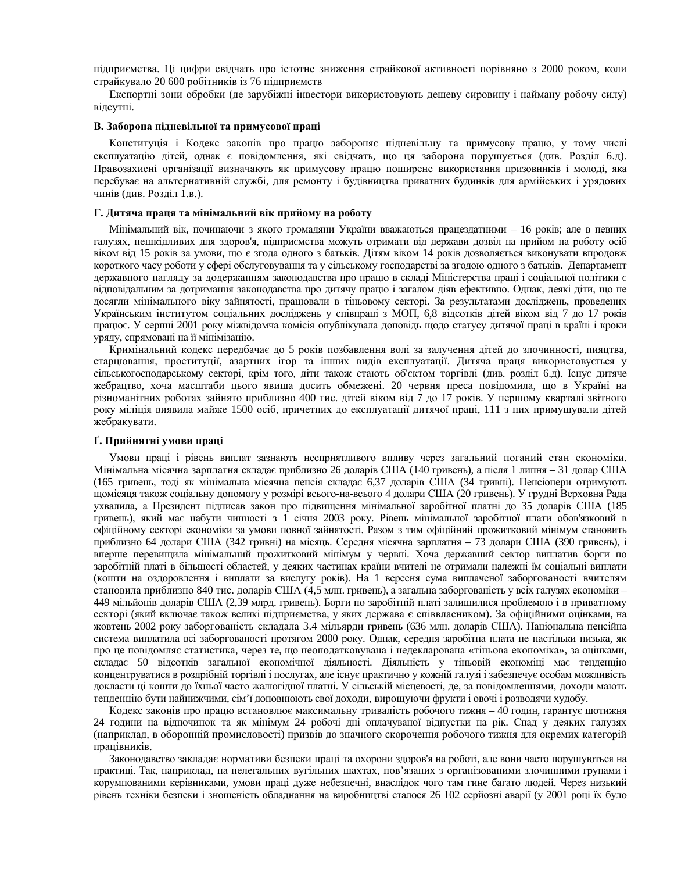підприємства. Ці цифри свідчать про істотне зниження страйкової активності порівняно з 2000 роком, коли страйкувало 20 600 робітників із 76 підприємств

Експортні зони обробки (де зарубіжні інвестори використовують дешеву сировину і найману робочу силу) відсутні.

#### В. Заборона підневільної та примусової праці

Конституція і Кодекс законів про працю забороняє підневільну та примусову працю, у тому числі експлуатацію дітей, однак є повідомлення, які свідчать, що ця заборона порушується (див. Розділ 6.д). Правозахисні організації визначають як примусову працю поширене використання призовників і молоді, яка перебуває на альтернативній службі, для ремонту і будівництва приватних будинків для армійських і урядових чинів (див. Розділ 1.в.).

#### Г. Дитяча праця та мінімальний вік прийому на роботу

Мінімальний вік, починаючи з якого громадяни України вважаються працездатними – 16 років; але в певних галузях, нешкідливих для здоров'я, підприємства можуть отримати від держави дозвіл на прийом на роботу осіб віком від 15 років за умови, що є згода одного з батьків. Дітям віком 14 років дозволяється виконувати впродовж короткого часу роботи у сфері обслуговування та у сільському господарстві за згодою одного з батьків. Департамент державного нагляду за додержанням законодавства про працю в складі Міністерства праці і соціальної політики є відповідальним за дотримання законодавства про дитячу працю і загалом діяв ефективно. Однак, деякі діти, що не досягли мінімального віку зайнятості, працювали в тіньовому секторі. За результатами досліджень, проведених Українським інститутом соціальних досліджень у співпраці з МОП, 6,8 відсотків дітей віком від 7 до 17 років працює. У серпні 2001 року міжвідомча комісія опублікувала доповідь щодо статусу дитячої праці в країні і кроки уряду, спрямовані на її мінімізацію.

Кримінальний кодекс передбачає до 5 років позбавлення волі за залучення дітей до злочинності, пияцтва, старцювання, проституції, азартних ігор та інших видів експлуатації. Дитяча праця використовується у сільськогосподарському секторі, крім того, діти також стають об'єктом торгівлі (див. розділ 6.д). Існує дитяче жебрацтво, хоча масштаби цього явища досить обмежені. 20 червня преса повідомила, що в Україні на різноманітних роботах зайнято приблизно 400 тис. дітей віком від 7 до 17 років. У першому кварталі звітного року міліція виявила майже 1500 осіб, причетних до експлуатації дитячої праці, 111 з них примушували дітей жебракувати.

#### $\Gamma$ . Прийнятні умови праці

Умови праці і рівень виплат зазнають несприятливого впливу через загальний поганий стан економіки. Мінімальна місячна зарплатня складає приблизно 26 доларів США (140 гривень), а після 1 липня – 31 долар США (165 гривень, тоді як мінімальна місячна пенсія складає 6,37 доларів США (34 гривні). Пенсіонери отримують щомісяця також соціальну допомогу у розмірі всього-на-всього 4 долари США (20 гривень). У грудні Верховна Рада ухвалила, а Президент підписав закон про підвищення мінімальної заробітної платні до 35 доларів США (185 гривень), який має набути чинності з 1 січня 2003 року. Рівень мінімальної заробітної плати обов'язковий в офіційному секторі економіки за умови повної зайнятості. Разом з тим офіційний прожитковий мінімум становить приблизно 64 долари США (342 гривні) на місяць. Середня місячна зарплатня – 73 долари США (390 гривень), і вперше перевищила мінімальний прожитковий мінімум у червні. Хоча державний сектор виплатив борги по заробітній платі в більшості областей, у деяких частинах країни вчителі не отримали належні їм соціальні виплати (кошти на оздоровлення і виплати за вислугу років). На 1 вересня сума виплаченої заборгованості вчителям становила приблизно 840 тис. доларів США (4,5 млн. гривень), а загальна заборгованість у всіх галузях економіки-449 мільйонів доларів США (2,39 млрд. гривень). Борги по заробітній платі залишилися проблемою і в приватному секторі (який включає також великі підприємства, у яких держава є співвласником). За офіційними оцінками, на жовтень 2002 року заборгованість складала 3.4 мільярди гривень (636 млн. доларів США). Національна пенсійна система виплатила всі заборгованості протягом 2000 року. Однак, середня заробітна плата не настільки низька, як про це повідомляє статистика, через те, що неоподатковувана і недекларована «тіньова економіка», за оцінками, складає 50 відсотків загальної економічної діяльності. Діяльність у тіньовій економіці має тенденцію концентруватися в роздрібній торгівлі і послугах, але існує практично у кожній галузі і забезпечує особам можливість докласти ці кошти до їхньої часто жалюгідної платні. У сільській місцевості, де, за повідомленнями, доходи мають тенденцію бути найнижчими, сім'ї доповнюють свої доходи, вирощуючи фрукти і овочі і розводячи худобу.

Кодекс законів про працю встановлює максимальну тривалість робочого тижня – 40 годин, гарантує щотижня 24 години на відпочинок та як мінімум 24 робочі дні оплачуваної відпустки на рік. Спад у деяких галузях (наприклад, в оборонній промисловості) призвів до значного скорочення робочого тижня для окремих категорій працівників.

Законодавство закладає нормативи безпеки праці та охорони здоров'я на роботі, але вони часто порушуються на практиці. Так, наприклад, на нелегальних вугільних шахтах, пов'язаних з організованими злочинними групами і корумпованими керівниками, умови праці дуже небезпечні, внаслідок чого там гине багато людей. Через низький рівень техніки безпеки і зношеність обладнання на виробництві сталося 26 102 серйозні аварії (у 2001 році їх було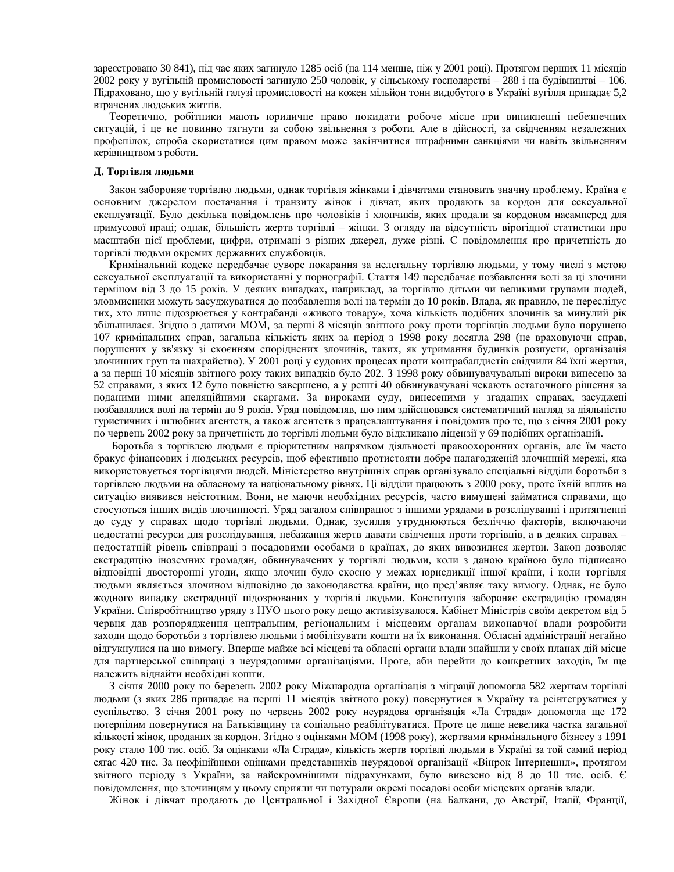зареєстровано 30 841), під час яких загинуло 1285 осіб (на 114 менше, ніж у 2001 році). Протягом перших 11 місяців 2002 року у вугільній промисловості загинуло 250 чоловік, у сільському господарстві – 288 і на будівництві – 106. Підраховано, що у вугільній галузі промисловості на кожен мільйон тонн видобутого в Україні вугілля припадає 5,2 втрачених людських життів.

Теоретично, робітники мають юридичне право покидати робоче місце при виникненні небезпечних ситуацій, і це не повинно тягнути за собою звільнення з роботи. Але в дійсності, за свідченням незалежних профспілок, спроба скористатися цим правом може закінчитися штрафними санкціями чи навіть звільненням керівництвом з роботи.

#### $\Lambda$ . Торгівля людьми

Закон забороняє торгівлю людьми, однак торгівля жінками і дівчатами становить значну проблему. Країна є основним джерелом постачання і транзиту жінок і дівчат, яких продають за кордон для сексуальної експлуатації. Було декілька повідомлень про чоловіків і хлопчиків, яких продали за кордоном насамперед для примусової праці; однак, більшість жертв торгівлі – жінки. З огляду на відсутність вірогідної статистики про масштаби цієї проблеми, цифри, отримані з різних джерел, дуже різні. Є повідомлення про причетність до торгівлі людьми окремих державних службовців.

Кримінальний кодекс передбачає суворе покарання за нелегальну торгівлю людьми, у тому числі з метою сексуальної експлуатації та використанні у порнографії. Стаття 149 передбачає позбавлення волі за ці злочини терміном від 3 до 15 років. У деяких випадках, наприклад, за торгівлю дітьми чи великими групами людей, зловмисники можуть засуджуватися до позбавлення волі на термін до 10 років. Влада, як правило, не переслідує тих, хто лише підозрюється у контрабанді «живого товару», хоча кількість подібних злочинів за минулий рік збільшилася. Згідно з даними МОМ, за перші 8 місяців звітного року проти торгівців людьми було порушено 107 кримінальних справ, загальна кількість яких за період з 1998 року досягла 298 (не враховуючи справ, порушених у зв'язку зі скоєнням споріднених злочинів, таких, як утримання будинків розпусти, організація злочинних груп та шахрайство). У 2001 році у судових процесах проти контрабандистів свідчили 84 їхні жертви, а за перші 10 місяців звітного року таких випадків було 202. З 1998 року обвинувачувальні вироки винесено за 52 справами, з яких 12 було повністю завершено, а у решті 40 обвинувачувані чекають остаточного рішення за поданими ними апеляційними скаргами. За вироками суду, винесеними у згаданих справах, засуджені позбавлялися волі на термін до 9 років. Уряд повідомляв, що ним здійснювався систематичний нагляд за діяльністю туристичних і шлюбних агентств, а також агентств з працевлаштування і повідомив про те, що з січня 2001 року по червень 2002 року за причетність до торгівлі людьми було відкликано ліцензії у 69 подібних організацій.

Боротьба з торгівлею людьми є пріоритетним напрямком діяльності правоохоронних органів, але їм часто бракує фінансових і людських ресурсів, щоб ефективно протистояти добре налагодженій злочинній мережі, яка використовується торгівцями людей. Міністерство внутрішніх справ організувало спеціальні відділи боротьби з торгівлею людьми на обласному та національному рівнях. Ці відділи працюють з 2000 року, проте їхній вплив на ситуацію виявився неістотним. Вони, не маючи необхідних ресурсів, часто вимушені займатися справами, що стосуються інших видів злочинності. Уряд загалом співпрацює з іншими урядами в розслідуванні і притягненні до суду у справах щодо торгівлі людьми. Однак, зусилля утруднюються безліччю факторів, включаючи недостатні ресурси для розслідування, небажання жертв давати свідчення проти торгівців, а в деяких справах – недостатній рівень співпраці з посадовими особами в країнах, до яких вивозилися жертви. Закон дозволяє екстрадицію іноземних громадян, обвинувачених у торгівлі людьми, коли з даною країною було підписано відповідні двосторонні угоди, якщо злочин було скоєно у межах юрисдикції іншої країни, і коли торгівля людьми являється злочином відповідно до законодавства країни, що пред'являє таку вимогу. Однак, не було жодного випадку екстрадиції підозрюваних у торгівлі людьми. Конституція забороняє екстрадицію громадян України. Співробітництво уряду з НУО цього року дещо активізувалося. Кабінет Міністрів своїм декретом від 5 червня дав розпорядження центральним, регіональним і місцевим органам виконавчої влади розробити заходи щодо боротьби з торгівлею людьми і мобілізувати кошти на їх виконання. Обласні адміністрації негайно відгукнулися на цю вимогу. Вперше майже всі місцеві та обласні органи влади знайшли у своїх планах дій місце для партнерської співпраці з неурядовими організаціями. Проте, аби перейти до конкретних заходів, їм ще належить віднайти необхідні кошти.

3 січня 2000 року по березень 2002 року Міжнародна організація з міграції допомогла 582 жертвам торгівлі людьми (з яких 286 припадає на перші 11 місяців звітного року) повернутися в Україну та реінтегруватися у суспільство. З січня 2001 року по червень 2002 року неурядова організація «Ла Страда» допомогла ще 172 потерпілим повернутися на Батьківщину та соціально реабілітуватися. Проте це лише невелика частка загальної кількості жінок, проданих за кордон. Згідно з оцінками МОМ (1998 року), жертвами кримінального бізнесу з 1991 року стало 100 тис. осіб. За оцінками «Ла Страда», кількість жертв торгівлі людьми в Україні за той самий період сягає 420 тис. За неофіційними оцінками представників неурядової організації «Вінрок Інтернешнл», протягом звітного періоду з України, за найскромнішими підрахунками, було вивезено від 8 до 10 тис. осіб. Є повідомлення, що злочинцям у цьому сприяли чи потурали окремі посадові особи місцевих органів влади.

Жінок і дівчат продають до Центральної і Західної Європи (на Балкани, до Австрії, Італії, Франції,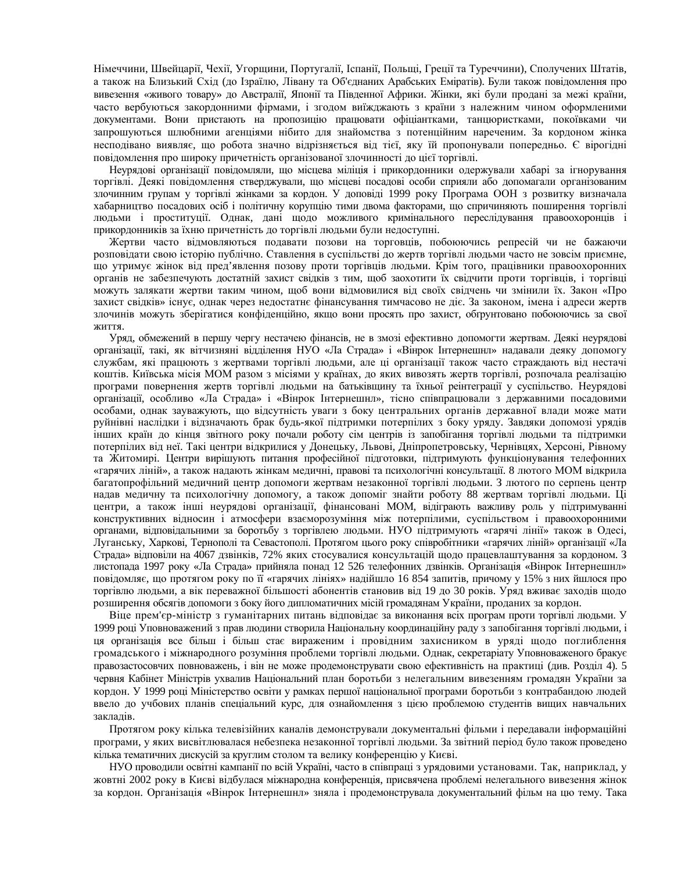Німеччини, Швейцарії, Чехії, Угорщини, Португалії, Іспанії, Польщі, Греції та Туреччини), Сполучених Штатів, а також на Близький Схід (до Ізраїлю, Лівану та Об'єднаних Арабських Еміратів). Були також повідомлення про вивезення «живого товару» до Австралії, Японії та Південної Африки. Жінки, які були продані за межі країни, часто вербуються закордонними фірмами, і згодом виїжджають з країни з належним чином оформленими документами. Вони пристають на пропозицію працювати офіціантками, танцюристками, покоївками чи запрошуються шлюбними агенціями нібито для знайомства з потенційним нареченим. За кордоном жінка несподівано виявляє, що робота значно відрізняється від тієї, яку їй пропонували попередньо. Є вірогідні повідомлення про широку причетність організованої злочинності до цієї торгівлі.

Неурядові організації повідомляли, що місцева міліція і прикордонники одержували хабарі за ігнорування торгівлі. Деякі повідомлення стверджували, що місцеві посадові особи сприяли або допомагали організованим злочинним групам у торгівлі жінками за кордон. У доповіді 1999 року Програма ООН з розвитку визначала хабарництво посадових осіб і політичну корупцію тими двома факторами, що спричиняють поширення торгівлі людьми і проституції. Однак, дані щодо можливого кримінального переслідування правоохоронців і прикордонників за їхню причетність до торгівлі людьми були недоступні.

Жертви часто відмовляються подавати позови на торговців, побоюючись репресій чи не бажаючи розповідати свою історію публічно. Ставлення в суспільстві до жертв торгівлі людьми часто не зовсім приємне, що утримує жінок від пред'явлення позову проти торгівців людьми. Крім того, працівники правоохоронних органів не забезпечують достатній захист свідків з тим, щоб заохотити їх свідчити проти торгівців, і торгівці можуть залякати жертви таким чином, щоб вони відмовилися від своїх свідчень чи змінили їх. Закон «Про захист свідків» існує, однак через недостатнє фінансування тимчасово не діє. За законом, імена і адреси жертв злочинів можуть зберігатися конфіденційно, якщо вони просять про захист, обґрунтовано побоюючись за свої життя.

Уряд, обмежений в першу чергу нестачею фінансів, не в змозі ефективно допомогти жертвам. Деякі неурядові організації, такі, як вітчизняні відділення НУО «Ла Страда» і «Вінрок Інтернешнл» надавали деяку допомогу службам, які працюють з жертвами торгівлі людьми, але ці організації також часто страждають від нестачі коштів. Київська місія МОМ разом з місіями у країнах, до яких вивозять жертв торгівлі, розпочала реалізацію програми повернення жертв торгівлі людьми на батьківщину та їхньої реінтеграції у суспільство. Неурядові організації, особливо «Ла Страда» і «Вінрок Інтернешнл», тісно співпрацювали з державними посадовими особами, однак зауважують, що відсутність уваги з боку центральних органів державної влади може мати руйнівні наслідки і відзначають брак будь-якої підтримки потерпілих з боку уряду. Завдяки допомозі урядів інших країн до кінця звітного року почали роботу сім центрів із запобігання торгівлі людьми та підтримки потерпілих від неї. Такі центри відкрилися у Донецьку, Львові, Дніпропетровську, Чернівцях, Херсоні, Рівному та Житомирі. Центри вирішують питання професійної підготовки, підтримують функціонування телефонних «гарячих ліній», а також надають жінкам медичні, правові та психологічні консультації. 8 лютого МОМ відкрила багатопрофільний медичний центр допомоги жертвам незаконної торгівлі людьми. З лютого по серпень центр надав медичну та психологічну допомогу, а також допоміг знайти роботу 88 жертвам торгівлі людьми. Ці центри, а також інші неурядові організації, фінансовані МОМ, відіграють важливу роль у підтримуванні конструктивних відносин і атмосфери взаєморозуміння між потерпілими, суспільством і правоохоронними органами, відповідальними за боротьбу з торгівлею людьми. НУО підтримують «гарячі лінії» також в Одесі, Луганську, Харкові, Тернополі та Севастополі. Протягом цього року співробітники «гарячих ліній» організації «Ла Страда» відповіли на 4067 дзвінків, 72% яких стосувалися консультацій щодо працевлаштування за кордоном. З листопада 1997 року «Ла Страда» прийняла понад 12 526 телефонних дзвінків. Організація «Вінрок Інтернешнл» повідомляє, що протягом року по її «гарячих лініях» надійшло 16 854 запитів, причому у 15% з них йшлося про торгівлю людьми, а вік переважної більшості абонентів становив від 19 до 30 років. Уряд вживає заходів щодо розширення обсягів допомоги з боку його дипломатичних місій громадянам України, проданих за кордон.

Віце прем'єр-міністр з гуманітарних питань відповідає за виконання всіх програм проти торгівлі людьми. У 1999 році Уповноважений з прав людини створила Національну координаційну раду з запобігання торгівлі людьми, і ця організація все більш і більш стає вираженим і провідним захисником в уряді щодо поглиблення громадського і міжнародного розуміння проблеми торгівлі людьми. Однак, секретаріату Уповноваженого бракує правозастосовчих повноважень, і він не може продемонструвати свою ефективність на практиці (див. Розділ 4). 5 червня Кабінет Міністрів ухвалив Національний план боротьби з нелегальним вивезенням громадян України за кордон. У 1999 році Міністерство освіти у рамках першої національної програми боротьби з контрабандою людей ввело до учбових планів спеціальний курс, для ознайомлення з цією проблемою студентів вищих навчальних заклалів.

Протягом року кілька телевізійних каналів демонстрували документальні фільми і передавали інформаційні програми, у яких висвітлювалася небезпека незаконної торгівлі людьми. За звітний період було також проведено кілька тематичних дискусій за круглим столом та велику конференцію у Києві.

НУО проводили освітні кампанії по всій Україні, часто в співпраці з урядовими установами. Так, наприклад, у жовтні 2002 року в Києві відбулася міжнародна конференція, присвячена проблемі нелегального вивезення жінок за кордон. Організація «Вінрок Інтернешнл» зняла і продемонструвала документальний фільм на цю тему. Така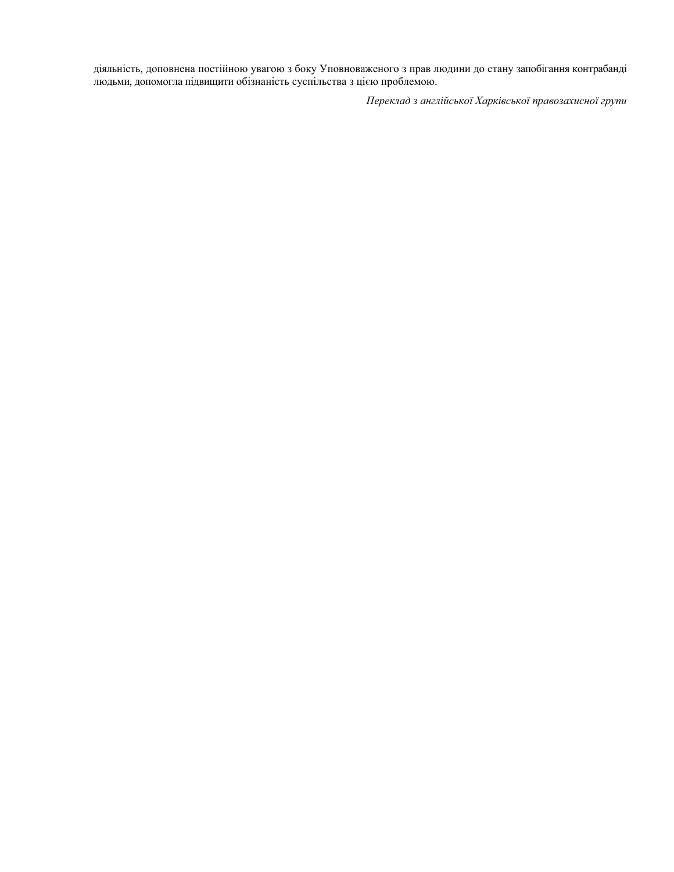діяльність, доповнена постійною увагою з боку Уповноваженого з прав людини до стану запобігання контрабанді людьми, допомогла підвищити обізнаність суспільства з цією проблемою.

Переклад з англійської Харківської правозахисної групи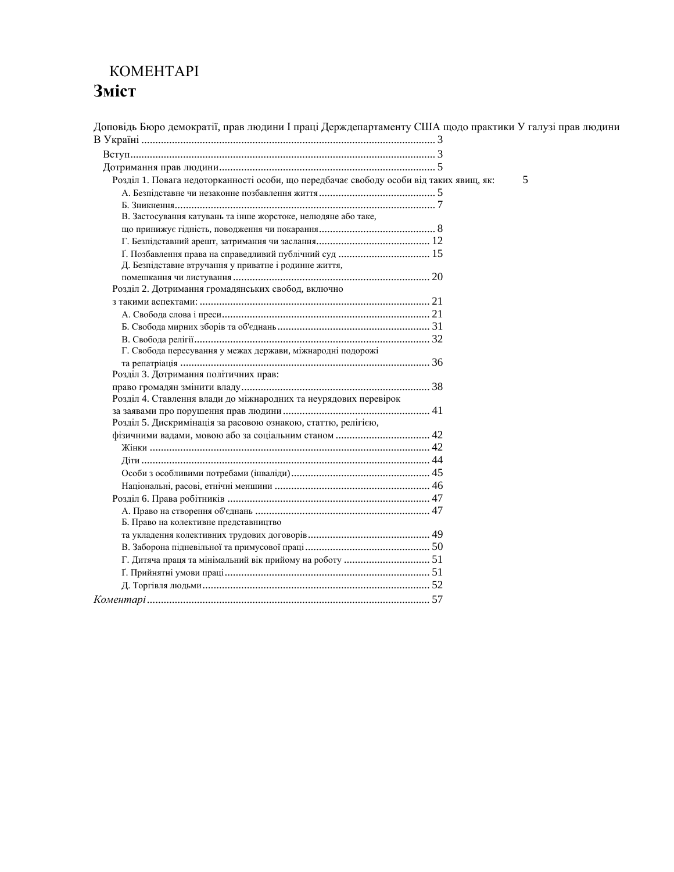## **KOMEHTAPI** Зміст

Доповідь Бюро демократії, прав людини І праці Держдепартаменту США щодо практики У галузі прав людини ȼ ɍɤɪɚʀɧɿ .......................................................................................................... 3 ȼɫɬɭɩ.............................................................................................................. 3 Ⱦɨɬɪɢɦɚɧɧɹ ɩɪɚɜ ɥɸɞɢɧɢ.............................................................................. 5 Pозділ 1. Повага недоторканності особи, що передбачає свободу особи від таких явищ, як: 5 Ⱥ. Ȼɟɡɩɿɞɫɬɚɜɧɟ ɱɢ ɧɟɡɚɤɨɧɧɟ ɩɨɡɛɚɜɥɟɧɧɹ ɠɢɬɬɹ.......................................... 5 Ȼ. Ɂɧɢɤɧɟɧɧɹ.............................................................................................. 7 В. Застосування катувань та інше жорстоке, нелюдяне або таке, ɳɨ ɩɪɢɧɢɠɭɽ ɝɿɞɧɿɫɬɶ, ɩɨɜɨɞɠɟɧɧɹ ɱɢ ɩɨɤɚɪɚɧɧɹ.......................................... 8 Ƚ. Ȼɟɡɩɿɞɫɬɚɜɧɢɣ ɚɪɟɲɬ, ɡɚɬɪɢɦɚɧɧɹ ɱɢ ɡɚɫɥɚɧɧɹ......................................... 12 ʈ. ɉɨɡɛɚɜɥɟɧɧɹ ɩɪɚɜɚ ɧɚ ɫɩɪɚɜɟɞɥɢɜɢɣ ɩɭɛɥɿɱɧɢɣ ɫɭɞ ................................. 15 Д. Безпідставне втручання у приватне і родинне життя, ɩɨɦɟɲɤɚɧɧɹ ɱɢ ɥɢɫɬɭɜɚɧɧɹ ....................................................................... 20 Розділ 2. Дотримання громадянських свобод, включно ɡ ɬɚɤɢɦɢ ɚɫɩɟɤɬɚɦɢ: ................................................................................... 21 Ⱥ. ɋɜɨɛɨɞɚ ɫɥɨɜɚ ɿ ɩɪɟɫɢ........................................................................... 21 Ȼ. ɋɜɨɛɨɞɚ ɦɢɪɧɢɯ ɡɛɨɪɿɜ ɬɚ ɨɛ'ɽɞɧɚɧɶ....................................................... 31 ȼ. ɋɜɨɛɨɞɚ ɪɟɥɿɝɿʀ..................................................................................... 32 Г. Свобода пересування у межах держави, міжнародні подорожі ɬɚ ɪɟɩɚɬɪɿɚɰɿɹ .......................................................................................... 36 Розділ 3. Дотримання політичних прав: ɩɪɚɜɨ ɝɪɨɦɚɞɹɧ ɡɦɿɧɢɬɢ ɜɥɚɞɭ.................................................................... 38 Розділ 4. Ставлення влади до міжнародних та неурядових перевірок ɡɚ ɡɚɹɜɚɦɢ ɩɪɨ ɩɨɪɭɲɟɧɧɹ ɩɪɚɜ ɥɸɞɢɧɢ..................................................... 41 Розділ 5. Дискримінація за расовою ознакою, статтю, релігією, ɮɿɡɢɱɧɢɦɢ ɜɚɞɚɦɢ, ɦɨɜɨɸ ɚɛɨ ɡɚ ɫɨɰɿɚɥɶɧɢɦ ɫɬɚɧɨɦ .................................. 42 ɀɿɧɤɢ ..................................................................................................... 42 Ⱦɿɬɢ ........................................................................................................ 44 Ɉɫɨɛɢ ɡ ɨɫɨɛɥɢɜɢɦɢ ɩɨɬɪɟɛɚɦɢ (ɿɧɜɚɥɿɞɢ).................................................. 45 ɇɚɰɿɨɧɚɥɶɧɿ, ɪɚɫɨɜɿ, ɟɬɧɿɱɧɿ ɦɟɧɲɢɧɢ ........................................................ 46 Ɋɨɡɞɿɥ 6. ɉɪɚɜɚ ɪɨɛɿɬɧɢɤɿɜ ......................................................................... 47 Ⱥ. ɉɪɚɜɨ ɧɚ ɫɬɜɨɪɟɧɧɹ ɨɛ'ɽɞɧɚɧɶ ............................................................... 47 Б. Право на колективне представництво ɬɚ ɭɤɥɚɞɟɧɧɹ ɤɨɥɟɤɬɢɜɧɢɯ ɬɪɭɞɨɜɢɯ ɞɨɝɨɜɨɪɿɜ............................................ 49 ȼ. Ɂɚɛɨɪɨɧɚ ɩɿɞɧɟɜɿɥɶɧɨʀ ɬɚ ɩɪɢɦɭɫɨɜɨʀ ɩɪɚɰɿ............................................. 50 Ƚ. Ⱦɢɬɹɱɚ ɩɪɚɰɹ ɬɚ ɦɿɧɿɦɚɥɶɧɢɣ ɜɿɤ ɩɪɢɣɨɦɭ ɧɚ ɪɨɛɨɬɭ ............................... 51 ʈ. ɉɪɢɣɧɹɬɧɿ ɭɦɨɜɢ ɩɪɚɰɿ.......................................................................... 51 Ⱦ. Ɍɨɪɝɿɜɥɹ ɥɸɞɶɦɢ.................................................................................. 52 *Ʉɨɦɟɧɬɚɪɿ*...................................................................................................... 57